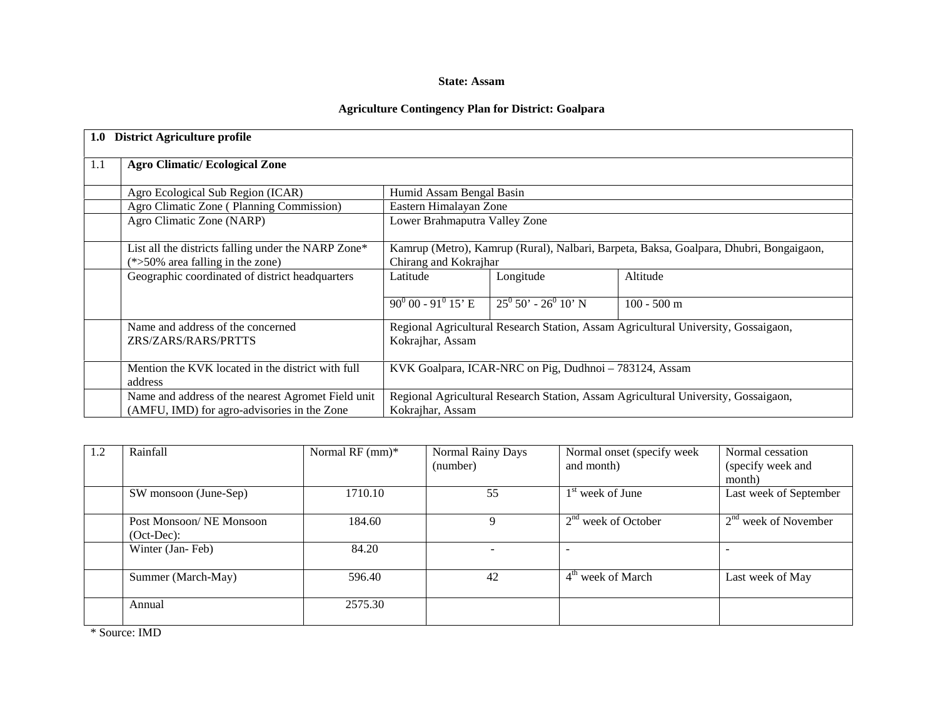#### **State: Assam**

### **Agriculture Contingency Plan for District: Goalpara**

| 1.0 | <b>District Agriculture profile</b>                                                                                    |                                                                                                                 |                         |                                                                                    |  |  |  |  |
|-----|------------------------------------------------------------------------------------------------------------------------|-----------------------------------------------------------------------------------------------------------------|-------------------------|------------------------------------------------------------------------------------|--|--|--|--|
| 1.1 | <b>Agro Climatic/Ecological Zone</b>                                                                                   |                                                                                                                 |                         |                                                                                    |  |  |  |  |
|     | Agro Ecological Sub Region (ICAR)<br>Humid Assam Bengal Basin                                                          |                                                                                                                 |                         |                                                                                    |  |  |  |  |
|     | Agro Climatic Zone (Planning Commission)                                                                               | Eastern Himalayan Zone                                                                                          |                         |                                                                                    |  |  |  |  |
|     | Agro Climatic Zone (NARP)                                                                                              | Lower Brahmaputra Valley Zone                                                                                   |                         |                                                                                    |  |  |  |  |
|     | List all the districts falling under the NARP Zone*<br>$(*>50\%$ area falling in the zone)                             | Kamrup (Metro), Kamrup (Rural), Nalbari, Barpeta, Baksa, Goalpara, Dhubri, Bongaigaon,<br>Chirang and Kokrajhar |                         |                                                                                    |  |  |  |  |
|     | Geographic coordinated of district headquarters                                                                        | Latitude                                                                                                        | Longitude               | Altitude                                                                           |  |  |  |  |
|     |                                                                                                                        | $90^0$ 00 - 91 <sup>0</sup> 15' E                                                                               | $25^0 50' - 26^0 10' N$ | $100 - 500$ m                                                                      |  |  |  |  |
|     | Name and address of the concerned<br>ZRS/ZARS/RARS/PRTTS                                                               | Regional Agricultural Research Station, Assam Agricultural University, Gossaigaon,<br>Kokrajhar, Assam          |                         |                                                                                    |  |  |  |  |
|     | Mention the KVK located in the district with full<br>KVK Goalpara, ICAR-NRC on Pig, Dudhnoi - 783124, Assam<br>address |                                                                                                                 |                         |                                                                                    |  |  |  |  |
|     | Name and address of the nearest Agromet Field unit                                                                     |                                                                                                                 |                         | Regional Agricultural Research Station, Assam Agricultural University, Gossaigaon, |  |  |  |  |
|     | (AMFU, IMD) for agro-advisories in the Zone                                                                            | Kokrajhar, Assam                                                                                                |                         |                                                                                    |  |  |  |  |

| 1.2 | Rainfall                                | Normal RF $(nm)^*$ | Normal Rainy Days<br>(number) | Normal onset (specify week<br>and month) | Normal cessation<br>(specify week and<br>month) |
|-----|-----------------------------------------|--------------------|-------------------------------|------------------------------------------|-------------------------------------------------|
|     | SW monsoon (June-Sep)                   | 1710.10            | 55                            | $1st$ week of June                       | Last week of September                          |
|     | Post Monsoon/NE Monsoon<br>$(Oct-Dec):$ | 184.60             | Q                             | $2nd$ week of October                    | $2nd$ week of November                          |
|     | Winter (Jan-Feb)                        | 84.20              |                               | $\overline{\phantom{0}}$                 |                                                 |
|     | Summer (March-May)                      | 596.40             | 42                            | 4 <sup>th</sup> week of March            | Last week of May                                |
|     | Annual                                  | 2575.30            |                               |                                          |                                                 |

\* Source: IMD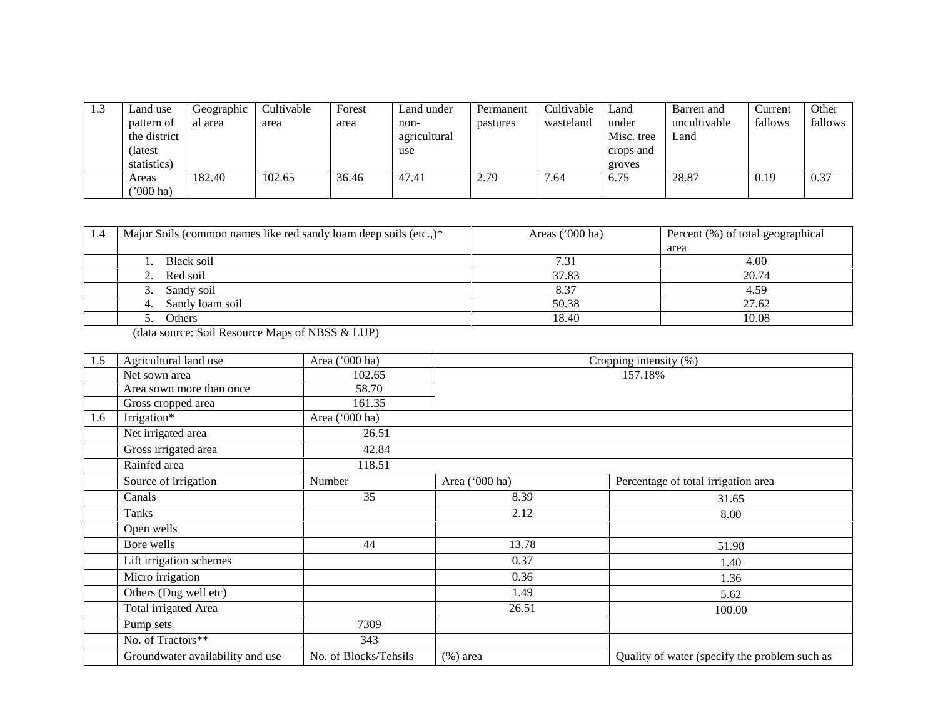| 1.3 | Land use<br>pattern of<br>the district | Geographic<br>al area | Cultivable<br>area | Forest<br>area | Land under<br>non-<br>agricultural | Permanent<br>pastures | Cultivable<br>wasteland | Land<br>under<br>Misc. tree | Barren and<br>uncultivable<br>Land | Current<br>fallows | Other<br>fallows |
|-----|----------------------------------------|-----------------------|--------------------|----------------|------------------------------------|-----------------------|-------------------------|-----------------------------|------------------------------------|--------------------|------------------|
|     | (latest<br>statistics)                 |                       |                    |                | use                                |                       |                         | crops and<br>groves         |                                    |                    |                  |
|     | Areas<br>$^{\prime\prime}000$ ha)      | 182.40                | 102.65             | 36.46          | 47.41                              | 2.79                  | 7.64                    | 6.75                        | 28.87                              | 0.19               | 0.37             |

| 1.4 | Major Soils (common names like red sandy loam deep soils (etc.,)* | Areas $('000 ha)$ | Percent (%) of total geographical |
|-----|-------------------------------------------------------------------|-------------------|-----------------------------------|
|     |                                                                   |                   | area                              |
|     | Black soil                                                        | 7.31              | 4.00                              |
|     | 2. Red soil                                                       | 37.83             | 20.74                             |
|     | Sandy soil<br>3.                                                  | 8.37              | 4.59                              |
|     | Sandy loam soil                                                   | 50.38             | 27.62                             |
|     | Others                                                            | 18.40             | 10.08                             |

(data source: Soil Resource Maps of NBSS & LUP)

| 1.5 | Agricultural land use            | Area ('000 ha)        | Cropping intensity (%) |                                               |  |  |  |  |
|-----|----------------------------------|-----------------------|------------------------|-----------------------------------------------|--|--|--|--|
|     | Net sown area                    | 102.65                |                        | 157.18%                                       |  |  |  |  |
|     | Area sown more than once         | 58.70                 |                        |                                               |  |  |  |  |
|     | Gross cropped area               | 161.35                |                        |                                               |  |  |  |  |
| 1.6 | Irrigation*                      | Area ('000 ha)        |                        |                                               |  |  |  |  |
|     | Net irrigated area               | 26.51                 |                        |                                               |  |  |  |  |
|     | Gross irrigated area             | 42.84                 |                        |                                               |  |  |  |  |
|     | Rainfed area                     | 118.51                |                        |                                               |  |  |  |  |
|     | Source of irrigation             | Number                | Area ('000 ha)         | Percentage of total irrigation area           |  |  |  |  |
|     | Canals                           | 35                    | 8.39                   | 31.65                                         |  |  |  |  |
|     | Tanks                            |                       | 2.12                   | 8.00                                          |  |  |  |  |
|     | Open wells                       |                       |                        |                                               |  |  |  |  |
|     | Bore wells                       | 44                    | 13.78                  | 51.98                                         |  |  |  |  |
|     | Lift irrigation schemes          |                       | 0.37                   | 1.40                                          |  |  |  |  |
|     | Micro irrigation                 |                       | 0.36                   | 1.36                                          |  |  |  |  |
|     | Others (Dug well etc)            |                       | 1.49                   | 5.62                                          |  |  |  |  |
|     | Total irrigated Area             |                       | 26.51                  | 100.00                                        |  |  |  |  |
|     | Pump sets                        | 7309                  |                        |                                               |  |  |  |  |
|     | No. of Tractors**                | 343                   |                        |                                               |  |  |  |  |
|     | Groundwater availability and use | No. of Blocks/Tehsils | $(\%)$ area            | Quality of water (specify the problem such as |  |  |  |  |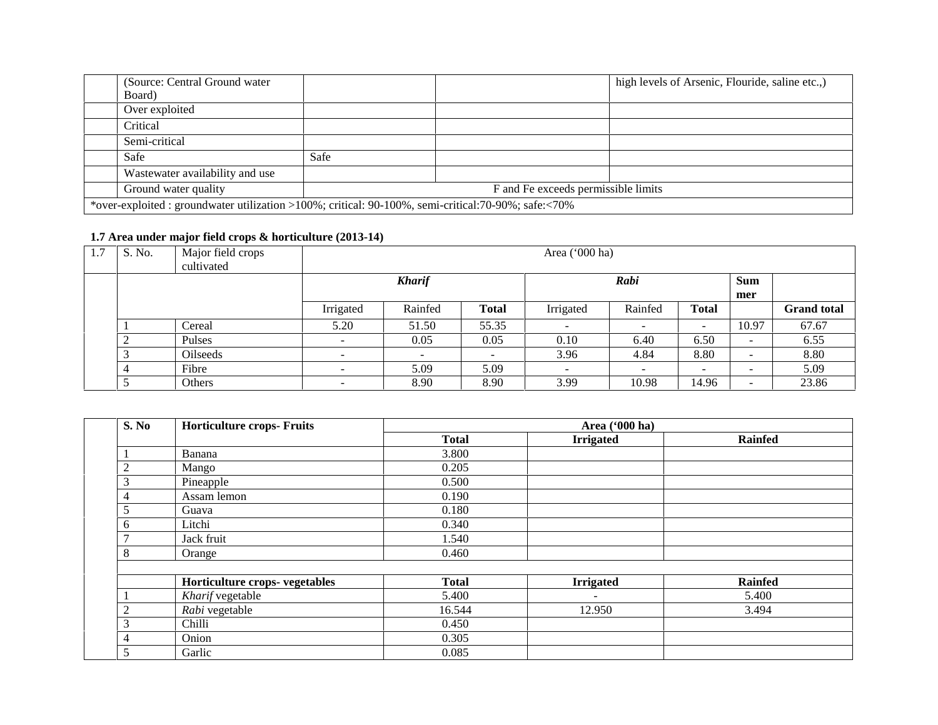| (Source: Central Ground water)  |                                                                                                      |                                     | high levels of Arsenic, Flouride, saline etc.,) |
|---------------------------------|------------------------------------------------------------------------------------------------------|-------------------------------------|-------------------------------------------------|
| Board)                          |                                                                                                      |                                     |                                                 |
| Over exploited                  |                                                                                                      |                                     |                                                 |
| Critical                        |                                                                                                      |                                     |                                                 |
| Semi-critical                   |                                                                                                      |                                     |                                                 |
| Safe                            | Safe                                                                                                 |                                     |                                                 |
| Wastewater availability and use |                                                                                                      |                                     |                                                 |
| Ground water quality            |                                                                                                      | F and Fe exceeds permissible limits |                                                 |
|                                 | *over-exploited : groundwater utilization >100%; critical: 90-100%, semi-critical: 70-90%; safe:<70% |                                     |                                                 |

#### **1.7 Area under major field crops & horticulture (2013-14)**

| 1.7 | S. No. | Major field crops<br>cultivated |                          | Area ('000 ha)           |              |           |                          |              |                          |                    |
|-----|--------|---------------------------------|--------------------------|--------------------------|--------------|-----------|--------------------------|--------------|--------------------------|--------------------|
|     |        |                                 |                          | <b>Kharif</b>            |              |           | Rabi                     |              |                          |                    |
|     |        |                                 |                          |                          |              |           |                          |              | mer                      |                    |
|     |        |                                 | Irrigated                | Rainfed                  | <b>Total</b> | Irrigated | Rainfed                  | <b>Total</b> |                          | <b>Grand</b> total |
|     |        | Cereal                          | 5.20                     | 51.50                    | 55.35        |           | $\overline{\phantom{0}}$ |              | 10.97                    | 67.67              |
|     | $\sim$ | Pulses                          | $\overline{\phantom{0}}$ | 0.05                     | 0.05         | 0.10      | 6.40                     | 6.50         | $\overline{\phantom{a}}$ | 6.55               |
|     |        | <b>Oilseeds</b>                 | $\overline{\phantom{a}}$ | $\overline{\phantom{0}}$ |              | 3.96      | 4.84                     | 8.80         | $\overline{\phantom{a}}$ | 8.80               |
|     |        | Fibre                           |                          | 5.09                     | 5.09         | ۰.        | $\overline{\phantom{0}}$ | -            | $\overline{\phantom{a}}$ | 5.09               |
|     |        | Others                          |                          | 8.90                     | 8.90         | 3.99      | 10.98                    | 14.96        | -                        | 23.86              |

| S. No              | <b>Horticulture crops- Fruits</b> |              | Area ('000 ha)   |                |
|--------------------|-----------------------------------|--------------|------------------|----------------|
|                    |                                   | <b>Total</b> | <b>Irrigated</b> | <b>Rainfed</b> |
|                    | Banana                            | 3.800        |                  |                |
| $\overline{2}$     | Mango                             | 0.205        |                  |                |
| 3                  | Pineapple                         | 0.500        |                  |                |
| 4                  | Assam lemon                       | 0.190        |                  |                |
| 5                  | Guava                             | 0.180        |                  |                |
| 6                  | Litchi                            | 0.340        |                  |                |
| $\mathcal{I}$      | Jack fruit                        | 1.540        |                  |                |
| 8                  | Orange                            | 0.460        |                  |                |
|                    |                                   |              |                  |                |
|                    | Horticulture crops- vegetables    | <b>Total</b> | <b>Irrigated</b> | <b>Rainfed</b> |
|                    | Kharif vegetable                  | 5.400        |                  | 5.400          |
| $\mathcal{D}$<br>∠ | Rabi vegetable                    | 16.544       | 12.950           | 3.494          |
| 3                  | Chilli                            | 0.450        |                  |                |
| 4                  | Onion                             | 0.305        |                  |                |
| 5                  | Garlic                            | 0.085        |                  |                |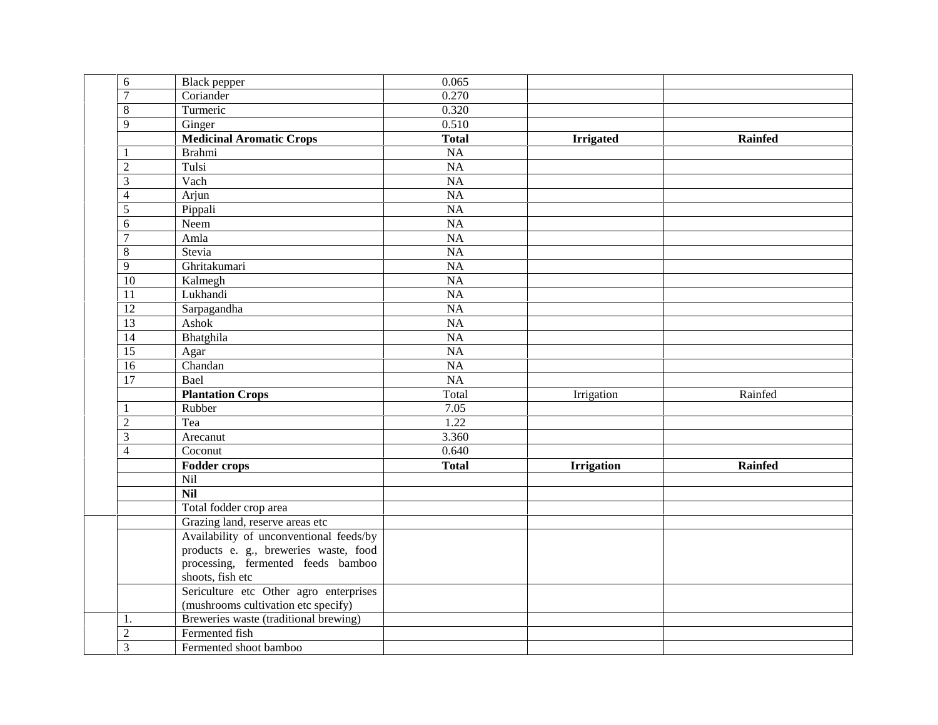| $\sqrt{6}$       | <b>Black</b> pepper                     | 0.065           |                   |                |
|------------------|-----------------------------------------|-----------------|-------------------|----------------|
| $\overline{7}$   | Coriander                               | 0.270           |                   |                |
| $\,8\,$          | Turmeric                                | 0.320           |                   |                |
| 9                | Ginger                                  | 0.510           |                   |                |
|                  | <b>Medicinal Aromatic Crops</b>         | <b>Total</b>    | <b>Irrigated</b>  | <b>Rainfed</b> |
| $\mathbf{1}$     | <b>Brahmi</b>                           | <b>NA</b>       |                   |                |
| $\overline{2}$   | Tulsi                                   | NA              |                   |                |
| $\overline{3}$   | Vach                                    | $\overline{NA}$ |                   |                |
| $\overline{4}$   | Arjun                                   | <b>NA</b>       |                   |                |
| 5                | Pippali                                 | $\overline{NA}$ |                   |                |
| 6                | Neem                                    | $\overline{NA}$ |                   |                |
| $\boldsymbol{7}$ | Amla                                    | $\overline{NA}$ |                   |                |
| 8                | Stevia                                  | NA              |                   |                |
| $\overline{9}$   | Ghritakumari                            | NA              |                   |                |
| $\overline{10}$  | Kalmegh                                 | $\overline{NA}$ |                   |                |
| 11               | Lukhandi                                | $\overline{NA}$ |                   |                |
| $\overline{12}$  | Sarpagandha                             | $\overline{NA}$ |                   |                |
| $\overline{13}$  | Ashok                                   | $\overline{NA}$ |                   |                |
| $\overline{14}$  | Bhatghila                               | $\overline{NA}$ |                   |                |
| $\overline{15}$  | Agar                                    | <b>NA</b>       |                   |                |
| $\overline{16}$  | Chandan                                 | $\overline{NA}$ |                   |                |
| $\overline{17}$  | Bael                                    | NA              |                   |                |
|                  | <b>Plantation Crops</b>                 | Total           | Irrigation        | Rainfed        |
| $\mathbf{1}$     | Rubber                                  | 7.05            |                   |                |
| $\overline{2}$   | Tea                                     | 1.22            |                   |                |
| 3                | Arecanut                                | 3.360           |                   |                |
| $\overline{4}$   | Coconut                                 | 0.640           |                   |                |
|                  | <b>Fodder crops</b>                     | <b>Total</b>    | <b>Irrigation</b> | <b>Rainfed</b> |
|                  | Nil                                     |                 |                   |                |
|                  | <b>Nil</b>                              |                 |                   |                |
|                  | Total fodder crop area                  |                 |                   |                |
|                  | Grazing land, reserve areas etc         |                 |                   |                |
|                  | Availability of unconventional feeds/by |                 |                   |                |
|                  | products e. g., breweries waste, food   |                 |                   |                |
|                  | processing, fermented feeds bamboo      |                 |                   |                |
|                  | shoots, fish etc                        |                 |                   |                |
|                  | Sericulture etc Other agro enterprises  |                 |                   |                |
|                  | (mushrooms cultivation etc specify)     |                 |                   |                |
| 1.               | Breweries waste (traditional brewing)   |                 |                   |                |
| $\overline{c}$   | Fermented fish                          |                 |                   |                |
| $\overline{3}$   | Fermented shoot bamboo                  |                 |                   |                |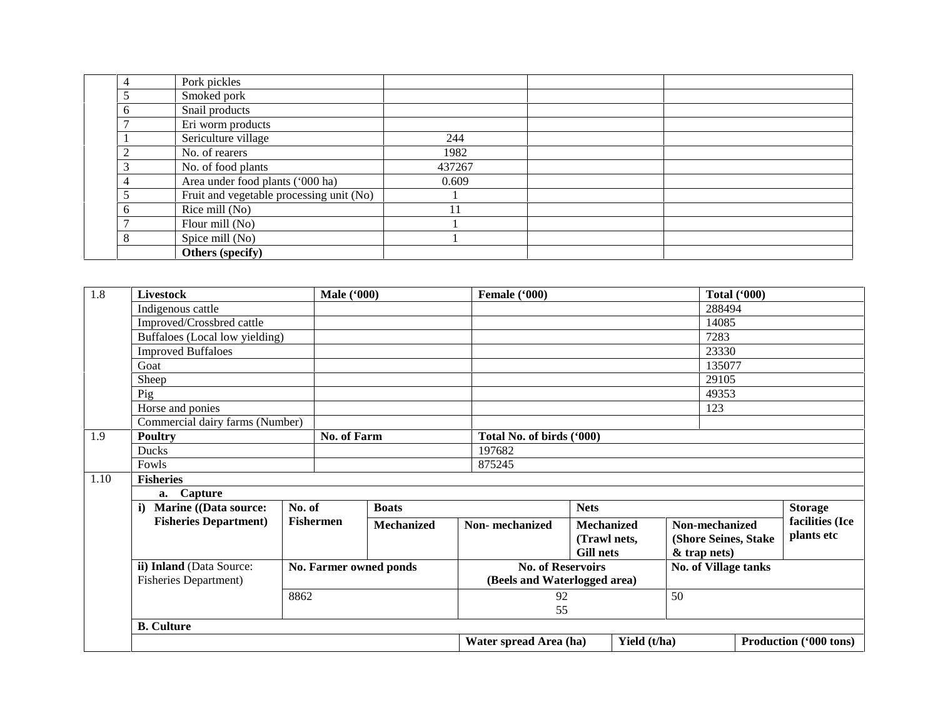|   | Pork pickles                             |        |  |
|---|------------------------------------------|--------|--|
|   | Smoked pork                              |        |  |
|   | Snail products                           |        |  |
|   | Eri worm products                        |        |  |
|   | Sericulture village                      | 244    |  |
|   | No. of rearers                           | 1982   |  |
|   | No. of food plants                       | 437267 |  |
|   | Area under food plants ('000 ha)         | 0.609  |  |
|   | Fruit and vegetable processing unit (No) |        |  |
|   | Rice mill (No)                           | 11     |  |
|   | Flour mill (No)                          |        |  |
| 8 | Spice mill (No)                          |        |  |
|   | Others (specify)                         |        |  |

| 1.8  | <b>Livestock</b>                             |        | <b>Male</b> ('000) |                        | Female ('000) |                           |                              |                   |                      | <b>Total ('000)</b> |                 |
|------|----------------------------------------------|--------|--------------------|------------------------|---------------|---------------------------|------------------------------|-------------------|----------------------|---------------------|-----------------|
|      | Indigenous cattle                            |        |                    |                        |               |                           |                              |                   | 288494               |                     |                 |
|      | Improved/Crossbred cattle                    |        |                    |                        |               |                           |                              |                   | 14085                |                     |                 |
|      | Buffaloes (Local low yielding)               |        |                    |                        |               |                           |                              |                   | 7283                 |                     |                 |
|      | <b>Improved Buffaloes</b>                    |        |                    |                        |               |                           |                              |                   | 23330                |                     |                 |
|      | Goat                                         |        |                    |                        |               |                           |                              |                   | 135077               |                     |                 |
|      | Sheep                                        |        |                    |                        |               |                           |                              |                   | 29105                |                     |                 |
|      | Pig                                          |        |                    |                        |               |                           |                              |                   | 49353                |                     |                 |
|      | Horse and ponies                             |        |                    |                        |               |                           |                              |                   | 123                  |                     |                 |
|      | Commercial dairy farms (Number)              |        |                    |                        |               |                           |                              |                   |                      |                     |                 |
| 1.9  | <b>Poultry</b>                               |        | No. of Farm        |                        |               | Total No. of birds ('000) |                              |                   |                      |                     |                 |
|      | Ducks                                        |        |                    |                        | 197682        |                           |                              |                   |                      |                     |                 |
|      | Fowls                                        |        |                    |                        | 875245        |                           |                              |                   |                      |                     |                 |
| 1.10 | <b>Fisheries</b>                             |        |                    |                        |               |                           |                              |                   |                      |                     |                 |
|      | a. Capture                                   |        |                    |                        |               |                           |                              |                   |                      |                     |                 |
|      | <b>Marine</b> ((Data source:<br>$\mathbf{i}$ | No. of | <b>Boats</b>       |                        | <b>Nets</b>   |                           |                              |                   | <b>Storage</b>       |                     |                 |
|      | <b>Fisheries Department</b> )                |        | <b>Fishermen</b>   | <b>Mechanized</b>      |               | Non-mechanized            |                              | <b>Mechanized</b> | Non-mechanized       |                     | facilities (Ice |
|      |                                              |        |                    |                        |               |                           | (Trawl nets,                 |                   | (Shore Seines, Stake |                     | plants etc      |
|      |                                              |        |                    |                        |               |                           | <b>Gill nets</b>             |                   | $&$ trap nets)       |                     |                 |
|      | ii) Inland (Data Source:                     |        |                    | No. Farmer owned ponds |               |                           | <b>No. of Reservoirs</b>     |                   | No. of Village tanks |                     |                 |
|      | <b>Fisheries Department)</b>                 |        |                    |                        |               |                           | (Beels and Waterlogged area) |                   |                      |                     |                 |
|      | 8862                                         |        |                    |                        |               | 92                        |                              | 50                |                      |                     |                 |
|      |                                              |        |                    |                        |               | 55                        |                              |                   |                      |                     |                 |
|      |                                              |        |                    |                        |               |                           |                              |                   |                      |                     |                 |
|      | <b>B.</b> Culture                            |        |                    |                        |               |                           |                              |                   |                      |                     |                 |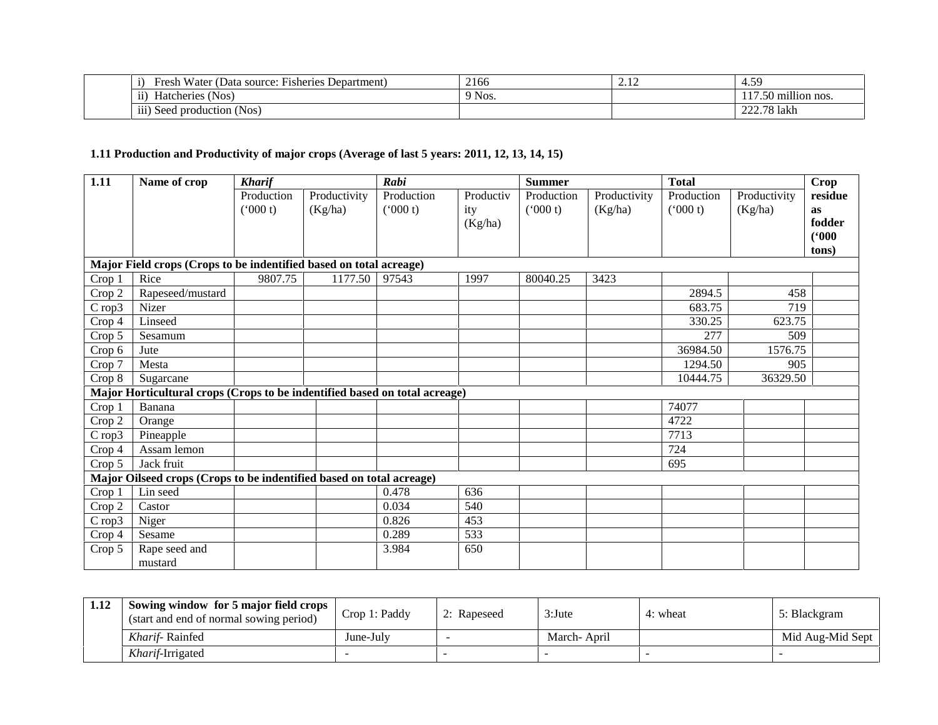| <b>TTT</b><br>$\cdot$<br>$\mathbf{r}$<br>i Water (Data source:<br>: Fisheries Department)<br>$r$ resh | 2166   | <u>.</u> | . 59<br>4.J.                         |
|-------------------------------------------------------------------------------------------------------|--------|----------|--------------------------------------|
| $\cdots$<br>$\sim$<br>Nos.<br>Hatcheries<br>11)                                                       | 9 Nos. |          | <br>) million nos.<br>7.JU           |
| <br>$N$ os<br>111)<br>Seed production (                                                               |        |          | lakh<br>$\Delta \Delta t$<br>70<br>. |

# **1.11 Production and Productivity of major crops (Average of last 5 years: 2011, 12, 13, 14, 15)**

| 1.11   | Name of crop                                                               | <b>Kharif</b>         |                         | Rabi                  |                             | <b>Summer</b>         |                         | <b>Total</b>          |                         | <b>Crop</b>                                      |
|--------|----------------------------------------------------------------------------|-----------------------|-------------------------|-----------------------|-----------------------------|-----------------------|-------------------------|-----------------------|-------------------------|--------------------------------------------------|
|        |                                                                            | Production<br>(000 t) | Productivity<br>(Kg/ha) | Production<br>(000 t) | Productiv<br>ity<br>(Kg/ha) | Production<br>(000 t) | Productivity<br>(Kg/ha) | Production<br>(000 t) | Productivity<br>(Kg/ha) | residue<br><b>as</b><br>fodder<br>(000)<br>tons) |
|        | Major Field crops (Crops to be indentified based on total acreage)         |                       |                         |                       |                             |                       |                         |                       |                         |                                                  |
| Crop 1 | Rice                                                                       | 9807.75               | 1177.50                 | 97543                 | 1997                        | 80040.25              | 3423                    |                       |                         |                                                  |
| Crop 2 | Rapeseed/mustard                                                           |                       |                         |                       |                             |                       |                         | 2894.5                | 458                     |                                                  |
| Crop3  | Nizer                                                                      |                       |                         |                       |                             |                       |                         | 683.75                | 719                     |                                                  |
| Crop 4 | Linseed                                                                    |                       |                         |                       |                             |                       |                         | 330.25                | 623.75                  |                                                  |
| Crop 5 | Sesamum                                                                    |                       |                         |                       |                             |                       |                         | 277                   | 509                     |                                                  |
| Crop 6 | Jute                                                                       |                       |                         |                       |                             |                       |                         | 36984.50              | 1576.75                 |                                                  |
| Crop 7 | Mesta                                                                      |                       |                         |                       |                             |                       |                         | 1294.50               | 905                     |                                                  |
| Crop 8 | Sugarcane                                                                  |                       |                         |                       |                             |                       |                         | 10444.75              | 36329.50                |                                                  |
|        | Major Horticultural crops (Crops to be indentified based on total acreage) |                       |                         |                       |                             |                       |                         |                       |                         |                                                  |
| Crop 1 | Banana                                                                     |                       |                         |                       |                             |                       |                         | 74077                 |                         |                                                  |
| Crop 2 | Orange                                                                     |                       |                         |                       |                             |                       |                         | 4722                  |                         |                                                  |
| Crop3  | Pineapple                                                                  |                       |                         |                       |                             |                       |                         | 7713                  |                         |                                                  |
| Crop 4 | Assam lemon                                                                |                       |                         |                       |                             |                       |                         | 724                   |                         |                                                  |
| Crop 5 | Jack fruit                                                                 |                       |                         |                       |                             |                       |                         | 695                   |                         |                                                  |
|        | Major Oilseed crops (Crops to be indentified based on total acreage)       |                       |                         |                       |                             |                       |                         |                       |                         |                                                  |
| Crop 1 | Lin seed                                                                   |                       |                         | 0.478                 | 636                         |                       |                         |                       |                         |                                                  |
| Crop 2 | Castor                                                                     |                       |                         | 0.034                 | 540                         |                       |                         |                       |                         |                                                  |
| Crop3  | Niger                                                                      |                       |                         | 0.826                 | 453                         |                       |                         |                       |                         |                                                  |
| Crop 4 | Sesame                                                                     |                       |                         | 0.289                 | 533                         |                       |                         |                       |                         |                                                  |
| Crop 5 | Rape seed and                                                              |                       |                         | 3.984                 | 650                         |                       |                         |                       |                         |                                                  |
|        | mustard                                                                    |                       |                         |                       |                             |                       |                         |                       |                         |                                                  |

| 1.12 | Sowing window for 5 major field crops<br>(start and end of normal sowing period) | Crop 1: Paddy | 2: Rapeseed | $3:$ Jute   | 4: wheat | 5: Blackgram     |
|------|----------------------------------------------------------------------------------|---------------|-------------|-------------|----------|------------------|
|      | <i>Kharif-Rainfed</i>                                                            | June-July     |             | March-April |          | Mid Aug-Mid Sept |
|      | <i>Kharif-Irrigated</i>                                                          |               |             |             |          |                  |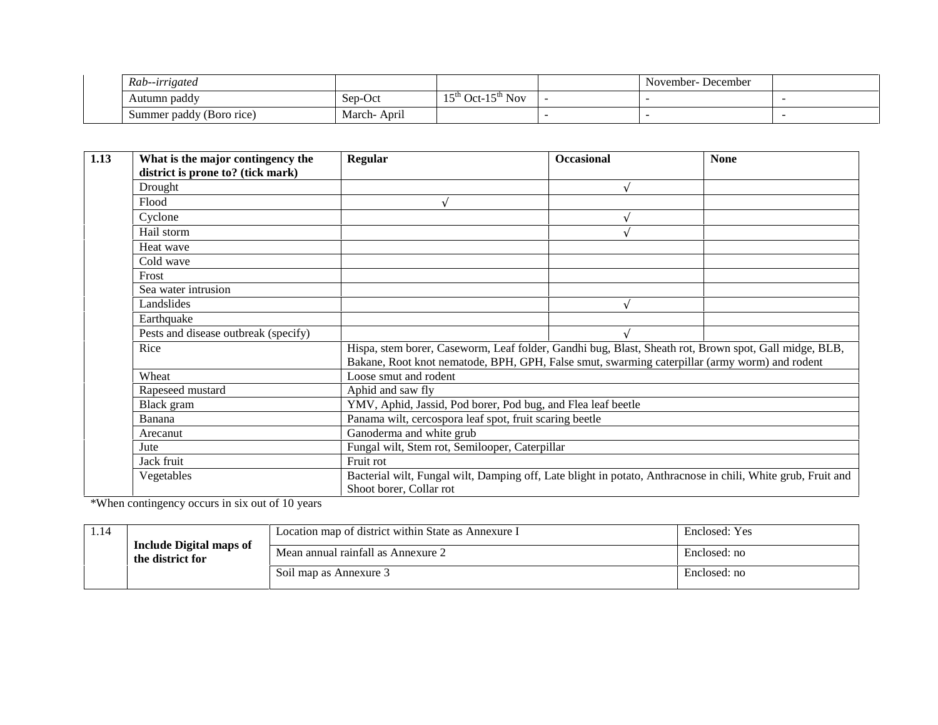| Rab--irrigated           |                                             |                                                              | November-December |  |
|--------------------------|---------------------------------------------|--------------------------------------------------------------|-------------------|--|
| Autumn paddy             | Sep-Oct                                     | $1 \in$ <sup>th</sup><br>$^{\circ}$ Oct-15 <sup>th</sup> Nov |                   |  |
| Summer paddy (Boro rice) | $\overline{\phantom{a}}$<br>March-<br>April |                                                              |                   |  |

| 1.13 | What is the major contingency the    | Regular                                                                                                      | <b>Occasional</b> | <b>None</b> |
|------|--------------------------------------|--------------------------------------------------------------------------------------------------------------|-------------------|-------------|
|      | district is prone to? (tick mark)    |                                                                                                              |                   |             |
|      | Drought                              |                                                                                                              | ð                 |             |
|      | Flood                                | ð                                                                                                            |                   |             |
|      | Cyclone                              |                                                                                                              | ð                 |             |
|      | Hail storm                           |                                                                                                              | ð                 |             |
|      | Heat wave                            |                                                                                                              |                   |             |
|      | Cold wave                            |                                                                                                              |                   |             |
|      | Frost                                |                                                                                                              |                   |             |
|      | Sea water intrusion                  |                                                                                                              |                   |             |
|      | Landslides                           |                                                                                                              | ð                 |             |
|      | Earthquake                           |                                                                                                              |                   |             |
|      | Pests and disease outbreak (specify) |                                                                                                              | ð                 |             |
|      | Rice                                 | Hispa, stem borer, Caseworm, Leaf folder, Gandhi bug, Blast, Sheath rot, Brown spot, Gall midge, BLB,        |                   |             |
|      |                                      | Bakane, Root knot nematode, BPH, GPH, False smut, swarming caterpillar (army worm) and rodent                |                   |             |
|      | Wheat                                | Loose smut and rodent                                                                                        |                   |             |
|      | Rapeseed mustard                     | Aphid and saw fly                                                                                            |                   |             |
|      | Black gram                           | YMV, Aphid, Jassid, Pod borer, Pod bug, and Flea leaf beetle                                                 |                   |             |
|      | Banana                               | Panama wilt, cercospora leaf spot, fruit scaring beetle                                                      |                   |             |
|      | Arecanut                             | Ganoderma and white grub                                                                                     |                   |             |
|      | Jute                                 | Fungal wilt, Stem rot, Semilooper, Caterpillar                                                               |                   |             |
|      | Jack fruit                           | Fruit rot                                                                                                    |                   |             |
|      | Vegetables                           | Bacterial wilt, Fungal wilt, Damping off, Late blight in potato, Anthracnose in chili, White grub, Fruit and |                   |             |
|      |                                      | Shoot borer, Collar rot                                                                                      |                   |             |

\*When contingency occurs in six out of 10 years

|  |                                                    | Location map of district within State as Annexure I | Enclosed: Yes |
|--|----------------------------------------------------|-----------------------------------------------------|---------------|
|  | <b>Include Digital maps of</b><br>the district for | Mean annual rainfall as Annexure 2                  | Enclosed: no  |
|  |                                                    | Soil map as Annexure 3                              | Enclosed: no  |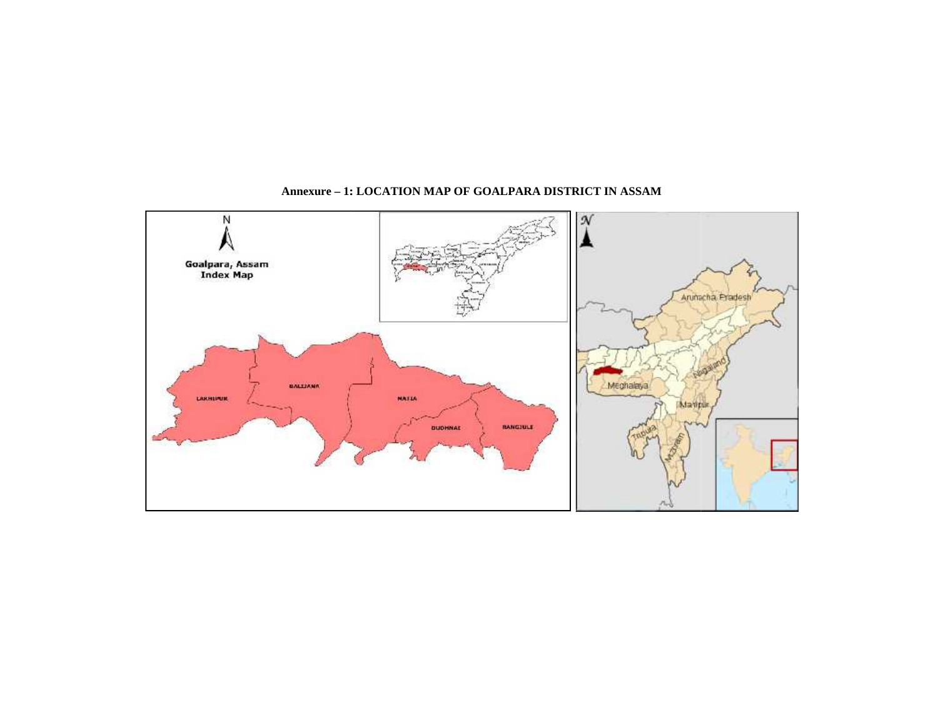

#### **Annexure – 1: LOCATION MAP OF GOALPARA DISTRICT IN ASSAM**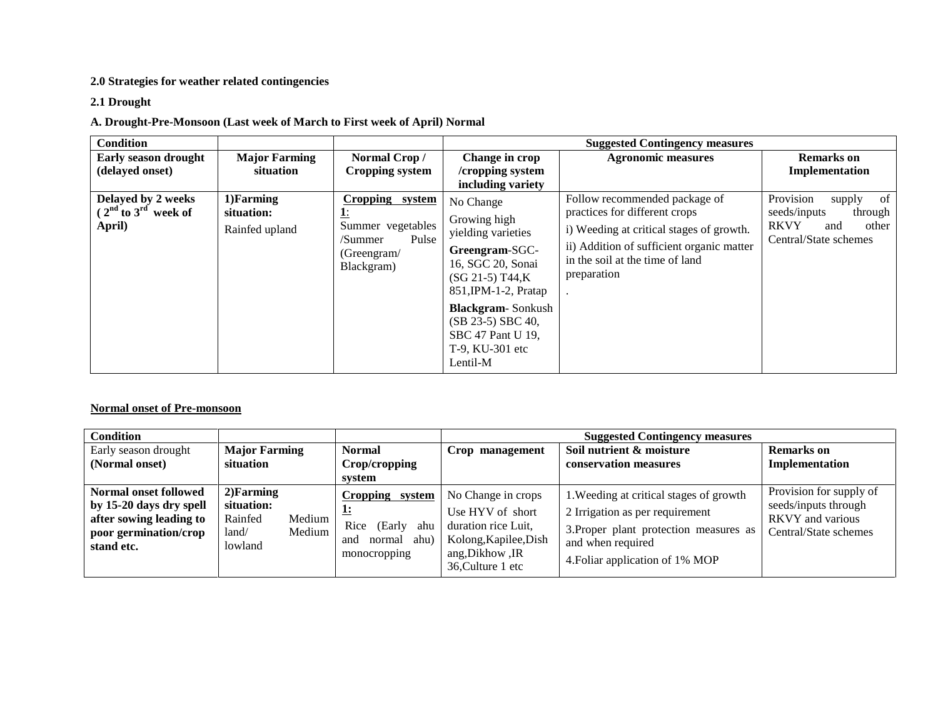#### **2.0 Strategies for weather related contingencies**

### **2.1 Drought**

### **A. Drought-Pre-Monsoon (Last week of March to First week of April) Normal**

| Condition                                               |                                            |                                                                                       |                                                                                                                                        | <b>Suggested Contingency measures</b>                                                                                                                                                                     |                                                                                                              |
|---------------------------------------------------------|--------------------------------------------|---------------------------------------------------------------------------------------|----------------------------------------------------------------------------------------------------------------------------------------|-----------------------------------------------------------------------------------------------------------------------------------------------------------------------------------------------------------|--------------------------------------------------------------------------------------------------------------|
| <b>Early season drought</b><br>(delayed onset)          | <b>Major Farming</b><br>situation          | Normal Crop/<br>Cropping system                                                       | Change in crop<br>/cropping system<br>including variety                                                                                | <b>Agronomic measures</b>                                                                                                                                                                                 | <b>Remarks</b> on<br>Implementation                                                                          |
| Delayed by 2 weeks<br>$(2nd$ to $3rd$ week of<br>April) | 1) Farming<br>situation:<br>Rainfed upland | Cropping system<br>Summer vegetables<br>Pulse<br>/Summer<br>(Greengram/<br>Blackgram) | No Change<br>Growing high<br>yielding varieties<br>Greengram-SGC-<br>16, SGC 20, Sonai<br>$(SG 21-5) T44,K$<br>$851$ , IPM-1-2, Pratap | Follow recommended package of<br>practices for different crops<br>i) Weeding at critical stages of growth.<br>ii) Addition of sufficient organic matter<br>in the soil at the time of land<br>preparation | Provision<br>of<br>supply<br>seeds/inputs<br>through<br><b>RKVY</b><br>other<br>and<br>Central/State schemes |
|                                                         |                                            |                                                                                       | <b>Blackgram-Sonkush</b><br>$(SB 23-5)$ SBC 40,<br>SBC 47 Pant U 19,<br>T-9, KU-301 etc<br>Lentil-M                                    |                                                                                                                                                                                                           |                                                                                                              |

#### **Normal onset of Pre-monsoon**

| <b>Condition</b>                                                                                                          |                                                                               |                                                                                   |                                                                                                                                | <b>Suggested Contingency measures</b>                                                                                                                                        |                                                                                                     |
|---------------------------------------------------------------------------------------------------------------------------|-------------------------------------------------------------------------------|-----------------------------------------------------------------------------------|--------------------------------------------------------------------------------------------------------------------------------|------------------------------------------------------------------------------------------------------------------------------------------------------------------------------|-----------------------------------------------------------------------------------------------------|
| Early season drought<br>(Normal onset)                                                                                    | <b>Major Farming</b><br>situation                                             | <b>Normal</b><br>Crop/cropping<br>system                                          | Crop management                                                                                                                | Soil nutrient & moisture<br>conservation measures                                                                                                                            | <b>Remarks</b> on<br>Implementation                                                                 |
| <b>Normal onset followed</b><br>by 15-20 days dry spell<br>after sowing leading to<br>poor germination/crop<br>stand etc. | $2)$ Farming<br>situation:<br>Rainfed<br>Medium<br>Medium<br>land/<br>lowland | Cropping system<br>Rice<br>(Early<br>ahu<br>ahu)<br>and<br>normal<br>monocropping | No Change in crops<br>Use HYV of short<br>duration rice Luit,<br>Kolong, Kapilee, Dish<br>ang, Dikhow, IR<br>36, Culture 1 etc | 1. Weeding at critical stages of growth<br>2 Irrigation as per requirement<br>3. Proper plant protection measures as<br>and when required<br>4. Foliar application of 1% MOP | Provision for supply of<br>seeds/inputs through<br><b>RKVY</b> and various<br>Central/State schemes |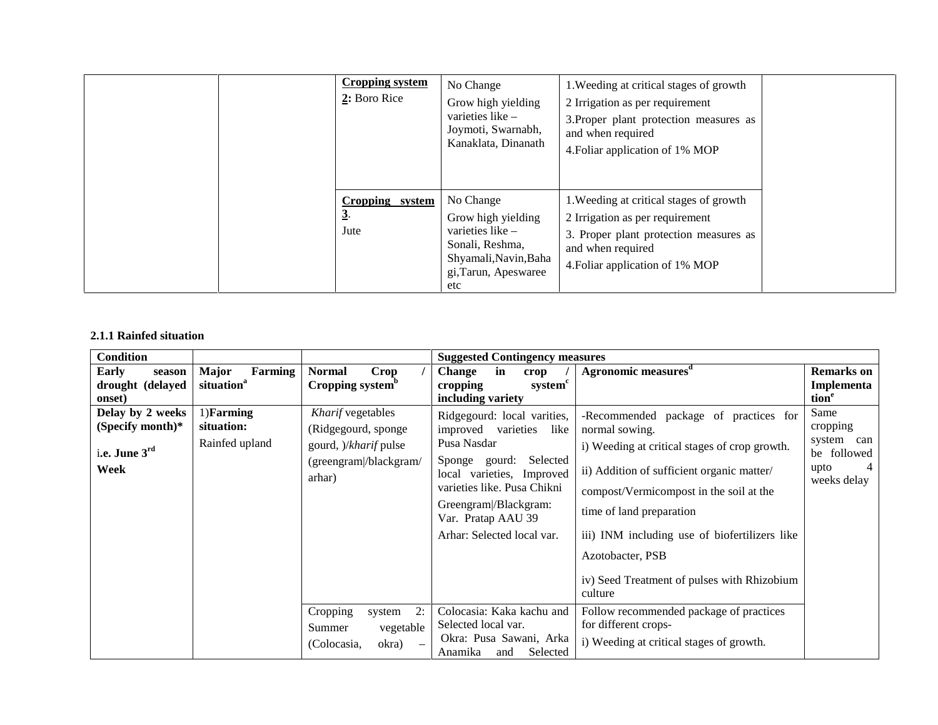|                | <b>Cropping system</b><br>$2:$ Boro Rice | No Change<br>Grow high yielding<br>varieties like -<br>Joymoti, Swarnabh,<br>Kanaklata, Dinanath                               | 1. Weeding at critical stages of growth<br>2 Irrigation as per requirement<br>3. Proper plant protection measures as<br>and when required<br>4. Foliar application of 1% MOP |  |
|----------------|------------------------------------------|--------------------------------------------------------------------------------------------------------------------------------|------------------------------------------------------------------------------------------------------------------------------------------------------------------------------|--|
| 3 <sup>2</sup> | Cropping system<br>Jute                  | No Change<br>Grow high yielding<br>varieties like -<br>Sonali, Reshma,<br>Shyamali, Navin, Baha<br>gi, Tarun, Apeswaree<br>etc | 1. Weeding at critical stages of growth<br>2 Irrigation as per requirement<br>3. Proper plant protection measures as<br>and when required<br>4. Foliar application of 1% MOP |  |

#### **2.1.1 Rainfed situation**

| <b>Condition</b>                                                 |                                                   |                                                                                                             | <b>Suggested Contingency measures</b>                                                                                                                                                                                                          |                                                                                                                                                                                                                                                                                                                                                              |                                                                              |
|------------------------------------------------------------------|---------------------------------------------------|-------------------------------------------------------------------------------------------------------------|------------------------------------------------------------------------------------------------------------------------------------------------------------------------------------------------------------------------------------------------|--------------------------------------------------------------------------------------------------------------------------------------------------------------------------------------------------------------------------------------------------------------------------------------------------------------------------------------------------------------|------------------------------------------------------------------------------|
| Early<br>season<br>drought (delayed<br>onset)                    | <b>Major</b><br>Farming<br>situation <sup>a</sup> | <b>Normal</b><br>Crop<br>Cropping system <sup>b</sup>                                                       | Change<br>in<br>crop<br>system <sup>c</sup><br>cropping<br>including variety                                                                                                                                                                   | Agronomic measures <sup>d</sup>                                                                                                                                                                                                                                                                                                                              | <b>Remarks</b> on<br>Implementa<br>tion <sup>e</sup>                         |
| Delay by 2 weeks<br>(Specify month) $*$<br>i.e. June 3rd<br>Week | $1)$ Farming<br>situation:<br>Rainfed upland      | Kharif vegetables<br>(Ridgegourd, sponge<br>gourd, <i>)/kharif</i> pulse<br>(greengram/blackgram/<br>arhar) | Ridgegourd: local varities,<br>improved varieties<br>like<br>Pusa Nasdar<br>Selected<br>Sponge gourd:<br>local varieties, Improved<br>varieties like. Pusa Chikni<br>Greengram /Blackgram:<br>Var. Pratap AAU 39<br>Arhar: Selected local var. | -Recommended package of practices for<br>normal sowing.<br>i) Weeding at critical stages of crop growth.<br>ii) Addition of sufficient organic matter/<br>compost/Vermicompost in the soil at the<br>time of land preparation<br>iii) INM including use of biofertilizers like<br>Azotobacter, PSB<br>iv) Seed Treatment of pulses with Rhizobium<br>culture | Same<br>cropping<br>system<br>can<br>be followed<br>upto<br>4<br>weeks delay |
|                                                                  |                                                   | Cropping<br>2:<br>system<br>vegetable<br>Summer<br>(Colocasia,<br>okra)                                     | Colocasia: Kaka kachu and<br>Selected local var.<br>Okra: Pusa Sawani, Arka<br>Selected<br>Anamika<br>and                                                                                                                                      | Follow recommended package of practices<br>for different crops-<br>i) Weeding at critical stages of growth.                                                                                                                                                                                                                                                  |                                                                              |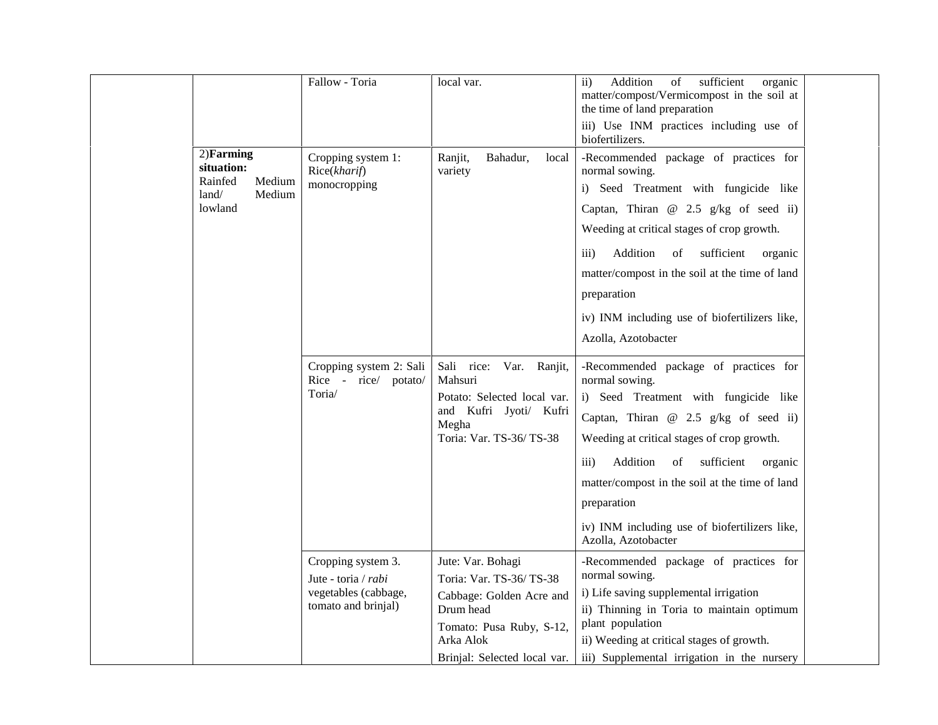|                                                                               | Fallow - Toria                                                                           | local var.                                                                                                                                                     | Addition<br>$% \left( \left( \mathcal{A},\mathcal{A}\right) \right) =\left( \mathcal{A},\mathcal{A}\right)$ of<br>sufficient<br>$\mathbf{ii}$<br>organic<br>matter/compost/Vermicompost in the soil at<br>the time of land preparation<br>iii) Use INM practices including use of<br>biofertilizers.                                                                                              |  |
|-------------------------------------------------------------------------------|------------------------------------------------------------------------------------------|----------------------------------------------------------------------------------------------------------------------------------------------------------------|---------------------------------------------------------------------------------------------------------------------------------------------------------------------------------------------------------------------------------------------------------------------------------------------------------------------------------------------------------------------------------------------------|--|
| $2)$ Farming<br>situation:<br>Rainfed<br>Medium<br>Medium<br>land/<br>lowland | Cropping system 1:<br>Rice(kharif)<br>monocropping                                       | Ranjit,<br>Bahadur,<br>local<br>variety                                                                                                                        | -Recommended package of practices for<br>normal sowing.<br>i) Seed Treatment with fungicide like<br>Captan, Thiran $@$ 2.5 g/kg of seed ii)<br>Weeding at critical stages of crop growth.<br>Addition<br>sufficient<br>$\overline{iii}$<br>of<br>organic<br>matter/compost in the soil at the time of land<br>preparation<br>iv) INM including use of biofertilizers like,<br>Azolla, Azotobacter |  |
|                                                                               | Cropping system 2: Sali<br>Rice - rice/ potato/<br>Toria/                                | Sali rice: Var. Ranjit,<br>Mahsuri<br>Potato: Selected local var.<br>and Kufri Jyoti/ Kufri<br>Megha<br>Toria: Var. TS-36/TS-38                                | -Recommended package of practices for<br>normal sowing.<br>i) Seed Treatment with fungicide like<br>Captan, Thiran $@$ 2.5 g/kg of seed ii)<br>Weeding at critical stages of crop growth.<br>Addition<br>of<br>sufficient<br>$\overline{111}$<br>organic<br>matter/compost in the soil at the time of land<br>preparation<br>iv) INM including use of biofertilizers like,<br>Azolla, Azotobacter |  |
|                                                                               | Cropping system 3.<br>Jute - toria / rabi<br>vegetables (cabbage,<br>tomato and brinjal) | Jute: Var. Bohagi<br>Toria: Var. TS-36/TS-38<br>Cabbage: Golden Acre and<br>Drum head<br>Tomato: Pusa Ruby, S-12,<br>Arka Alok<br>Brinjal: Selected local var. | -Recommended package of practices for<br>normal sowing.<br>i) Life saving supplemental irrigation<br>ii) Thinning in Toria to maintain optimum<br>plant population<br>ii) Weeding at critical stages of growth.<br>iii) Supplemental irrigation in the nursery                                                                                                                                    |  |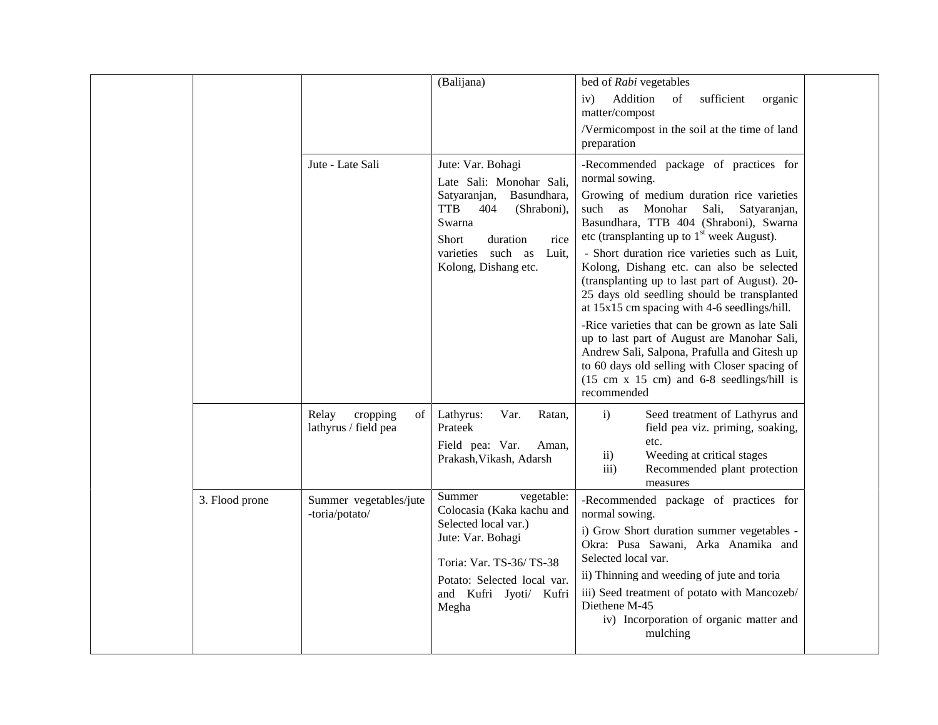|                |                                                 | (Balijana)                                                                                                                                                                                  | bed of Rabi vegetables                                                                                                                                                                                                                                                                                                                    |
|----------------|-------------------------------------------------|---------------------------------------------------------------------------------------------------------------------------------------------------------------------------------------------|-------------------------------------------------------------------------------------------------------------------------------------------------------------------------------------------------------------------------------------------------------------------------------------------------------------------------------------------|
|                |                                                 |                                                                                                                                                                                             | Addition<br>of<br>sufficient<br>iv)<br>organic<br>matter/compost                                                                                                                                                                                                                                                                          |
|                |                                                 |                                                                                                                                                                                             | /Vermicompost in the soil at the time of land<br>preparation                                                                                                                                                                                                                                                                              |
|                | Jute - Late Sali                                | Jute: Var. Bohagi<br>Late Sali: Monohar Sali,                                                                                                                                               | -Recommended package of practices for<br>normal sowing.                                                                                                                                                                                                                                                                                   |
|                |                                                 | Satyaranjan,<br>Basundhara,<br><b>TTB</b><br>404<br>(Shraboni),<br>Swarna<br>duration<br><b>Short</b><br>rice                                                                               | Growing of medium duration rice varieties<br>such as Monohar<br>Sali,<br>Satyaranjan,<br>Basundhara, TTB 404 (Shraboni), Swarna<br>etc (transplanting up to $1st$ week August).                                                                                                                                                           |
|                |                                                 | varieties such as<br>Luit,<br>Kolong, Dishang etc.                                                                                                                                          | - Short duration rice varieties such as Luit,<br>Kolong, Dishang etc. can also be selected<br>(transplanting up to last part of August). 20-<br>25 days old seedling should be transplanted<br>at 15x15 cm spacing with 4-6 seedlings/hill.                                                                                               |
|                |                                                 |                                                                                                                                                                                             | -Rice varieties that can be grown as late Sali<br>up to last part of August are Manohar Sali,<br>Andrew Sali, Salpona, Prafulla and Gitesh up<br>to 60 days old selling with Closer spacing of<br>$(15 \text{ cm } x \ 15 \text{ cm})$ and $6-8$ seedlings/hill is<br>recommended                                                         |
|                | Relay<br>cropping<br>of<br>lathyrus / field pea | Lathyrus:<br>Var.<br>Ratan,<br>Prateek                                                                                                                                                      | Seed treatment of Lathyrus and<br>$\mathbf{i}$<br>field pea viz. priming, soaking,                                                                                                                                                                                                                                                        |
|                |                                                 | Field pea: Var.<br>Aman,<br>Prakash, Vikash, Adarsh                                                                                                                                         | etc.<br>Weeding at critical stages<br>$\mathbf{ii}$<br>Recommended plant protection<br>$\overline{111}$ )<br>measures                                                                                                                                                                                                                     |
| 3. Flood prone | Summer vegetables/jute<br>-toria/potato/        | vegetable:<br>Summer<br>Colocasia (Kaka kachu and<br>Selected local var.)<br>Jute: Var. Bohagi<br>Toria: Var. TS-36/TS-38<br>Potato: Selected local var.<br>and Kufri Jyoti/ Kufri<br>Megha | -Recommended package of practices for<br>normal sowing.<br>i) Grow Short duration summer vegetables -<br>Okra: Pusa Sawani, Arka Anamika and<br>Selected local var.<br>ii) Thinning and weeding of jute and toria<br>iii) Seed treatment of potato with Mancozeb/<br>Diethene M-45<br>iv) Incorporation of organic matter and<br>mulching |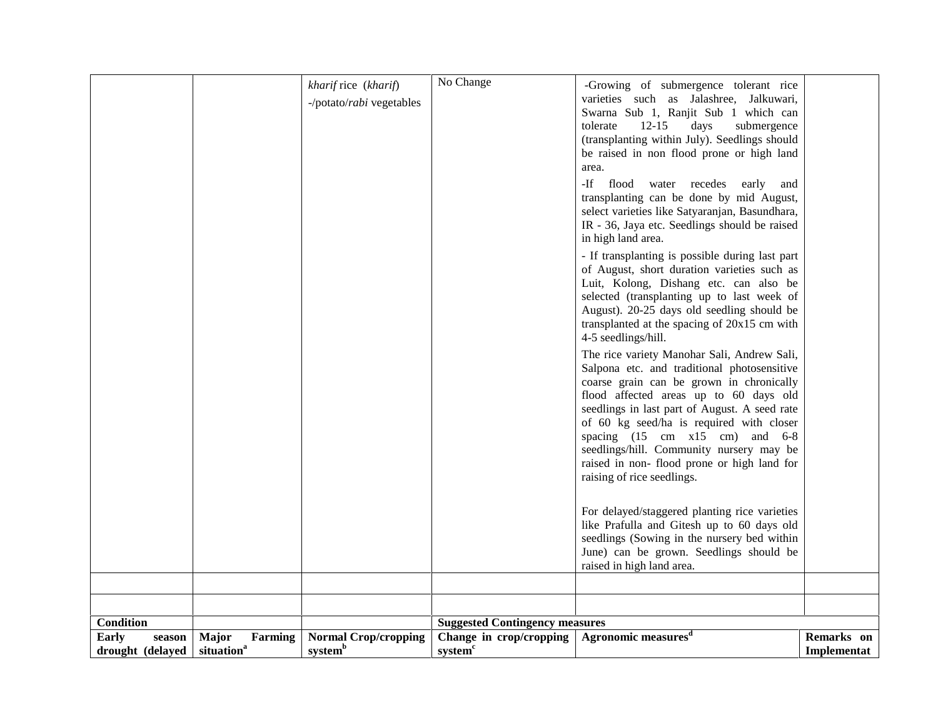| <b>Condition</b><br><b>Suggested Contingency measures</b> |
|-----------------------------------------------------------|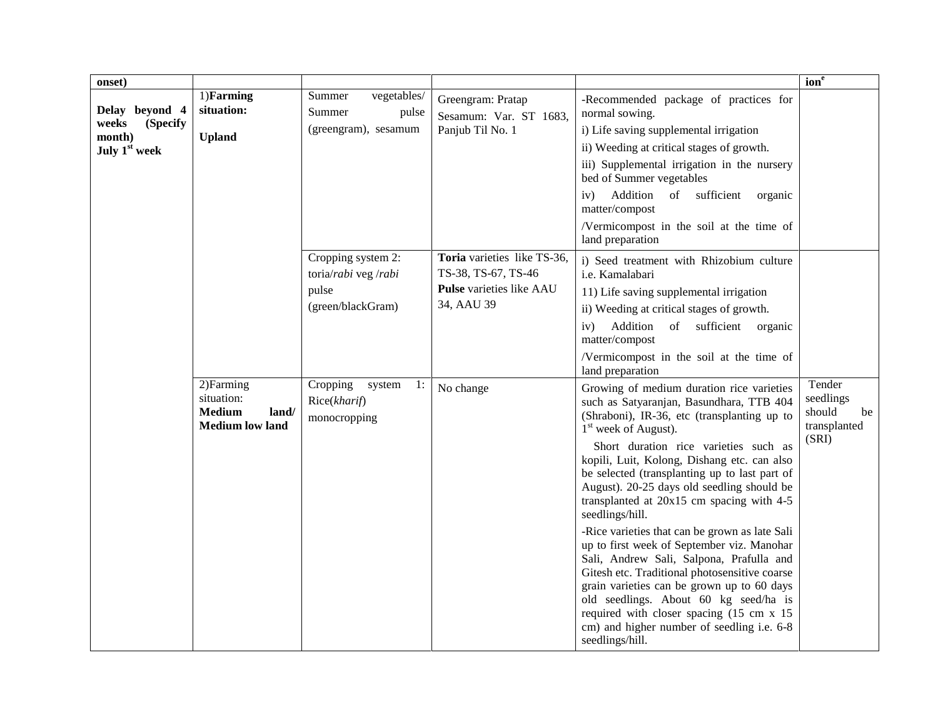| onset)                      |                                                                              |                                                          |                                                    |                                                                                                                                                                                                                                                                                                                                                                                                | $\overline{\text{ion}^e}$                           |
|-----------------------------|------------------------------------------------------------------------------|----------------------------------------------------------|----------------------------------------------------|------------------------------------------------------------------------------------------------------------------------------------------------------------------------------------------------------------------------------------------------------------------------------------------------------------------------------------------------------------------------------------------------|-----------------------------------------------------|
| Delay beyond 4              | 1)Farming<br>situation:                                                      | vegetables/<br>Summer<br>Summer<br>pulse                 | Greengram: Pratap<br>Sesamum: Var. ST 1683,        | -Recommended package of practices for<br>normal sowing.                                                                                                                                                                                                                                                                                                                                        |                                                     |
| weeks<br>(Specify<br>month) | <b>Upland</b>                                                                | (greengram), sesamum                                     | Panjub Til No. 1                                   | i) Life saving supplemental irrigation                                                                                                                                                                                                                                                                                                                                                         |                                                     |
| July 1 <sup>st</sup> week   |                                                                              |                                                          |                                                    | ii) Weeding at critical stages of growth.                                                                                                                                                                                                                                                                                                                                                      |                                                     |
|                             |                                                                              |                                                          |                                                    | iii) Supplemental irrigation in the nursery<br>bed of Summer vegetables                                                                                                                                                                                                                                                                                                                        |                                                     |
|                             |                                                                              |                                                          |                                                    | Addition<br>of sufficient<br>iv)<br>organic<br>matter/compost                                                                                                                                                                                                                                                                                                                                  |                                                     |
|                             |                                                                              |                                                          |                                                    | /Vermicompost in the soil at the time of<br>land preparation                                                                                                                                                                                                                                                                                                                                   |                                                     |
|                             |                                                                              | Cropping system 2:<br>toria/rabi veg /rabi               | Toria varieties like TS-36,<br>TS-38, TS-67, TS-46 | i) Seed treatment with Rhizobium culture<br>i.e. Kamalabari                                                                                                                                                                                                                                                                                                                                    |                                                     |
|                             |                                                                              | pulse                                                    | Pulse varieties like AAU                           | 11) Life saving supplemental irrigation                                                                                                                                                                                                                                                                                                                                                        |                                                     |
|                             |                                                                              | (green/blackGram)                                        | 34, AAU 39                                         | ii) Weeding at critical stages of growth.                                                                                                                                                                                                                                                                                                                                                      |                                                     |
|                             |                                                                              |                                                          |                                                    | Addition<br>of sufficient organic<br>iv)<br>matter/compost                                                                                                                                                                                                                                                                                                                                     |                                                     |
|                             |                                                                              |                                                          |                                                    | /Vermicompost in the soil at the time of<br>land preparation                                                                                                                                                                                                                                                                                                                                   |                                                     |
|                             | 2) Farming<br>situation:<br><b>Medium</b><br>land/<br><b>Medium</b> low land | Cropping<br>1:<br>system<br>Rice(kharif)<br>monocropping | No change                                          | Growing of medium duration rice varieties<br>such as Satyaranjan, Basundhara, TTB 404<br>(Shraboni), IR-36, etc (transplanting up to<br>$1st$ week of August).                                                                                                                                                                                                                                 | Tender<br>seedlings<br>should<br>be<br>transplanted |
|                             |                                                                              |                                                          |                                                    | Short duration rice varieties such as<br>kopili, Luit, Kolong, Dishang etc. can also<br>be selected (transplanting up to last part of<br>August). 20-25 days old seedling should be<br>transplanted at 20x15 cm spacing with 4-5<br>seedlings/hill.                                                                                                                                            | (SRI)                                               |
|                             |                                                                              |                                                          |                                                    | -Rice varieties that can be grown as late Sali<br>up to first week of September viz. Manohar<br>Sali, Andrew Sali, Salpona, Prafulla and<br>Gitesh etc. Traditional photosensitive coarse<br>grain varieties can be grown up to 60 days<br>old seedlings. About 60 kg seed/ha is<br>required with closer spacing (15 cm x 15)<br>cm) and higher number of seedling i.e. 6-8<br>seedlings/hill. |                                                     |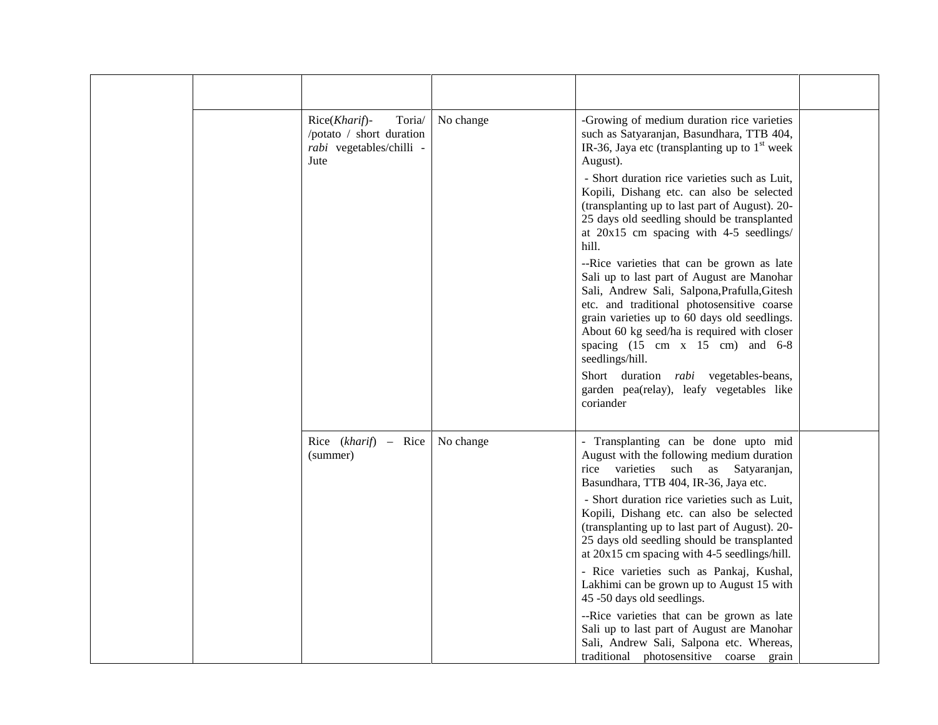| Rice(Kharif)-<br>Toria/<br>/potato / short duration<br>rabi vegetables/chilli -<br>Jute | No change | -Growing of medium duration rice varieties<br>such as Satyaranjan, Basundhara, TTB 404,<br>IR-36, Jaya etc (transplanting up to $1st$ week<br>August).<br>- Short duration rice varieties such as Luit,<br>Kopili, Dishang etc. can also be selected<br>(transplanting up to last part of August). 20-<br>25 days old seedling should be transplanted<br>at $20x15$ cm spacing with 4-5 seedlings/<br>hill.<br>--Rice varieties that can be grown as late<br>Sali up to last part of August are Manohar<br>Sali, Andrew Sali, Salpona, Prafulla, Gitesh<br>etc. and traditional photosensitive coarse<br>grain varieties up to 60 days old seedlings.<br>About 60 kg seed/ha is required with closer<br>spacing $(15 \text{ cm} \times 15 \text{ cm})$ and $6-8$<br>seedlings/hill.<br>Short duration <i>rabi</i> vegetables-beans,<br>garden pea(relay), leafy vegetables like<br>coriander |  |
|-----------------------------------------------------------------------------------------|-----------|----------------------------------------------------------------------------------------------------------------------------------------------------------------------------------------------------------------------------------------------------------------------------------------------------------------------------------------------------------------------------------------------------------------------------------------------------------------------------------------------------------------------------------------------------------------------------------------------------------------------------------------------------------------------------------------------------------------------------------------------------------------------------------------------------------------------------------------------------------------------------------------------|--|
| Rice $(kharif)$ – Rice<br>(summer)                                                      | No change | - Transplanting can be done upto mid<br>August with the following medium duration<br>rice varieties<br>such<br>as<br>Satyaranjan,<br>Basundhara, TTB 404, IR-36, Jaya etc.<br>- Short duration rice varieties such as Luit,<br>Kopili, Dishang etc. can also be selected<br>(transplanting up to last part of August). 20-<br>25 days old seedling should be transplanted<br>at $20x15$ cm spacing with 4-5 seedlings/hill.<br>- Rice varieties such as Pankaj, Kushal,<br>Lakhimi can be grown up to August 15 with<br>45 -50 days old seedlings.<br>--Rice varieties that can be grown as late<br>Sali up to last part of August are Manohar<br>Sali, Andrew Sali, Salpona etc. Whereas,<br>traditional photosensitive coarse grain                                                                                                                                                        |  |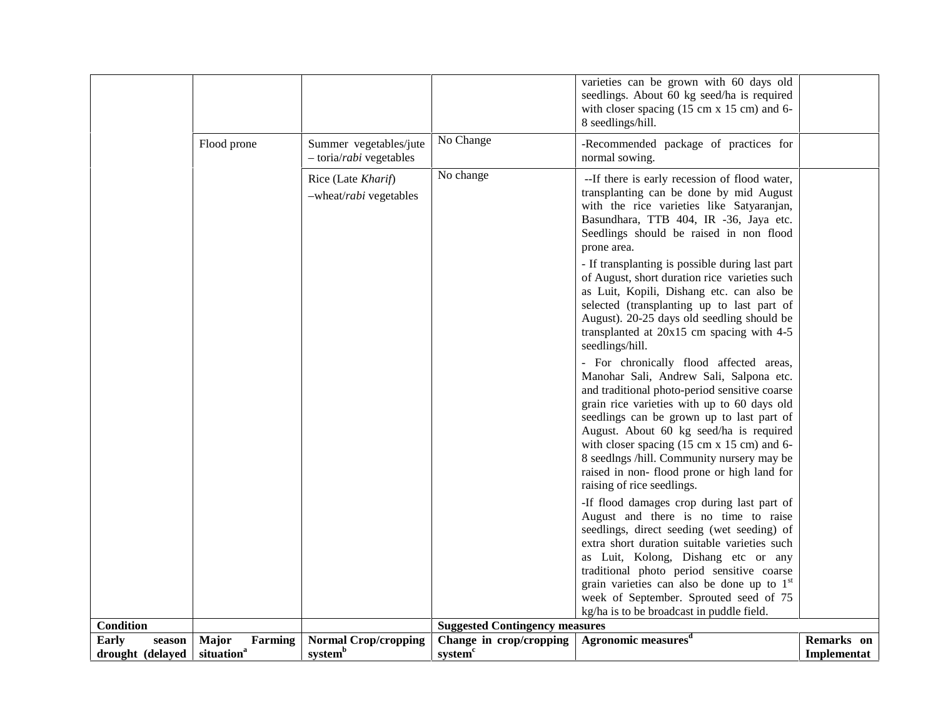| <b>Early</b><br>season | Major<br>Farming | <b>Normal Crop/cropping</b><br>system <sup>b</sup> | Change in crop/cropping               | Agronomic measures <sup>d</sup>                                                                                 | Remarks on |
|------------------------|------------------|----------------------------------------------------|---------------------------------------|-----------------------------------------------------------------------------------------------------------------|------------|
| <b>Condition</b>       |                  |                                                    | <b>Suggested Contingency measures</b> |                                                                                                                 |            |
|                        |                  |                                                    |                                       | kg/ha is to be broadcast in puddle field.                                                                       |            |
|                        |                  |                                                    |                                       | grain varieties can also be done up to $1st$<br>week of September. Sprouted seed of 75                          |            |
|                        |                  |                                                    |                                       | traditional photo period sensitive coarse                                                                       |            |
|                        |                  |                                                    |                                       | as Luit, Kolong, Dishang etc or any                                                                             |            |
|                        |                  |                                                    |                                       | extra short duration suitable varieties such                                                                    |            |
|                        |                  |                                                    |                                       | seedlings, direct seeding (wet seeding) of                                                                      |            |
|                        |                  |                                                    |                                       | August and there is no time to raise                                                                            |            |
|                        |                  |                                                    |                                       | -If flood damages crop during last part of                                                                      |            |
|                        |                  |                                                    |                                       | raising of rice seedlings.                                                                                      |            |
|                        |                  |                                                    |                                       | raised in non- flood prone or high land for                                                                     |            |
|                        |                  |                                                    |                                       | 8 seedlngs /hill. Community nursery may be                                                                      |            |
|                        |                  |                                                    |                                       | with closer spacing (15 cm x 15 cm) and 6-                                                                      |            |
|                        |                  |                                                    |                                       | August. About 60 kg seed/ha is required                                                                         |            |
|                        |                  |                                                    |                                       | seedlings can be grown up to last part of                                                                       |            |
|                        |                  |                                                    |                                       | and traditional photo-period sensitive coarse<br>grain rice varieties with up to 60 days old                    |            |
|                        |                  |                                                    |                                       | Manohar Sali, Andrew Sali, Salpona etc.                                                                         |            |
|                        |                  |                                                    |                                       | - For chronically flood affected areas,                                                                         |            |
|                        |                  |                                                    |                                       | seedlings/hill.                                                                                                 |            |
|                        |                  |                                                    |                                       | transplanted at 20x15 cm spacing with 4-5                                                                       |            |
|                        |                  |                                                    |                                       | August). 20-25 days old seedling should be                                                                      |            |
|                        |                  |                                                    |                                       | selected (transplanting up to last part of                                                                      |            |
|                        |                  |                                                    |                                       | as Luit, Kopili, Dishang etc. can also be                                                                       |            |
|                        |                  |                                                    |                                       | of August, short duration rice varieties such                                                                   |            |
|                        |                  |                                                    |                                       | - If transplanting is possible during last part                                                                 |            |
|                        |                  |                                                    |                                       | prone area.                                                                                                     |            |
|                        |                  |                                                    |                                       | Seedlings should be raised in non flood                                                                         |            |
|                        |                  |                                                    |                                       | Basundhara, TTB 404, IR -36, Jaya etc.                                                                          |            |
|                        |                  |                                                    |                                       | with the rice varieties like Satyaranjan,                                                                       |            |
|                        |                  | -wheat/rabi vegetables                             |                                       | transplanting can be done by mid August                                                                         |            |
|                        |                  | Rice (Late Kharif)                                 | No change                             | --If there is early recession of flood water,                                                                   |            |
|                        |                  | - toria/rabi vegetables                            |                                       | normal sowing.                                                                                                  |            |
|                        | Flood prone      | Summer vegetables/jute                             | No Change                             | -Recommended package of practices for                                                                           |            |
|                        |                  |                                                    |                                       |                                                                                                                 |            |
|                        |                  |                                                    |                                       | 8 seedlings/hill.                                                                                               |            |
|                        |                  |                                                    |                                       | seedlings. About 60 kg seed/ha is required<br>with closer spacing $(15 \text{ cm} \times 15 \text{ cm})$ and 6- |            |
|                        |                  |                                                    |                                       | varieties can be grown with 60 days old                                                                         |            |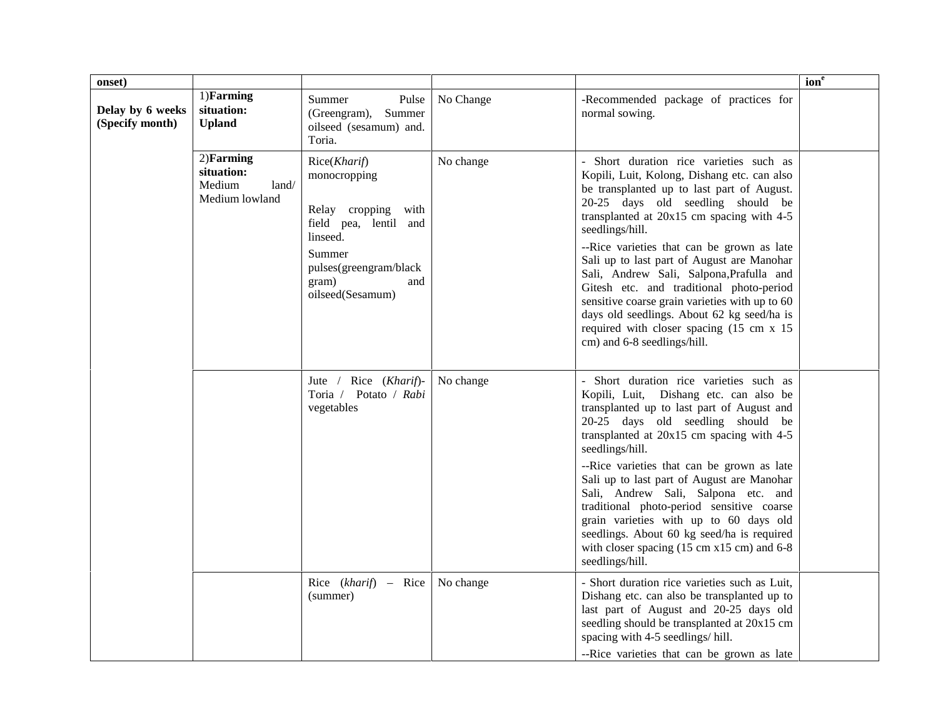| onset)                              |                                                                 |                                                                                                                                                                  |           |                                                                                                                                                                                                                                                                                                                                                                                                                                                                                                                                                                                                          |                  |
|-------------------------------------|-----------------------------------------------------------------|------------------------------------------------------------------------------------------------------------------------------------------------------------------|-----------|----------------------------------------------------------------------------------------------------------------------------------------------------------------------------------------------------------------------------------------------------------------------------------------------------------------------------------------------------------------------------------------------------------------------------------------------------------------------------------------------------------------------------------------------------------------------------------------------------------|------------------|
| Delay by 6 weeks<br>(Specify month) | 1)Farming<br>situation:<br><b>Upland</b>                        | Summer<br>Pulse<br>Summer<br>(Greengram),<br>oilseed (sesamum) and.<br>Toria.                                                                                    | No Change | -Recommended package of practices for<br>normal sowing.                                                                                                                                                                                                                                                                                                                                                                                                                                                                                                                                                  | ion <sup>e</sup> |
|                                     | $2)$ Farming<br>situation:<br>Medium<br>land/<br>Medium lowland | Rice(Kharif)<br>monocropping<br>Relay cropping with<br>field pea, lentil and<br>linseed.<br>Summer<br>pulses(greengram/black<br>gram)<br>and<br>oilseed(Sesamum) | No change | - Short duration rice varieties such as<br>Kopili, Luit, Kolong, Dishang etc. can also<br>be transplanted up to last part of August.<br>20-25 days old seedling should be<br>transplanted at 20x15 cm spacing with 4-5<br>seedlings/hill.<br>--Rice varieties that can be grown as late<br>Sali up to last part of August are Manohar<br>Sali, Andrew Sali, Salpona, Prafulla and<br>Gitesh etc. and traditional photo-period<br>sensitive coarse grain varieties with up to 60<br>days old seedlings. About 62 kg seed/ha is<br>required with closer spacing (15 cm x 15<br>cm) and 6-8 seedlings/hill. |                  |
|                                     |                                                                 | Rice (Kharif)-<br>Jute $/$<br>Toria / Potato / Rabi<br>vegetables                                                                                                | No change | - Short duration rice varieties such as<br>Kopili, Luit, Dishang etc. can also be<br>transplanted up to last part of August and<br>20-25 days old seedling should be<br>transplanted at 20x15 cm spacing with 4-5<br>seedlings/hill.<br>--Rice varieties that can be grown as late<br>Sali up to last part of August are Manohar<br>Sali, Andrew Sali, Salpona etc. and<br>traditional photo-period sensitive coarse<br>grain varieties with up to 60 days old<br>seedlings. About 60 kg seed/ha is required<br>with closer spacing (15 cm x15 cm) and 6-8<br>seedlings/hill.                            |                  |
|                                     |                                                                 | Rice $(kharif)$ – Rice<br>(summer)                                                                                                                               | No change | - Short duration rice varieties such as Luit,<br>Dishang etc. can also be transplanted up to<br>last part of August and 20-25 days old<br>seedling should be transplanted at 20x15 cm<br>spacing with 4-5 seedlings/hill.<br>--Rice varieties that can be grown as late                                                                                                                                                                                                                                                                                                                                  |                  |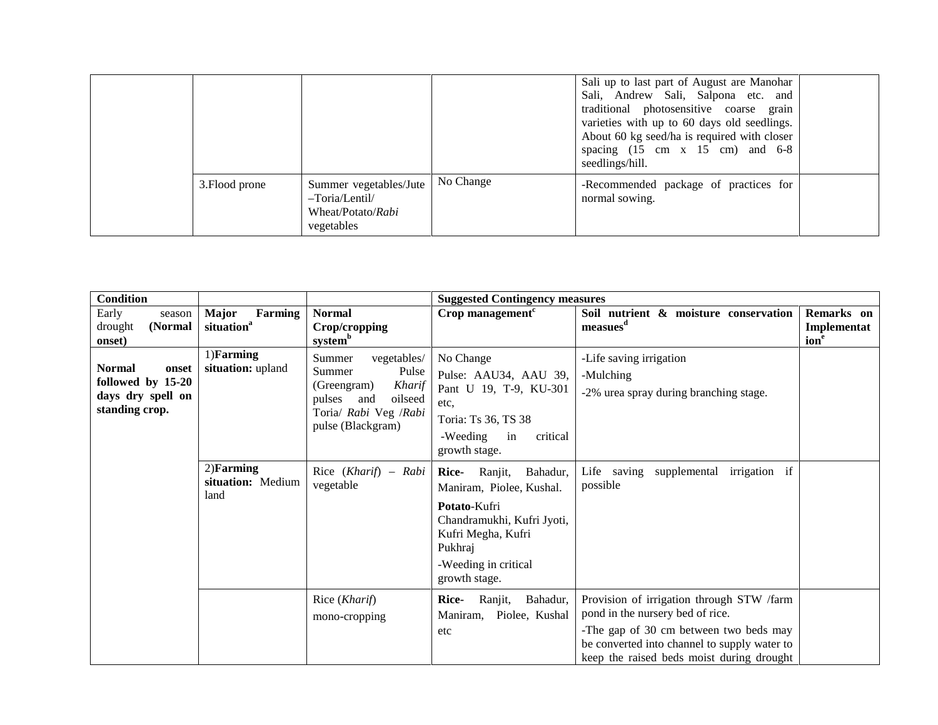|                |                                                                             |           | Sali up to last part of August are Manohar<br>Sali, Andrew Sali, Salpona etc. and<br>traditional photosensitive coarse grain<br>varieties with up to 60 days old seedlings.<br>About 60 kg seed/ha is required with closer<br>spacing $(15 \text{ cm} \times 15 \text{ cm})$ and $6-8$<br>seedlings/hill. |  |
|----------------|-----------------------------------------------------------------------------|-----------|-----------------------------------------------------------------------------------------------------------------------------------------------------------------------------------------------------------------------------------------------------------------------------------------------------------|--|
| 3. Flood prone | Summer vegetables/Jute<br>-Toria/Lentil/<br>Wheat/Potato/Rabi<br>vegetables | No Change | -Recommended package of practices for<br>normal sowing.                                                                                                                                                                                                                                                   |  |

| <b>Condition</b>                                                                   |                                                                     |                                                                                                                                                                       | <b>Suggested Contingency measures</b>                                                                                                                                             |                                                                                                                                                                                                                      |                                               |
|------------------------------------------------------------------------------------|---------------------------------------------------------------------|-----------------------------------------------------------------------------------------------------------------------------------------------------------------------|-----------------------------------------------------------------------------------------------------------------------------------------------------------------------------------|----------------------------------------------------------------------------------------------------------------------------------------------------------------------------------------------------------------------|-----------------------------------------------|
| Early<br>season<br>drought<br>(Normal<br>onset)                                    | <b>Major</b><br>Farming<br>situation <sup>a</sup>                   | <b>Normal</b><br>Crop/cropping<br>system <sup>b</sup>                                                                                                                 | Crop management <sup>c</sup>                                                                                                                                                      | Soil nutrient & moisture conservation<br>measues <sup>d</sup>                                                                                                                                                        | Remarks on<br>Implementat<br>ion <sup>e</sup> |
| <b>Normal</b><br>onset<br>followed by 15-20<br>days dry spell on<br>standing crop. | 1)Farming<br>situation: upland<br>$2)$ Farming<br>situation: Medium | vegetables/<br>Summer<br>Summer<br>Pulse<br>Kharif<br>(Greengram)<br>oilseed<br>pulses<br>and<br>Toria/ Rabi Veg /Rabi<br>pulse (Blackgram)<br>Rice $(Kharif)$ – Rabi | No Change<br>Pulse: AAU34, AAU 39,<br>Pant U 19, T-9, KU-301<br>etc,<br>Toria: Ts 36, TS 38<br>critical<br>-Weeding<br>in<br>growth stage.<br>Ranjit,<br>Bahadur,<br><b>Rice-</b> | -Life saving irrigation<br>-Mulching<br>-2% urea spray during branching stage.<br>irrigation if<br>Life saving supplemental                                                                                          |                                               |
| land                                                                               |                                                                     | vegetable                                                                                                                                                             | Maniram, Piolee, Kushal.<br>Potato-Kufri<br>Chandramukhi, Kufri Jyoti,<br>Kufri Megha, Kufri<br>Pukhraj<br>-Weeding in critical<br>growth stage.                                  | possible                                                                                                                                                                                                             |                                               |
|                                                                                    |                                                                     | Rice (Kharif)<br>mono-cropping                                                                                                                                        | Bahadur,<br><b>Rice-</b><br>Ranjit,<br>Maniram,<br>Piolee, Kushal<br>etc                                                                                                          | Provision of irrigation through STW /farm<br>pond in the nursery bed of rice.<br>-The gap of 30 cm between two beds may<br>be converted into channel to supply water to<br>keep the raised beds moist during drought |                                               |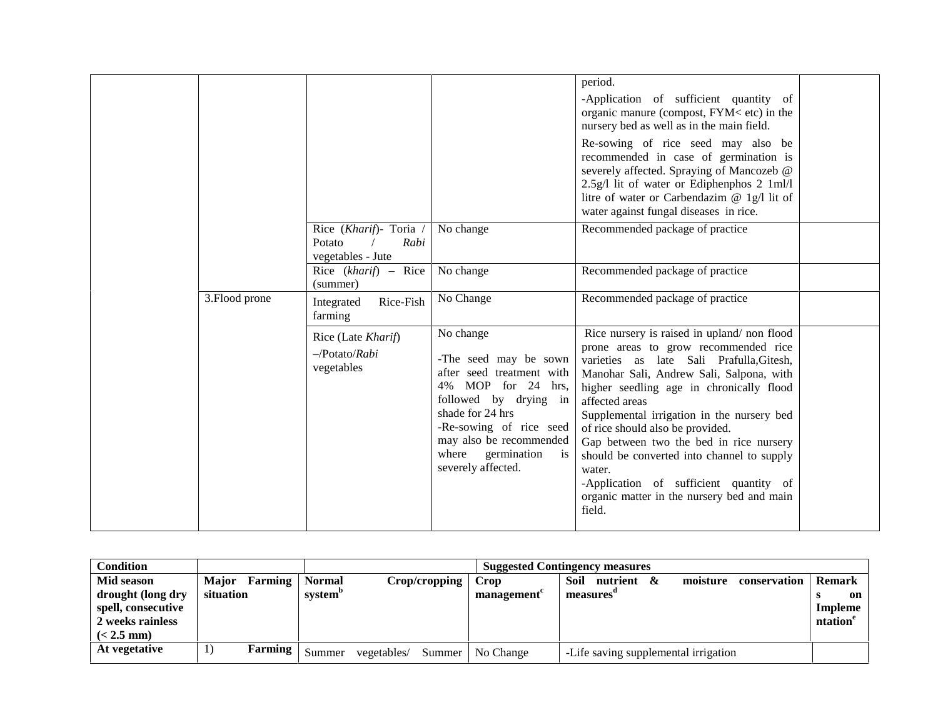|                |                                                               |                                                                                                                                                                                                                                              | period.<br>-Application of sufficient quantity of<br>organic manure (compost, FYM< etc) in the<br>nursery bed as well as in the main field.<br>Re-sowing of rice seed may also be                                                                                                                                                                                                                                                                                                                                               |  |
|----------------|---------------------------------------------------------------|----------------------------------------------------------------------------------------------------------------------------------------------------------------------------------------------------------------------------------------------|---------------------------------------------------------------------------------------------------------------------------------------------------------------------------------------------------------------------------------------------------------------------------------------------------------------------------------------------------------------------------------------------------------------------------------------------------------------------------------------------------------------------------------|--|
|                |                                                               |                                                                                                                                                                                                                                              | recommended in case of germination is<br>severely affected. Spraying of Mancozeb @<br>2.5g/l lit of water or Ediphenphos 2 1ml/l<br>litre of water or Carbendazim @ 1g/l lit of<br>water against fungal diseases in rice.                                                                                                                                                                                                                                                                                                       |  |
|                | Rice (Kharif)- Toria /<br>Rabi<br>Potato<br>vegetables - Jute | No change                                                                                                                                                                                                                                    | Recommended package of practice                                                                                                                                                                                                                                                                                                                                                                                                                                                                                                 |  |
|                | Rice $(kharif)$ – Rice<br>(summer)                            | No change                                                                                                                                                                                                                                    | Recommended package of practice                                                                                                                                                                                                                                                                                                                                                                                                                                                                                                 |  |
| 3. Flood prone | Rice-Fish<br>Integrated<br>farming                            | No Change                                                                                                                                                                                                                                    | Recommended package of practice                                                                                                                                                                                                                                                                                                                                                                                                                                                                                                 |  |
|                | Rice (Late Kharif)<br>$-Potato/Rabi$<br>vegetables            | No change<br>-The seed may be sown<br>after seed treatment with<br>4% MOP for 24 hrs,<br>followed by drying in<br>shade for 24 hrs<br>-Re-sowing of rice seed<br>may also be recommended<br>germination<br>where<br>is<br>severely affected. | Rice nursery is raised in upland/non flood<br>prone areas to grow recommended rice<br>varieties as late Sali Prafulla, Gitesh,<br>Manohar Sali, Andrew Sali, Salpona, with<br>higher seedling age in chronically flood<br>affected areas<br>Supplemental irrigation in the nursery bed<br>of rice should also be provided.<br>Gap between two the bed in rice nursery<br>should be converted into channel to supply<br>water.<br>-Application of sufficient quantity of<br>organic matter in the nursery bed and main<br>field. |  |

| Condition                                                                                 |                                      |                                      | <b>Suggested Contingency measures</b> |        |                    |                                      |  |          |              |                                           |
|-------------------------------------------------------------------------------------------|--------------------------------------|--------------------------------------|---------------------------------------|--------|--------------------|--------------------------------------|--|----------|--------------|-------------------------------------------|
| Mid season<br>drought (long dry<br>spell, consecutive<br>2 weeks rainless<br>$(< 2.5$ mm) | Farming<br><b>Major</b><br>situation | <b>Normal</b><br>system <sup>"</sup> | Crop/cropping                         |        | Crop<br>management | Soil<br>nutrient &<br>measures       |  | moisture | conservation | <b>Remark</b><br>on<br>Impleme<br>ntation |
| At vegetative                                                                             | Farming                              | Summer                               | vegetables/                           | Summer | No Change          | -Life saving supplemental irrigation |  |          |              |                                           |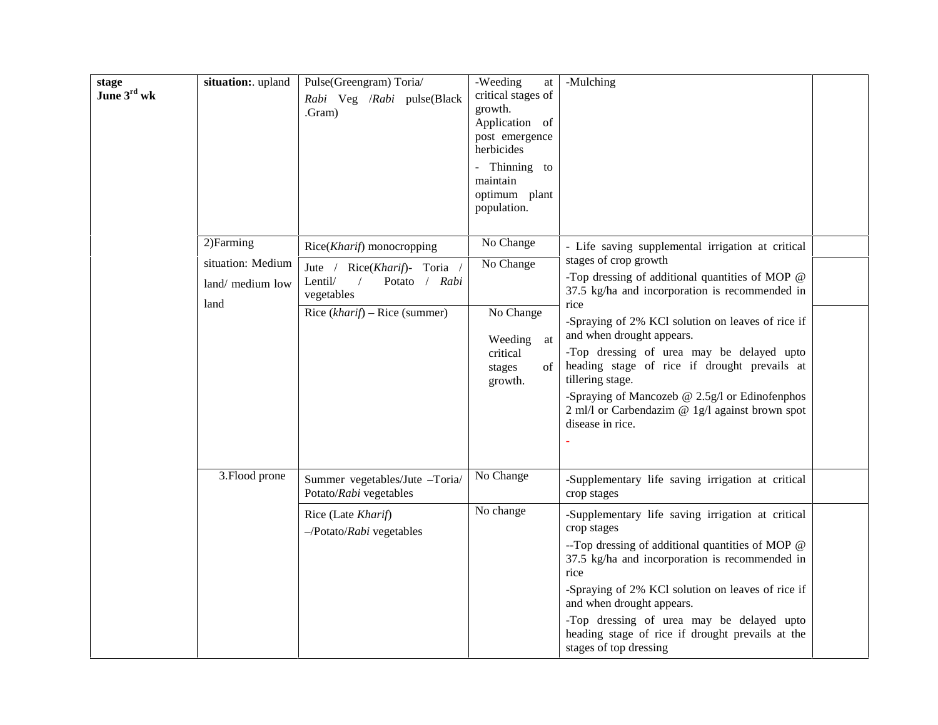| stage<br>June 3rd wk | situation: upland                                           | Pulse(Greengram) Toria/<br>Rabi Veg /Rabi pulse(Black<br>Gram).                                                                                      | -Weeding<br>$\operatorname{at}$<br>critical stages of<br>growth.<br>Application of<br>post emergence<br>herbicides<br>- Thinning to<br>maintain<br>optimum plant<br>population. | -Mulching                                                                                                                                                                                                                                                                                                                                                                                                                                                                                                             |
|----------------------|-------------------------------------------------------------|------------------------------------------------------------------------------------------------------------------------------------------------------|---------------------------------------------------------------------------------------------------------------------------------------------------------------------------------|-----------------------------------------------------------------------------------------------------------------------------------------------------------------------------------------------------------------------------------------------------------------------------------------------------------------------------------------------------------------------------------------------------------------------------------------------------------------------------------------------------------------------|
|                      | 2) Farming<br>situation: Medium<br>land/ medium low<br>land | Rice(Kharif) monocropping<br>Jute / Rice(Kharif)- Toria /<br>Lentil/<br>Potato / Rabi<br>$\sqrt{2}$<br>vegetables<br>Rice $(kharif)$ – Rice (summer) | No Change<br>No Change<br>No Change<br>Weeding<br>at<br>critical<br>of<br>stages<br>growth.                                                                                     | - Life saving supplemental irrigation at critical<br>stages of crop growth<br>-Top dressing of additional quantities of MOP @<br>37.5 kg/ha and incorporation is recommended in<br>rice<br>-Spraying of 2% KCl solution on leaves of rice if<br>and when drought appears.<br>-Top dressing of urea may be delayed upto<br>heading stage of rice if drought prevails at<br>tillering stage.<br>-Spraying of Mancozeb $@$ 2.5g/l or Edinofenphos<br>2 ml/l or Carbendazim @ 1g/l against brown spot<br>disease in rice. |
|                      | 3. Flood prone                                              | Summer vegetables/Jute -Toria/<br>Potato/Rabi vegetables<br>Rice (Late Kharif)<br>$-$ /Potato/ <i>Rabi</i> vegetables                                | No Change<br>No change                                                                                                                                                          | -Supplementary life saving irrigation at critical<br>crop stages<br>-Supplementary life saving irrigation at critical<br>crop stages<br>--Top dressing of additional quantities of MOP @<br>37.5 kg/ha and incorporation is recommended in<br>rice<br>-Spraying of 2% KCl solution on leaves of rice if<br>and when drought appears.<br>-Top dressing of urea may be delayed upto<br>heading stage of rice if drought prevails at the<br>stages of top dressing                                                       |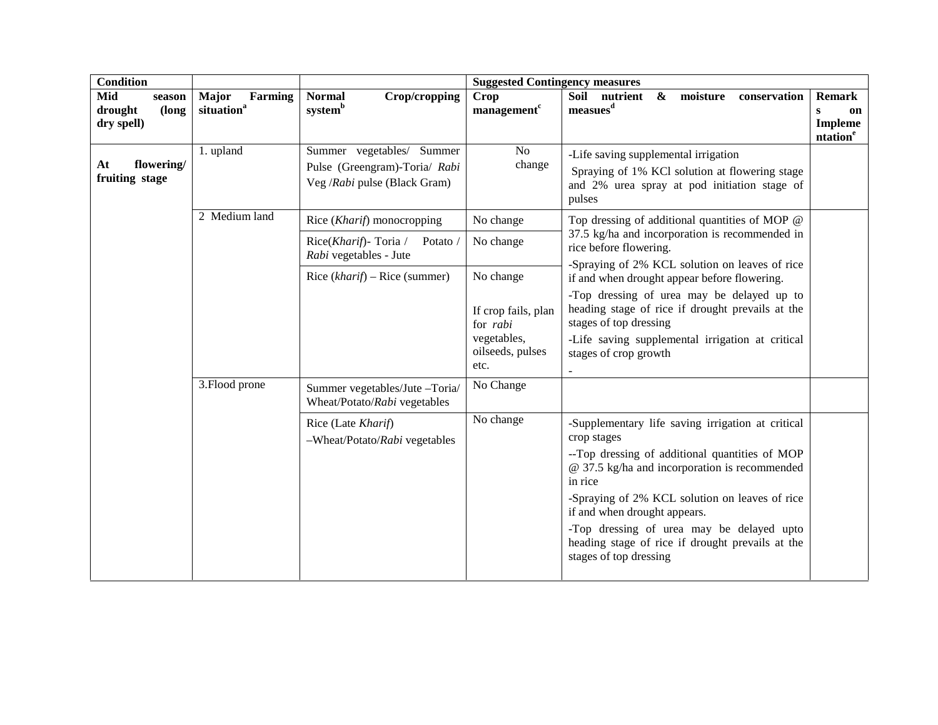| <b>Condition</b>                                |                                            | <b>Suggested Contingency measures</b>                                                      |                                         |                                                                                                                                                  |                                                                               |  |  |
|-------------------------------------------------|--------------------------------------------|--------------------------------------------------------------------------------------------|-----------------------------------------|--------------------------------------------------------------------------------------------------------------------------------------------------|-------------------------------------------------------------------------------|--|--|
| Mid<br>season<br>drought<br>(long<br>dry spell) | Major<br>Farming<br>situation <sup>a</sup> | <b>Normal</b><br>Crop/cropping<br>system <sup>b</sup>                                      | Crop<br>management <sup>c</sup>         | Soil nutrient<br>& moisture conservation<br>measues <sup>d</sup>                                                                                 | <b>Remark</b><br>$\mathbf{s}$<br>on<br><b>Impleme</b><br>ntation <sup>e</sup> |  |  |
| flowering/<br>At<br>fruiting stage              | 1. upland                                  | Summer vegetables/ Summer<br>Pulse (Greengram)-Toria/ Rabi<br>Veg /Rabi pulse (Black Gram) | No<br>change                            | -Life saving supplemental irrigation<br>Spraying of 1% KCl solution at flowering stage<br>and 2% urea spray at pod initiation stage of<br>pulses |                                                                               |  |  |
|                                                 | 2 Medium land                              | Rice (Kharif) monocropping                                                                 | No change                               | Top dressing of additional quantities of MOP @                                                                                                   |                                                                               |  |  |
|                                                 |                                            | Rice(Kharif) - Toria /<br>Potato /<br>Rabi vegetables - Jute                               | No change                               | 37.5 kg/ha and incorporation is recommended in<br>rice before flowering.                                                                         |                                                                               |  |  |
|                                                 |                                            | Rice $(kharif)$ – Rice (summer)                                                            | No change                               | -Spraying of 2% KCL solution on leaves of rice<br>if and when drought appear before flowering.                                                   |                                                                               |  |  |
|                                                 |                                            |                                                                                            | If crop fails, plan<br>for <i>rabi</i>  | -Top dressing of urea may be delayed up to<br>heading stage of rice if drought prevails at the<br>stages of top dressing                         |                                                                               |  |  |
|                                                 |                                            |                                                                                            | vegetables,<br>oilseeds, pulses<br>etc. | -Life saving supplemental irrigation at critical<br>stages of crop growth                                                                        |                                                                               |  |  |
|                                                 | 3. Flood prone                             | Summer vegetables/Jute -Toria/<br>Wheat/Potato/Rabi vegetables                             | No Change                               |                                                                                                                                                  |                                                                               |  |  |
|                                                 |                                            | Rice (Late Kharif)<br>-Wheat/Potato/Rabi vegetables                                        | No change                               | -Supplementary life saving irrigation at critical<br>crop stages                                                                                 |                                                                               |  |  |
|                                                 |                                            |                                                                                            |                                         | -- Top dressing of additional quantities of MOP<br>@ 37.5 kg/ha and incorporation is recommended<br>in rice                                      |                                                                               |  |  |
|                                                 |                                            |                                                                                            |                                         | -Spraying of 2% KCL solution on leaves of rice<br>if and when drought appears.                                                                   |                                                                               |  |  |
|                                                 |                                            |                                                                                            |                                         | -Top dressing of urea may be delayed upto<br>heading stage of rice if drought prevails at the<br>stages of top dressing                          |                                                                               |  |  |
|                                                 |                                            |                                                                                            |                                         |                                                                                                                                                  |                                                                               |  |  |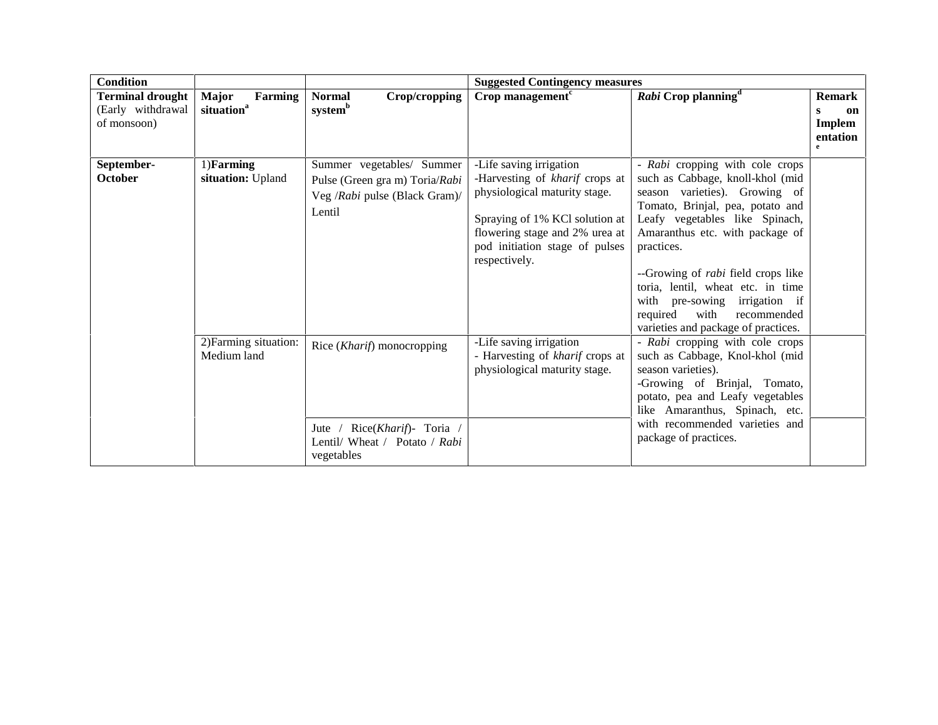| <b>Condition</b>                                            |                                                   |                                                                                                                                | <b>Suggested Contingency measures</b>                                                                                                                                                                             |                                                                                                                                                                                                                                                                                                                                                                                                                          |                                                                       |
|-------------------------------------------------------------|---------------------------------------------------|--------------------------------------------------------------------------------------------------------------------------------|-------------------------------------------------------------------------------------------------------------------------------------------------------------------------------------------------------------------|--------------------------------------------------------------------------------------------------------------------------------------------------------------------------------------------------------------------------------------------------------------------------------------------------------------------------------------------------------------------------------------------------------------------------|-----------------------------------------------------------------------|
| <b>Terminal drought</b><br>(Early withdrawal<br>of monsoon) | <b>Major</b><br>Farming<br>situation <sup>a</sup> | <b>Normal</b><br>Crop/cropping<br>systemb                                                                                      | $Crop$ management <sup><math>c</math></sup>                                                                                                                                                                       | Rabi Crop planning <sup>a</sup>                                                                                                                                                                                                                                                                                                                                                                                          | <b>Remark</b><br>on<br>s<br><b>Implem</b><br>entation<br>$\mathbf{e}$ |
| September-<br>October                                       | 1)Farming<br>situation: Upland                    | Summer vegetables/ Summer<br>Pulse (Green gra m) Toria/Rabi<br>Veg /Rabi pulse (Black Gram)/<br>Lentil                         | -Life saving irrigation<br>-Harvesting of kharif crops at<br>physiological maturity stage.<br>Spraying of 1% KCl solution at<br>flowering stage and 2% urea at<br>pod initiation stage of pulses<br>respectively. | - Rabi cropping with cole crops<br>such as Cabbage, knoll-khol (mid<br>season varieties). Growing of<br>Tomato, Brinjal, pea, potato and<br>Leafy vegetables like Spinach,<br>Amaranthus etc. with package of<br>practices.<br>--Growing of <i>rabi</i> field crops like<br>toria, lentil, wheat etc. in time<br>with pre-sowing irrigation if<br>required<br>with<br>recommended<br>varieties and package of practices. |                                                                       |
|                                                             | 2) Farming situation:<br>Medium land              | Rice ( <i>Kharif</i> ) monocropping<br>Rice(Kharif)- Toria /<br>Jute $\sqrt{ }$<br>Lentil/ Wheat / Potato / Rabi<br>vegetables | -Life saving irrigation<br>- Harvesting of kharif crops at<br>physiological maturity stage.                                                                                                                       | - Rabi cropping with cole crops<br>such as Cabbage, Knol-khol (mid<br>season varieties).<br>-Growing of Brinjal, Tomato,<br>potato, pea and Leafy vegetables<br>like Amaranthus, Spinach, etc.<br>with recommended varieties and<br>package of practices.                                                                                                                                                                |                                                                       |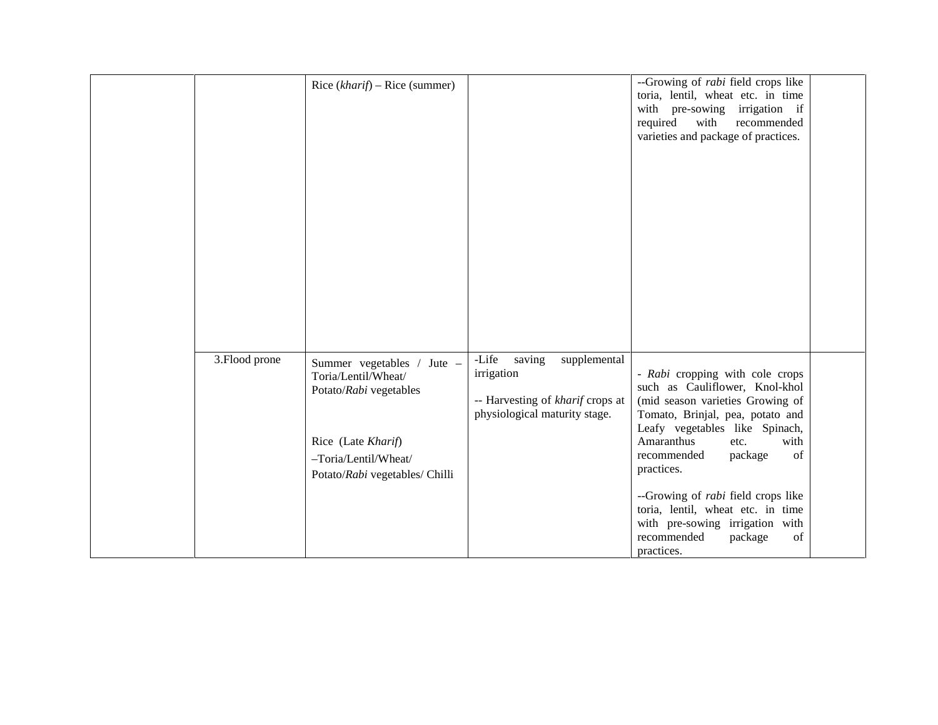|                | Rice $(kharif)$ – Rice (summer)                                                                                                                             |                                                                                                                    | --Growing of <i>rabi</i> field crops like<br>toria, lentil, wheat etc. in time<br>with pre-sowing irrigation if<br>required<br>with<br>recommended<br>varieties and package of practices.                                                               |  |
|----------------|-------------------------------------------------------------------------------------------------------------------------------------------------------------|--------------------------------------------------------------------------------------------------------------------|---------------------------------------------------------------------------------------------------------------------------------------------------------------------------------------------------------------------------------------------------------|--|
| 3. Flood prone | Summer vegetables / Jute -<br>Toria/Lentil/Wheat/<br>Potato/Rabi vegetables<br>Rice (Late Kharif)<br>-Toria/Lentil/Wheat/<br>Potato/Rabi vegetables/ Chilli | -Life<br>saving<br>supplemental<br>irrigation<br>-- Harvesting of kharif crops at<br>physiological maturity stage. | - Rabi cropping with cole crops<br>such as Cauliflower, Knol-khol<br>(mid season varieties Growing of<br>Tomato, Brinjal, pea, potato and<br>Leafy vegetables like Spinach,<br>Amaranthus<br>with<br>etc.<br>of<br>recommended<br>package<br>practices. |  |
|                |                                                                                                                                                             |                                                                                                                    | --Growing of <i>rabi</i> field crops like<br>toria, lentil, wheat etc. in time<br>with pre-sowing irrigation with<br>recommended<br>package<br>of<br>practices.                                                                                         |  |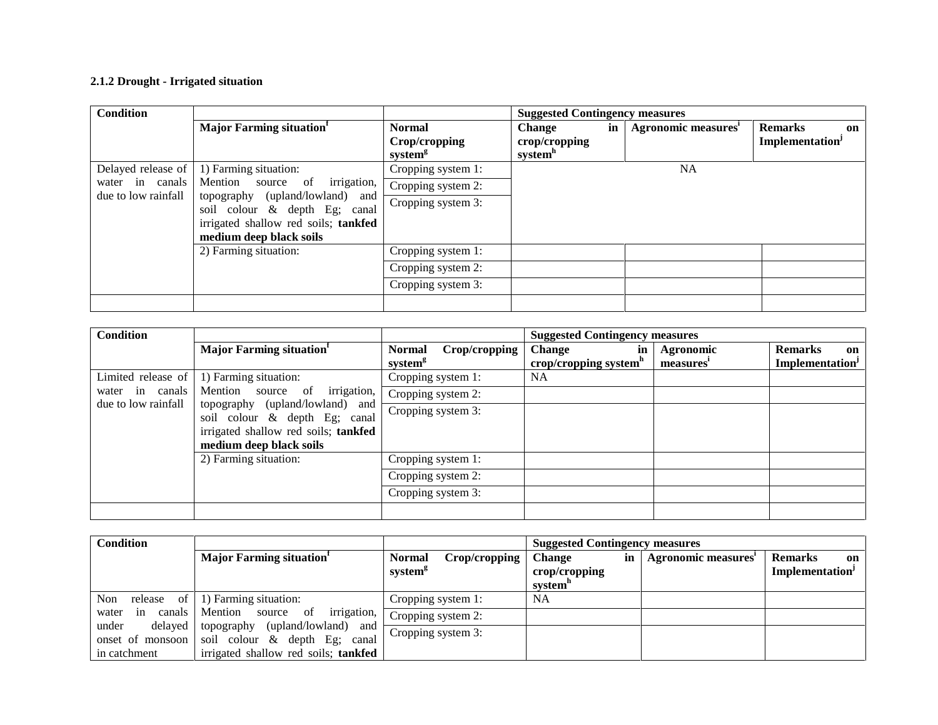### **2.1.2 Drought - Irrigated situation**

| <b>Condition</b>                                                                                                                |                                         | <b>Suggested Contingency measures</b>                 |                                                       |    |                    |                                        |
|---------------------------------------------------------------------------------------------------------------------------------|-----------------------------------------|-------------------------------------------------------|-------------------------------------------------------|----|--------------------|----------------------------------------|
|                                                                                                                                 | <b>Major Farming situation</b>          | <b>Normal</b><br>Crop/cropping<br>system <sup>g</sup> | <b>Change</b><br>crop/cropping<br>system <sup>h</sup> | in | Agronomic measures | <b>Remarks</b><br>on<br>Implementation |
| Delayed release of                                                                                                              | 1) Farming situation:                   | Cropping system 1:                                    |                                                       |    | NA                 |                                        |
| water in canals                                                                                                                 | <i>irrigation,</i><br>Mention source of | Cropping system 2:                                    |                                                       |    |                    |                                        |
| due to low rainfall<br>topography (upland/lowland) and<br>soil colour & depth Eg; canal<br>irrigated shallow red soils; tankfed |                                         | Cropping system 3:                                    |                                                       |    |                    |                                        |
|                                                                                                                                 | medium deep black soils                 |                                                       |                                                       |    |                    |                                        |
|                                                                                                                                 | 2) Farming situation:                   | Cropping system 1:                                    |                                                       |    |                    |                                        |
|                                                                                                                                 |                                         | Cropping system 2:                                    |                                                       |    |                    |                                        |
|                                                                                                                                 |                                         | Cropping system 3:                                    |                                                       |    |                    |                                        |
|                                                                                                                                 |                                         |                                                       |                                                       |    |                    |                                        |

| Condition           |                                                                  |                                                       | <b>Suggested Contingency measures</b>                                             |                                         |
|---------------------|------------------------------------------------------------------|-------------------------------------------------------|-----------------------------------------------------------------------------------|-----------------------------------------|
|                     | Major Farming situation                                          | <b>Normal</b><br>Crop/cropping<br>system <sup>8</sup> | <b>Change</b><br>Agronomic<br>in<br>crop/cropping system <sup>n</sup><br>measures | <b>Remarks</b><br>on<br>Implementation' |
| Limited release of  | 1) Farming situation:                                            | Cropping system 1:                                    | <b>NA</b>                                                                         |                                         |
| water in canals     | <i>irrigation,</i><br>Mention source of                          | Cropping system 2:                                    |                                                                                   |                                         |
| due to low rainfall | topography (upland/lowland) and<br>soil colour & depth Eg; canal | Cropping system 3:                                    |                                                                                   |                                         |
|                     | irrigated shallow red soils; tankfed                             |                                                       |                                                                                   |                                         |
|                     | medium deep black soils                                          |                                                       |                                                                                   |                                         |
|                     | 2) Farming situation:                                            | Cropping system 1:                                    |                                                                                   |                                         |
|                     |                                                                  | Cropping system 2:                                    |                                                                                   |                                         |
|                     |                                                                  | Cropping system 3:                                    |                                                                                   |                                         |
|                     |                                                                  |                                                       |                                                                                   |                                         |

| <b>Condition</b>      |                                                                                            |                                                       | <b>Suggested Contingency measures</b>           |                     |                                                     |  |
|-----------------------|--------------------------------------------------------------------------------------------|-------------------------------------------------------|-------------------------------------------------|---------------------|-----------------------------------------------------|--|
|                       | <b>Major Farming situation</b>                                                             | <b>Normal</b><br>Crop/cropping<br>system <sup>g</sup> | <b>Change</b><br>in<br>crop/cropping<br>system" | Agronomic measures' | <b>Remarks</b><br>on<br>Implementation <sup>J</sup> |  |
| Non<br>of<br>release  | 1) Farming situation:                                                                      | Cropping system 1:                                    | <b>NA</b>                                       |                     |                                                     |  |
| canals<br>in<br>water | irrigation,<br>Mention source of                                                           | Cropping system 2:                                    |                                                 |                     |                                                     |  |
| delayed<br>under      | topography (upland/lowland)<br>and<br>onset of monsoon soil colour $\&$ depth Eg;<br>canal | Cropping system 3:                                    |                                                 |                     |                                                     |  |
| in catchment          | irrigated shallow red soils; tankfed                                                       |                                                       |                                                 |                     |                                                     |  |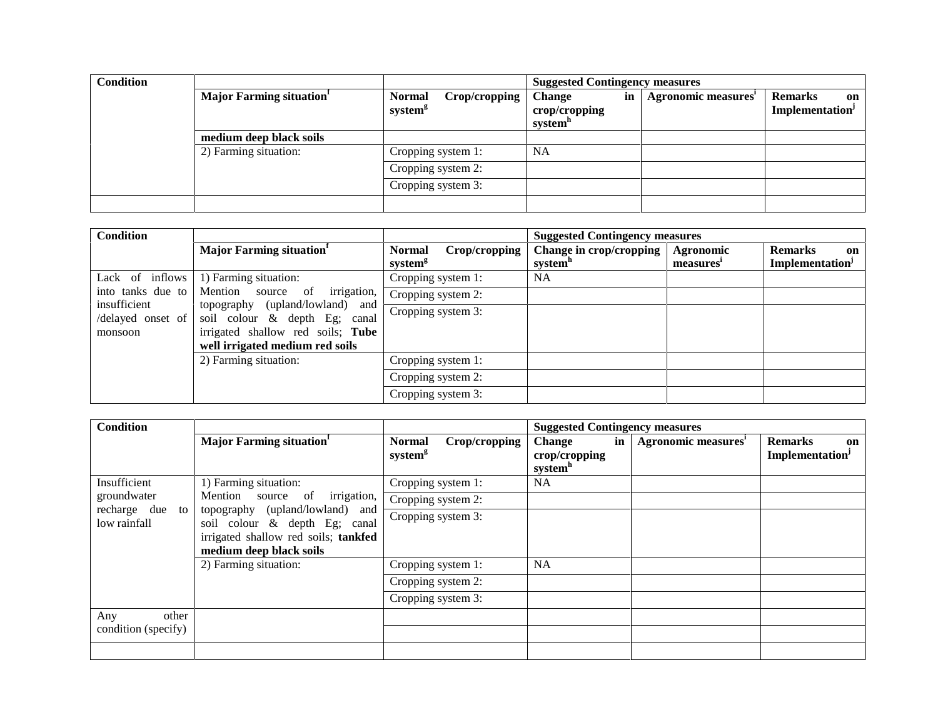| <b>Condition</b> |                                |                                                       | <b>Suggested Contingency measures</b>                       |                     |                                                     |
|------------------|--------------------------------|-------------------------------------------------------|-------------------------------------------------------------|---------------------|-----------------------------------------------------|
|                  | <b>Major Farming situation</b> | Crop/cropping<br><b>Normal</b><br>system <sup>g</sup> | in<br><b>Change</b><br>crop/cropping<br>system <sup>h</sup> | Agronomic measures' | <b>Remarks</b><br>on<br>Implementation <sup>J</sup> |
|                  | medium deep black soils        |                                                       |                                                             |                     |                                                     |
|                  | 2) Farming situation:          | Cropping system 1:                                    | <b>NA</b>                                                   |                     |                                                     |
|                  |                                | Cropping system 2:                                    |                                                             |                     |                                                     |
|                  |                                | Cropping system 3:                                    |                                                             |                     |                                                     |
|                  |                                |                                                       |                                                             |                     |                                                     |

| <b>Condition</b>                                                                                                                                                                         |                                  |                                                       | <b>Suggested Contingency measures</b>          |                        |                                         |
|------------------------------------------------------------------------------------------------------------------------------------------------------------------------------------------|----------------------------------|-------------------------------------------------------|------------------------------------------------|------------------------|-----------------------------------------|
|                                                                                                                                                                                          | <b>Major Farming situation</b>   | <b>Normal</b><br>Crop/cropping<br>system <sup>8</sup> | Change in crop/cropping<br>system <sup>"</sup> | Agronomic<br>measures' | <b>Remarks</b><br>on<br>Implementation' |
| Lack of inflows                                                                                                                                                                          | 1) Farming situation:            | Cropping system 1:                                    | <b>NA</b>                                      |                        |                                         |
| into tanks due to                                                                                                                                                                        | irrigation,<br>Mention source of | Cropping system 2:                                    |                                                |                        |                                         |
| insufficient<br>topography (upland/lowland) and<br>/delayed onset of<br>soil colour & depth Eg; canal<br>irrigated shallow red soils; Tube<br>monsoon<br>well irrigated medium red soils |                                  | Cropping system 3:                                    |                                                |                        |                                         |
|                                                                                                                                                                                          | 2) Farming situation:            | Cropping system 1:                                    |                                                |                        |                                         |
|                                                                                                                                                                                          |                                  | Cropping system 2:                                    |                                                |                        |                                         |
|                                                                                                                                                                                          |                                  | Cropping system 3:                                    |                                                |                        |                                         |

| <b>Condition</b>                    |                                                                                                                                     |                                                       | <b>Suggested Contingency measures</b>                       |                                 |                                                     |
|-------------------------------------|-------------------------------------------------------------------------------------------------------------------------------------|-------------------------------------------------------|-------------------------------------------------------------|---------------------------------|-----------------------------------------------------|
|                                     | <b>Major Farming situation</b>                                                                                                      | Crop/cropping<br><b>Normal</b><br>system <sup>g</sup> | in<br><b>Change</b><br>crop/cropping<br>system <sup>h</sup> | Agronomic measures <sup>1</sup> | <b>Remarks</b><br>on<br>Implementation <sup>J</sup> |
| Insufficient                        | 1) Farming situation:                                                                                                               | Cropping system 1:                                    | NA.                                                         |                                 |                                                     |
| groundwater                         | irrigation,<br>Mention source of                                                                                                    | Cropping system 2:                                    |                                                             |                                 |                                                     |
| recharge due to<br>low rainfall     | topography (upland/lowland) and<br>soil colour & depth Eg; canal<br>irrigated shallow red soils; tankfed<br>medium deep black soils | Cropping system 3:                                    |                                                             |                                 |                                                     |
|                                     | 2) Farming situation:                                                                                                               | Cropping system 1:                                    | <b>NA</b>                                                   |                                 |                                                     |
|                                     |                                                                                                                                     | Cropping system 2:                                    |                                                             |                                 |                                                     |
|                                     |                                                                                                                                     | Cropping system 3:                                    |                                                             |                                 |                                                     |
| other<br>Any<br>condition (specify) |                                                                                                                                     |                                                       |                                                             |                                 |                                                     |
|                                     |                                                                                                                                     |                                                       |                                                             |                                 |                                                     |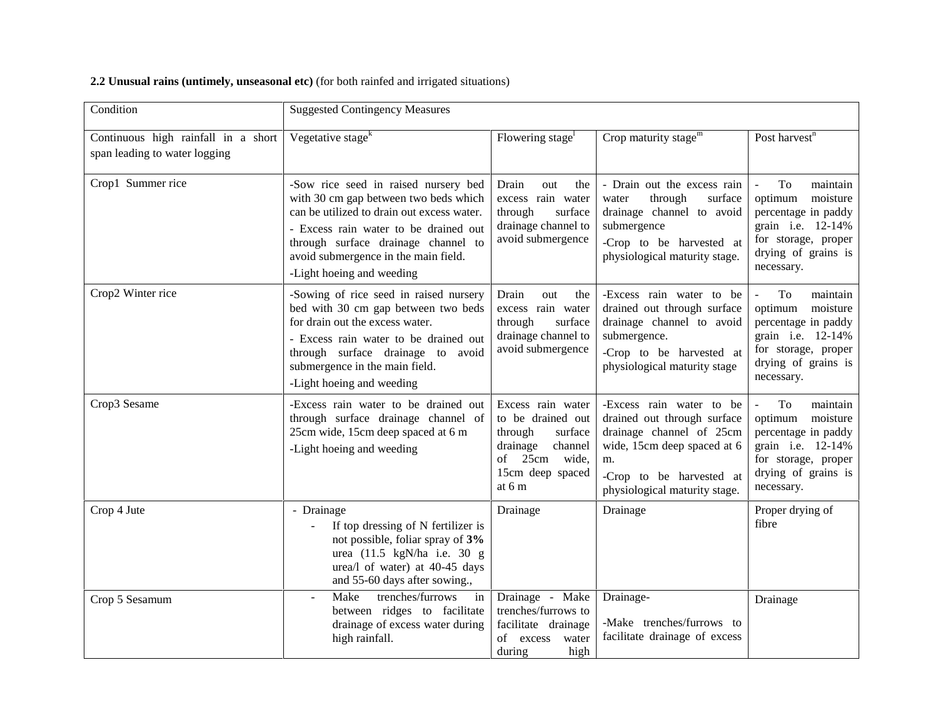| Condition                                                            | <b>Suggested Contingency Measures</b>                                                                                                                                                                                                                                            |                                                                                                                                    |                                                                                                                                                                                       |                                                                                                                                                      |
|----------------------------------------------------------------------|----------------------------------------------------------------------------------------------------------------------------------------------------------------------------------------------------------------------------------------------------------------------------------|------------------------------------------------------------------------------------------------------------------------------------|---------------------------------------------------------------------------------------------------------------------------------------------------------------------------------------|------------------------------------------------------------------------------------------------------------------------------------------------------|
| Continuous high rainfall in a short<br>span leading to water logging | Vegetative stage <sup>k</sup>                                                                                                                                                                                                                                                    | Flowering stage <sup>1</sup>                                                                                                       | Crop maturity stage $m$                                                                                                                                                               | Post harvest <sup>n</sup>                                                                                                                            |
| Crop1 Summer rice                                                    | -Sow rice seed in raised nursery bed<br>with 30 cm gap between two beds which<br>can be utilized to drain out excess water.<br>- Excess rain water to be drained out<br>through surface drainage channel to<br>avoid submergence in the main field.<br>-Light hoeing and weeding | Drain<br>out<br>the<br>excess rain water<br>through<br>surface<br>drainage channel to<br>avoid submergence                         | - Drain out the excess rain<br>through<br>water<br>surface<br>drainage channel to avoid<br>submergence<br>-Crop to be harvested at<br>physiological maturity stage.                   | To<br>maintain<br>optimum<br>moisture<br>percentage in paddy<br>grain i.e. 12-14%<br>for storage, proper<br>drying of grains is<br>necessary.        |
| Crop2 Winter rice                                                    | -Sowing of rice seed in raised nursery<br>bed with 30 cm gap between two beds<br>for drain out the excess water.<br>- Excess rain water to be drained out<br>through surface drainage to avoid<br>submergence in the main field.<br>-Light hoeing and weeding                    | Drain<br>out<br>the<br>excess rain water<br>through<br>surface<br>drainage channel to<br>avoid submergence                         | -Excess rain water to be<br>drained out through surface<br>drainage channel to avoid<br>submergence.<br>-Crop to be harvested at<br>physiological maturity stage                      | To<br>maintain<br>optimum<br>moisture<br>percentage in paddy<br>grain <i>i.e.</i> 12-14%<br>for storage, proper<br>drying of grains is<br>necessary. |
| Crop3 Sesame                                                         | -Excess rain water to be drained out<br>through surface drainage channel of<br>25cm wide, 15cm deep spaced at 6 m<br>-Light hoeing and weeding                                                                                                                                   | Excess rain water<br>to be drained out<br>through<br>surface<br>drainage<br>channel<br>of 25cm wide,<br>15cm deep spaced<br>at 6 m | -Excess rain water to be<br>drained out through surface<br>drainage channel of 25cm<br>wide, 15cm deep spaced at 6<br>m.<br>-Crop to be harvested at<br>physiological maturity stage. | To<br>maintain<br>moisture<br>optimum<br>percentage in paddy<br>grain i.e. 12-14%<br>for storage, proper<br>drying of grains is<br>necessary.        |
| Crop 4 Jute                                                          | - Drainage<br>If top dressing of N fertilizer is<br>$\blacksquare$<br>not possible, foliar spray of 3%<br>urea (11.5 kgN/ha i.e. 30 g<br>urea/l of water) at 40-45 days<br>and 55-60 days after sowing.,                                                                         | Drainage                                                                                                                           | Drainage                                                                                                                                                                              | Proper drying of<br>fibre                                                                                                                            |
| Crop 5 Sesamum                                                       | trenches/furrows<br>Make<br>in<br>between ridges to facilitate<br>drainage of excess water during<br>high rainfall.                                                                                                                                                              | Drainage - Make<br>trenches/furrows to<br>facilitate drainage<br>of excess<br>water<br>during<br>high                              | Drainage-<br>-Make trenches/furrows to<br>facilitate drainage of excess                                                                                                               | Drainage                                                                                                                                             |

### **2.2 Unusual rains (untimely, unseasonal etc)** (for both rainfed and irrigated situations)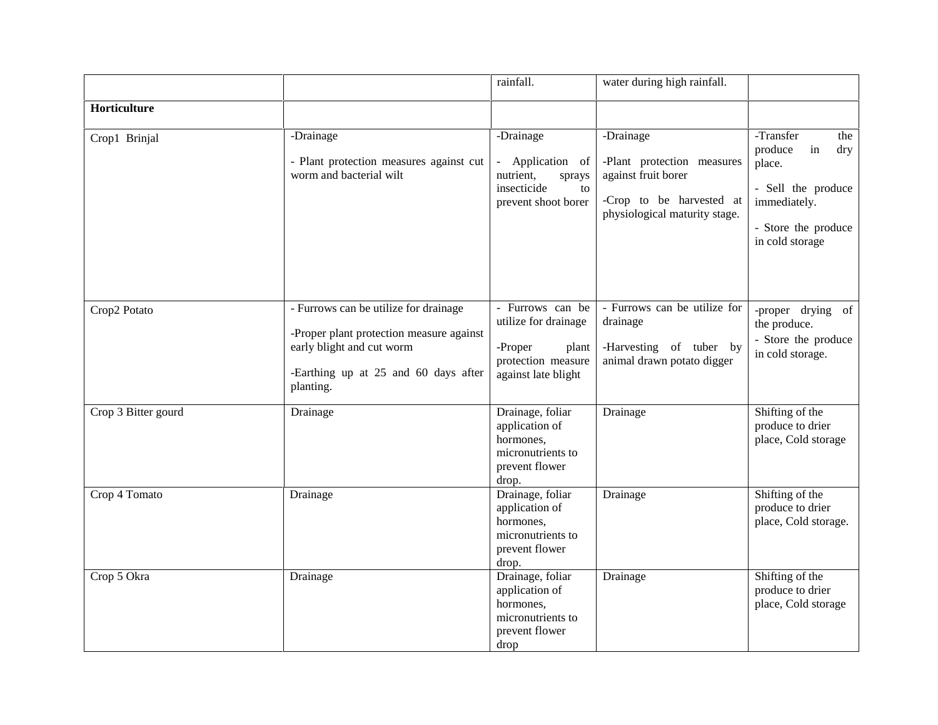|                     |                                                                                                                                                                     | rainfall.                                                                                                 | water during high rainfall.                                                                                                 |                                                                                                                                    |
|---------------------|---------------------------------------------------------------------------------------------------------------------------------------------------------------------|-----------------------------------------------------------------------------------------------------------|-----------------------------------------------------------------------------------------------------------------------------|------------------------------------------------------------------------------------------------------------------------------------|
| Horticulture        |                                                                                                                                                                     |                                                                                                           |                                                                                                                             |                                                                                                                                    |
| Crop1 Brinjal       | -Drainage<br>- Plant protection measures against cut<br>worm and bacterial wilt                                                                                     | -Drainage<br>Application of<br>nutrient,<br>sprays<br>insecticide<br>to<br>prevent shoot borer            | -Drainage<br>-Plant protection measures<br>against fruit borer<br>-Crop to be harvested at<br>physiological maturity stage. | -Transfer<br>the<br>produce<br>in<br>dry<br>place.<br>- Sell the produce<br>immediately.<br>- Store the produce<br>in cold storage |
| Crop2 Potato        | - Furrows can be utilize for drainage<br>-Proper plant protection measure against<br>early blight and cut worm<br>-Earthing up at 25 and 60 days after<br>planting. | - Furrows can be<br>utilize for drainage<br>-Proper<br>plant<br>protection measure<br>against late blight | - Furrows can be utilize for<br>drainage<br>-Harvesting of tuber by<br>animal drawn potato digger                           | -proper drying of<br>the produce.<br>- Store the produce<br>in cold storage.                                                       |
| Crop 3 Bitter gourd | Drainage                                                                                                                                                            | Drainage, foliar<br>application of<br>hormones,<br>micronutrients to<br>prevent flower<br>drop.           | Drainage                                                                                                                    | Shifting of the<br>produce to drier<br>place, Cold storage                                                                         |
| Crop 4 Tomato       | Drainage                                                                                                                                                            | Drainage, foliar<br>application of<br>hormones,<br>micronutrients to<br>prevent flower<br>drop.           | Drainage                                                                                                                    | Shifting of the<br>produce to drier<br>place, Cold storage.                                                                        |
| Crop 5 Okra         | Drainage                                                                                                                                                            | Drainage, foliar<br>application of<br>hormones,<br>micronutrients to<br>prevent flower<br>drop            | Drainage                                                                                                                    | Shifting of the<br>produce to drier<br>place, Cold storage                                                                         |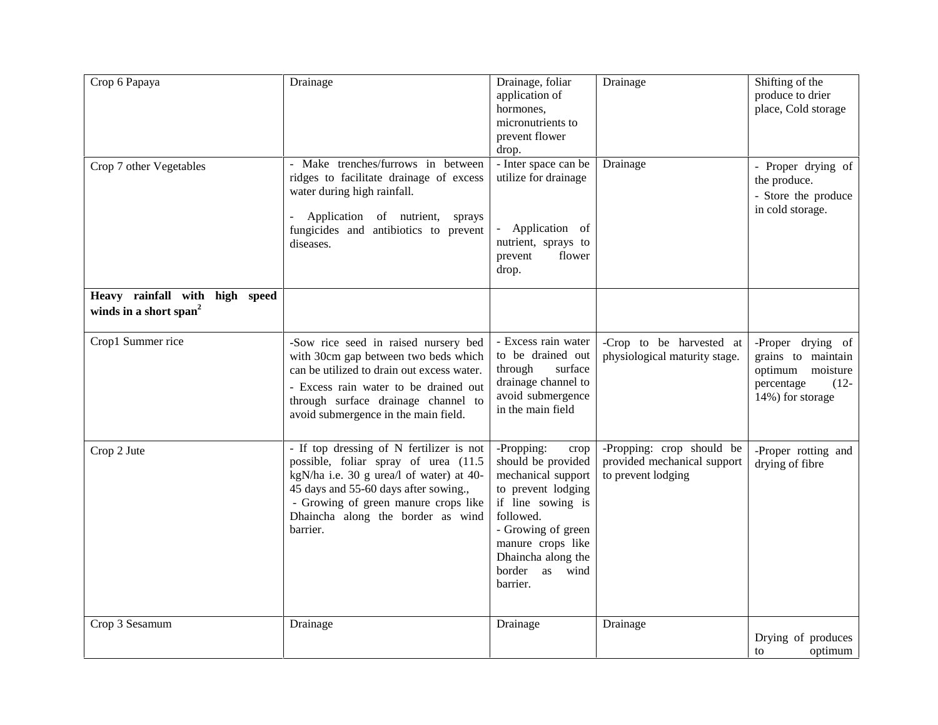| Crop 6 Papaya                                                        | Drainage                                                                                                                                                                                                                                                       | Drainage, foliar<br>application of<br>hormones,<br>micronutrients to<br>prevent flower<br>drop.                                                                                                                          | Drainage                                                                       | Shifting of the<br>produce to drier<br>place, Cold storage                                               |
|----------------------------------------------------------------------|----------------------------------------------------------------------------------------------------------------------------------------------------------------------------------------------------------------------------------------------------------------|--------------------------------------------------------------------------------------------------------------------------------------------------------------------------------------------------------------------------|--------------------------------------------------------------------------------|----------------------------------------------------------------------------------------------------------|
| Crop 7 other Vegetables                                              | - Make trenches/furrows in between<br>ridges to facilitate drainage of excess<br>water during high rainfall.<br>- Application of nutrient, sprays<br>fungicides and antibiotics to prevent<br>diseases.                                                        | - Inter space can be<br>utilize for drainage<br>Application of<br>nutrient, sprays to<br>flower<br>prevent<br>drop.                                                                                                      | Drainage                                                                       | - Proper drying of<br>the produce.<br>- Store the produce<br>in cold storage.                            |
| Heavy rainfall with high speed<br>winds in a short span <sup>2</sup> |                                                                                                                                                                                                                                                                |                                                                                                                                                                                                                          |                                                                                |                                                                                                          |
| Crop1 Summer rice                                                    | -Sow rice seed in raised nursery bed<br>with 30cm gap between two beds which<br>can be utilized to drain out excess water.<br>- Excess rain water to be drained out<br>through surface drainage channel to<br>avoid submergence in the main field.             | - Excess rain water<br>to be drained out<br>through<br>surface<br>drainage channel to<br>avoid submergence<br>in the main field                                                                                          | -Crop to be harvested at<br>physiological maturity stage.                      | -Proper drying of<br>grains to maintain<br>optimum moisture<br>percentage<br>$(12 -$<br>14%) for storage |
| Crop 2 Jute                                                          | - If top dressing of N fertilizer is not<br>possible, foliar spray of urea (11.5<br>kgN/ha i.e. 30 g urea/l of water) at 40-<br>45 days and 55-60 days after sowing.,<br>- Growing of green manure crops like<br>Dhaincha along the border as wind<br>barrier. | -Propping:<br>crop<br>should be provided<br>mechanical support<br>to prevent lodging<br>if line sowing is<br>followed.<br>- Growing of green<br>manure crops like<br>Dhaincha along the<br>border as<br>wind<br>barrier. | -Propping: crop should be<br>provided mechanical support<br>to prevent lodging | -Proper rotting and<br>drying of fibre                                                                   |
| Crop 3 Sesamum                                                       | Drainage                                                                                                                                                                                                                                                       | Drainage                                                                                                                                                                                                                 | Drainage                                                                       | Drying of produces<br>optimum<br>to                                                                      |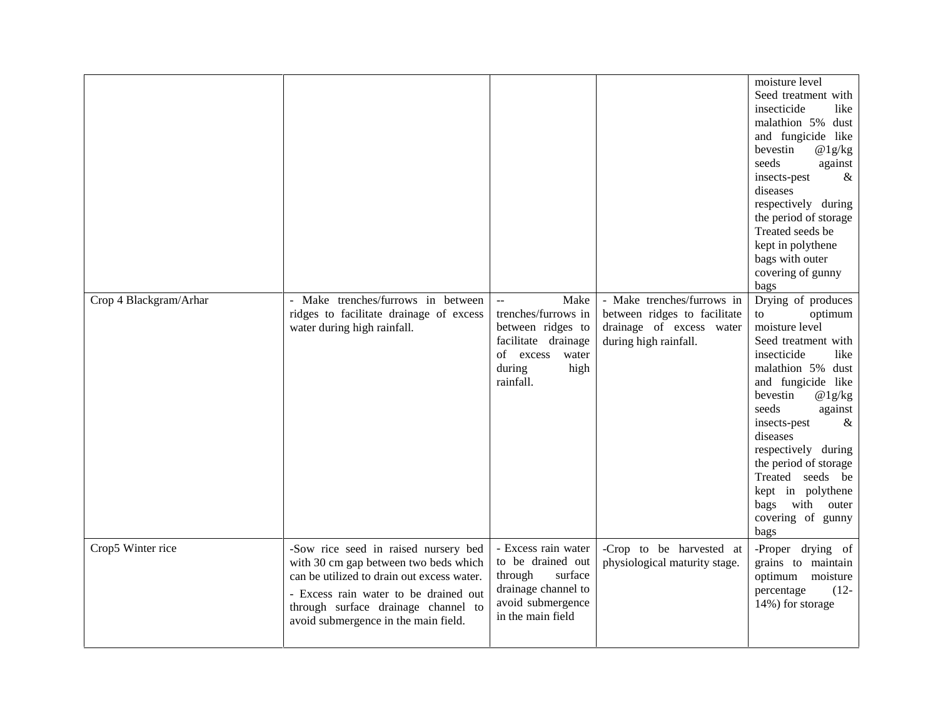|                        |                                                                                                                                                                                                                                                     |                                                                                                                                               |                                                                                                                 | moisture level<br>Seed treatment with<br>insecticide<br>like<br>malathion 5% dust<br>and fungicide like<br>bevestin<br>@1g/kg<br>seeds<br>against<br>$\&$<br>insects-pest<br>diseases<br>respectively during<br>the period of storage<br>Treated seeds be<br>kept in polythene<br>bags with outer<br>covering of gunny<br>bags                                        |
|------------------------|-----------------------------------------------------------------------------------------------------------------------------------------------------------------------------------------------------------------------------------------------------|-----------------------------------------------------------------------------------------------------------------------------------------------|-----------------------------------------------------------------------------------------------------------------|-----------------------------------------------------------------------------------------------------------------------------------------------------------------------------------------------------------------------------------------------------------------------------------------------------------------------------------------------------------------------|
| Crop 4 Blackgram/Arhar | - Make trenches/furrows in between<br>ridges to facilitate drainage of excess<br>water during high rainfall.                                                                                                                                        | Make<br>$\sim$ $\sim$<br>trenches/furrows in<br>between ridges to<br>facilitate drainage<br>of excess<br>water<br>during<br>high<br>rainfall. | - Make trenches/furrows in<br>between ridges to facilitate<br>drainage of excess water<br>during high rainfall. | Drying of produces<br>optimum<br>to<br>moisture level<br>Seed treatment with<br>insecticide<br>like<br>malathion 5% dust<br>and fungicide like<br>bevestin<br>@1g/kg<br>seeds<br>against<br>insects-pest<br>$\&$<br>diseases<br>respectively during<br>the period of storage<br>Treated seeds be<br>kept in polythene<br>bags with outer<br>covering of gunny<br>bags |
| Crop5 Winter rice      | -Sow rice seed in raised nursery bed<br>with 30 cm gap between two beds which<br>can be utilized to drain out excess water.<br>- Excess rain water to be drained out<br>through surface drainage channel to<br>avoid submergence in the main field. | - Excess rain water<br>to be drained out<br>through<br>surface<br>drainage channel to<br>avoid submergence<br>in the main field               | -Crop to be harvested at<br>physiological maturity stage.                                                       | -Proper drying of<br>grains to maintain<br>optimum moisture<br>$(12 -$<br>percentage<br>14%) for storage                                                                                                                                                                                                                                                              |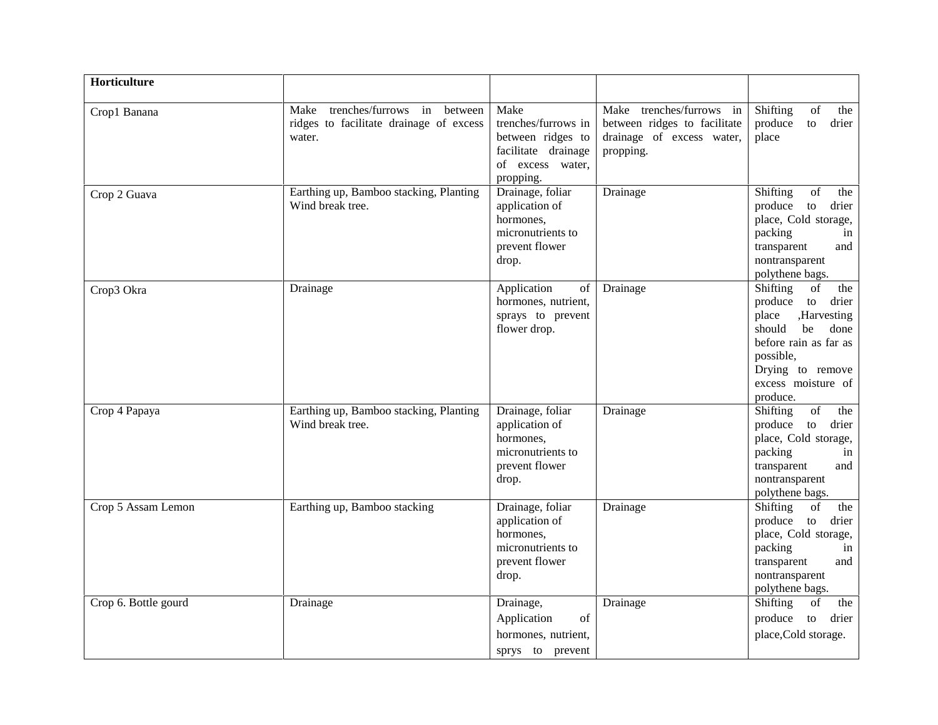| Horticulture         |                                                                                             |                                                                                                          |                                                                                                    |                                                                                                                                                                                                                                                  |
|----------------------|---------------------------------------------------------------------------------------------|----------------------------------------------------------------------------------------------------------|----------------------------------------------------------------------------------------------------|--------------------------------------------------------------------------------------------------------------------------------------------------------------------------------------------------------------------------------------------------|
| Crop1 Banana         | trenches/furrows in<br>Make<br>between<br>ridges to facilitate drainage of excess<br>water. | Make<br>trenches/furrows in<br>between ridges to<br>facilitate drainage<br>of excess water,<br>propping. | Make trenches/furrows in<br>between ridges to facilitate<br>drainage of excess water,<br>propping. | Shifting<br>of<br>the<br>produce<br>to<br>drier<br>place                                                                                                                                                                                         |
| Crop 2 Guava         | Earthing up, Bamboo stacking, Planting<br>Wind break tree.                                  | Drainage, foliar<br>application of<br>hormones,<br>micronutrients to<br>prevent flower<br>drop.          | Drainage                                                                                           | Shifting<br>of<br>the<br>produce<br>to<br>drier<br>place, Cold storage,<br>packing<br>in<br>transparent<br>and<br>nontransparent<br>polythene bags.                                                                                              |
| Crop3 Okra           | Drainage                                                                                    | Application<br>of<br>hormones, nutrient,<br>sprays to prevent<br>flower drop.                            | Drainage                                                                                           | Shifting<br>of<br>the<br>produce<br>to<br>drier<br>,Harvesting<br>place<br>should<br>done<br>be<br>before rain as far as<br>possible,<br>Drying to remove<br>excess moisture of<br>produce.                                                      |
| Crop 4 Papaya        | Earthing up, Bamboo stacking, Planting<br>Wind break tree.                                  | Drainage, foliar<br>application of<br>hormones,<br>micronutrients to<br>prevent flower<br>drop.          | Drainage                                                                                           | $% \left( \left( \mathcal{A},\mathcal{A}\right) \right) =\left( \mathcal{A},\mathcal{A}\right)$ of<br>Shifting<br>the<br>produce to<br>drier<br>place, Cold storage,<br>packing<br>in<br>transparent<br>and<br>nontransparent<br>polythene bags. |
| Crop 5 Assam Lemon   | Earthing up, Bamboo stacking                                                                | Drainage, foliar<br>application of<br>hormones.<br>micronutrients to<br>prevent flower<br>drop.          | Drainage                                                                                           | Shifting<br>of<br>the<br>produce to<br>drier<br>place, Cold storage,<br>packing<br>in<br>transparent<br>and<br>nontransparent<br>polythene bags.                                                                                                 |
| Crop 6. Bottle gourd | Drainage                                                                                    | Drainage,<br>Application<br>of<br>hormones, nutrient,<br>sprys to prevent                                | Drainage                                                                                           | Shifting<br>of<br>the<br>produce to<br>drier<br>place, Cold storage.                                                                                                                                                                             |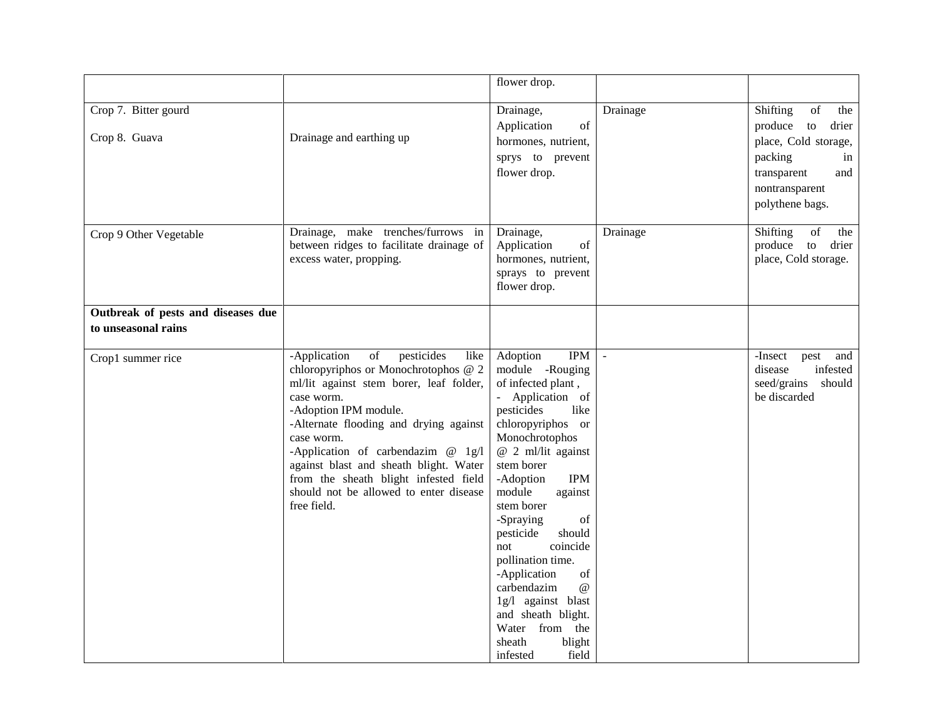|                                       |                                                                                                                                                                                                                                                                                                                                                                                                                                 | flower drop.                                                                                                                                                                                                                                                                                                                                                                                                                                                                                   |              |                                                                                                                                                  |
|---------------------------------------|---------------------------------------------------------------------------------------------------------------------------------------------------------------------------------------------------------------------------------------------------------------------------------------------------------------------------------------------------------------------------------------------------------------------------------|------------------------------------------------------------------------------------------------------------------------------------------------------------------------------------------------------------------------------------------------------------------------------------------------------------------------------------------------------------------------------------------------------------------------------------------------------------------------------------------------|--------------|--------------------------------------------------------------------------------------------------------------------------------------------------|
| Crop 7. Bitter gourd<br>Crop 8. Guava | Drainage and earthing up                                                                                                                                                                                                                                                                                                                                                                                                        | Drainage,<br>Application<br>of<br>hormones, nutrient,<br>sprys to prevent<br>flower drop.                                                                                                                                                                                                                                                                                                                                                                                                      | Drainage     | Shifting<br>of<br>the<br>produce to<br>drier<br>place, Cold storage,<br>packing<br>in<br>transparent<br>and<br>nontransparent<br>polythene bags. |
| Crop 9 Other Vegetable                | Drainage, make trenches/furrows in<br>between ridges to facilitate drainage of<br>excess water, propping.                                                                                                                                                                                                                                                                                                                       | Drainage,<br>Application<br>of<br>hormones, nutrient,<br>sprays to prevent<br>flower drop.                                                                                                                                                                                                                                                                                                                                                                                                     | Drainage     | Shifting<br>of<br>the<br>produce to<br>drier<br>place, Cold storage.                                                                             |
| Outbreak of pests and diseases due    |                                                                                                                                                                                                                                                                                                                                                                                                                                 |                                                                                                                                                                                                                                                                                                                                                                                                                                                                                                |              |                                                                                                                                                  |
| to unseasonal rains                   |                                                                                                                                                                                                                                                                                                                                                                                                                                 |                                                                                                                                                                                                                                                                                                                                                                                                                                                                                                |              |                                                                                                                                                  |
| Crop1 summer rice                     | $% \overline{a}$ of<br>pesticides<br>-Application<br>like<br>chloropyriphos or Monochrotophos @ 2<br>ml/lit against stem borer, leaf folder,<br>case worm.<br>-Adoption IPM module.<br>-Alternate flooding and drying against<br>case worm.<br>-Application of carbendazim $@$ 1g/l<br>against blast and sheath blight. Water<br>from the sheath blight infested field<br>should not be allowed to enter disease<br>free field. | Adoption<br><b>IPM</b><br>module -Rouging<br>of infected plant,<br>- Application of<br>pesticides<br>like<br>chloropyriphos or<br>Monochrotophos<br>$@$ 2 ml/lit against<br>stem borer<br>-Adoption<br><b>IPM</b><br>module<br>against<br>stem borer<br>-Spraying<br>of<br>pesticide<br>should<br>coincide<br>not<br>pollination time.<br>-Application<br>of<br>carbendazim<br>$\omega$<br>1g/l against blast<br>and sheath blight.<br>Water from the<br>blight<br>sheath<br>field<br>infested | $\mathbf{r}$ | -Insect<br>and<br>pest<br>infested<br>disease<br>seed/grains should<br>be discarded                                                              |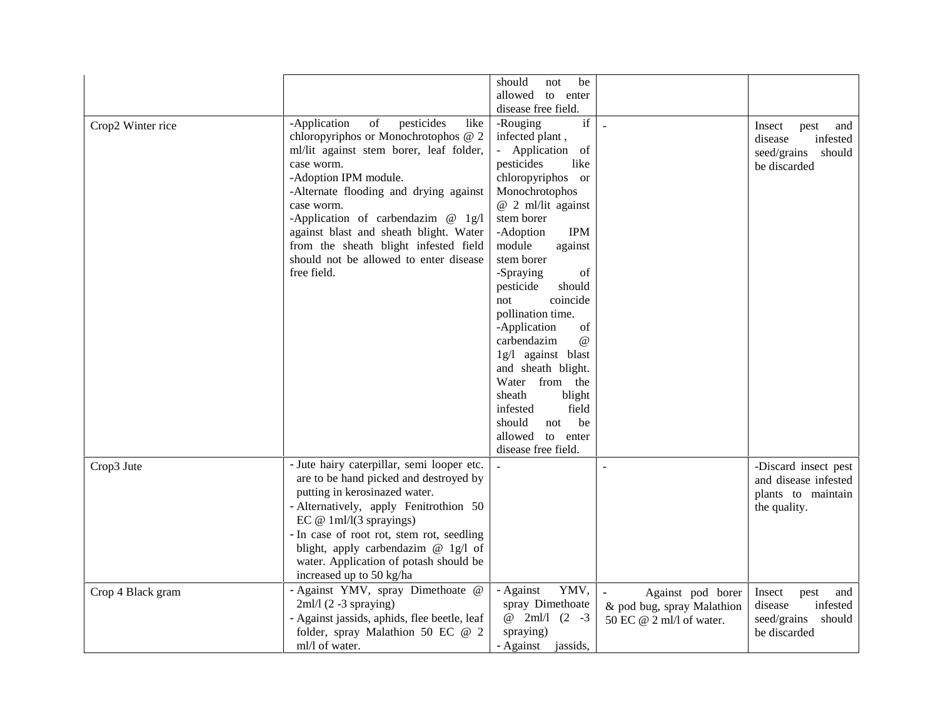|                   |                                                                                                                                                                                                                                                                                                                                                                                                              | should<br>be<br>not<br>allowed to enter                                                                                                                                                                                                                                                                                                                                                                                                                                                                                                                                      |                                                                             |                                                                                    |
|-------------------|--------------------------------------------------------------------------------------------------------------------------------------------------------------------------------------------------------------------------------------------------------------------------------------------------------------------------------------------------------------------------------------------------------------|------------------------------------------------------------------------------------------------------------------------------------------------------------------------------------------------------------------------------------------------------------------------------------------------------------------------------------------------------------------------------------------------------------------------------------------------------------------------------------------------------------------------------------------------------------------------------|-----------------------------------------------------------------------------|------------------------------------------------------------------------------------|
| Crop2 Winter rice | pesticides<br>-Application<br>of<br>like<br>chloropyriphos or Monochrotophos @ 2<br>ml/lit against stem borer, leaf folder,<br>case worm.<br>-Adoption IPM module.<br>-Alternate flooding and drying against<br>case worm.<br>-Application of carbendazim @ 1g/l<br>against blast and sheath blight. Water<br>from the sheath blight infested field<br>should not be allowed to enter disease<br>free field. | disease free field.<br>$\operatorname{if}$<br>-Rouging<br>infected plant,<br>Application<br>of<br>pesticides<br>like<br>chloropyriphos or<br>Monochrotophos<br>@ 2 ml/lit against<br>stem borer<br>-Adoption<br><b>IPM</b><br>module<br>against<br>stem borer<br>-Spraying<br>of<br>pesticide<br>should<br>coincide<br>not<br>pollination time.<br>-Application<br>of<br>$\omega$<br>carbendazim<br>1g/l against blast<br>and sheath blight.<br>Water from the<br>sheath<br>blight<br>field<br>infested<br>should<br>be<br>not<br>allowed<br>to enter<br>disease free field. |                                                                             | Insect<br>pest<br>and<br>infested<br>disease<br>seed/grains should<br>be discarded |
| Crop3 Jute        | - Jute hairy caterpillar, semi looper etc.<br>are to be hand picked and destroyed by<br>putting in kerosinazed water.<br>- Alternatively, apply Fenitrothion 50<br>EC $@ 1m1/(3$ sprayings)<br>- In case of root rot, stem rot, seedling<br>blight, apply carbendazim $@$ 1g/l of<br>water. Application of potash should be<br>increased up to 50 kg/ha                                                      |                                                                                                                                                                                                                                                                                                                                                                                                                                                                                                                                                                              |                                                                             | -Discard insect pest<br>and disease infested<br>plants to maintain<br>the quality. |
| Crop 4 Black gram | - Against YMV, spray Dimethoate @<br>$2ml/1(2-3$ spraying)<br>- Against jassids, aphids, flee beetle, leaf<br>folder, spray Malathion 50 EC @ 2<br>ml/l of water.                                                                                                                                                                                                                                            | - Against<br>YMV,<br>spray Dimethoate<br>@ 2ml/l (2 -3<br>spraying)<br>- Against jassids,                                                                                                                                                                                                                                                                                                                                                                                                                                                                                    | Against pod borer<br>& pod bug, spray Malathion<br>50 EC @ 2 ml/l of water. | Insect<br>pest<br>and<br>infested<br>disease<br>seed/grains should<br>be discarded |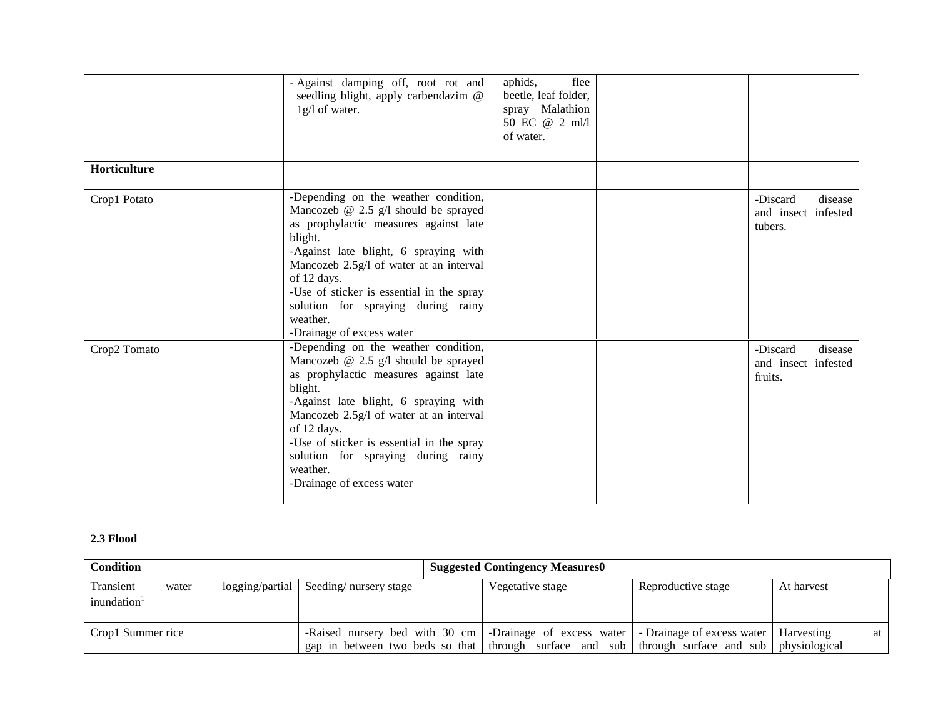|              | - Against damping off, root rot and<br>seedling blight, apply carbendazim @<br>1g/l of water.                                                                                                                                                                                                                                                                       | aphids,<br>flee<br>beetle, leaf folder,<br>spray Malathion<br>50 EC @ 2 ml/l<br>of water. |                                                       |
|--------------|---------------------------------------------------------------------------------------------------------------------------------------------------------------------------------------------------------------------------------------------------------------------------------------------------------------------------------------------------------------------|-------------------------------------------------------------------------------------------|-------------------------------------------------------|
| Horticulture |                                                                                                                                                                                                                                                                                                                                                                     |                                                                                           |                                                       |
| Crop1 Potato | -Depending on the weather condition,<br>Mancozeb $@$ 2.5 $g/l$ should be sprayed<br>as prophylactic measures against late<br>blight.<br>-Against late blight, 6 spraying with<br>Mancozeb 2.5g/l of water at an interval<br>of 12 days.<br>-Use of sticker is essential in the spray<br>solution for spraying during rainy<br>weather.<br>-Drainage of excess water |                                                                                           | -Discard<br>disease<br>and insect infested<br>tubers. |
| Crop2 Tomato | -Depending on the weather condition,<br>Mancozeb $@$ 2.5 $g/l$ should be sprayed<br>as prophylactic measures against late<br>blight.<br>-Against late blight, 6 spraying with<br>Mancozeb 2.5g/l of water at an interval<br>of 12 days.<br>-Use of sticker is essential in the spray<br>solution for spraying during rainy<br>weather.<br>-Drainage of excess water |                                                                                           | -Discard<br>disease<br>and insect infested<br>fruits. |

#### **2.3 Flood**

| <b>Condition</b>        | <b>Suggested Contingency Measures0</b> |                 |                                                                                                                                                                       |                  |                    |                             |    |
|-------------------------|----------------------------------------|-----------------|-----------------------------------------------------------------------------------------------------------------------------------------------------------------------|------------------|--------------------|-----------------------------|----|
| Transient<br>inundation | water                                  | logging/partial | Seeding/nursery stage                                                                                                                                                 | Vegetative stage | Reproductive stage | At harvest                  |    |
| Crop1 Summer rice       |                                        |                 | -Raised nursery bed with 30 cm -Drainage of excess water -Drainage of excess water<br>gap in between two beds so that through surface and sub through surface and sub |                  |                    | Harvesting<br>physiological | at |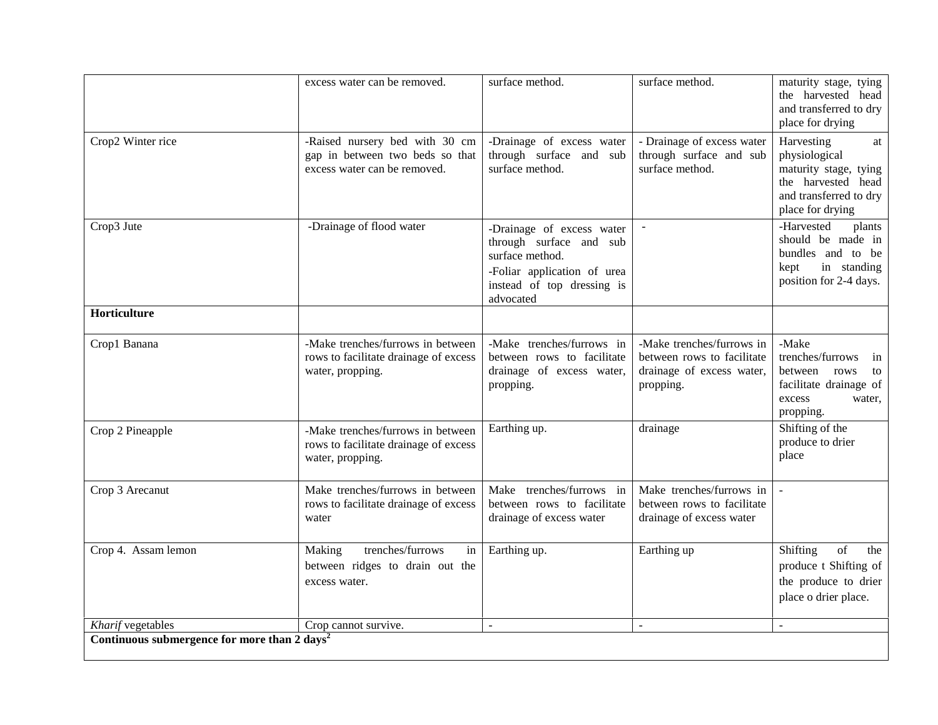|                     | excess water can be removed.                                                                      | surface method.                                                                                                                                   | surface method.                                                                                   | maturity stage, tying<br>the harvested head<br>and transferred to dry<br>place for drying                                      |
|---------------------|---------------------------------------------------------------------------------------------------|---------------------------------------------------------------------------------------------------------------------------------------------------|---------------------------------------------------------------------------------------------------|--------------------------------------------------------------------------------------------------------------------------------|
| Crop2 Winter rice   | -Raised nursery bed with 30 cm<br>gap in between two beds so that<br>excess water can be removed. | -Drainage of excess water<br>through surface and sub<br>surface method.                                                                           | - Drainage of excess water<br>through surface and sub<br>surface method.                          | Harvesting<br>at<br>physiological<br>maturity stage, tying<br>the harvested head<br>and transferred to dry<br>place for drying |
| Crop3 Jute          | -Drainage of flood water                                                                          | -Drainage of excess water<br>through surface and sub<br>surface method.<br>-Foliar application of urea<br>instead of top dressing is<br>advocated | $\omega$                                                                                          | -Harvested<br>plants<br>should be made in<br>bundles and to be<br>in standing<br>kept<br>position for 2-4 days.                |
| Horticulture        |                                                                                                   |                                                                                                                                                   |                                                                                                   |                                                                                                                                |
| Crop1 Banana        | -Make trenches/furrows in between<br>rows to facilitate drainage of excess<br>water, propping.    | -Make trenches/furrows in<br>between rows to facilitate<br>drainage of excess water,<br>propping.                                                 | -Make trenches/furrows in<br>between rows to facilitate<br>drainage of excess water,<br>propping. | -Make<br>trenches/furrows<br>in<br>between rows<br>to<br>facilitate drainage of<br>excess<br>water,<br>propping.               |
| Crop 2 Pineapple    | -Make trenches/furrows in between<br>rows to facilitate drainage of excess<br>water, propping.    | Earthing up.                                                                                                                                      | drainage                                                                                          | Shifting of the<br>produce to drier<br>place                                                                                   |
| Crop 3 Arecanut     | Make trenches/furrows in between<br>rows to facilitate drainage of excess<br>water                | Make trenches/furrows in<br>between rows to facilitate<br>drainage of excess water                                                                | Make trenches/furrows in<br>between rows to facilitate<br>drainage of excess water                |                                                                                                                                |
| Crop 4. Assam lemon | trenches/furrows<br>Making<br>in<br>between ridges to drain out the<br>excess water.              | Earthing up.                                                                                                                                      | Earthing up                                                                                       | Shifting<br>of<br>the<br>produce t Shifting of<br>the produce to drier<br>place o drier place.                                 |
|                     |                                                                                                   |                                                                                                                                                   |                                                                                                   |                                                                                                                                |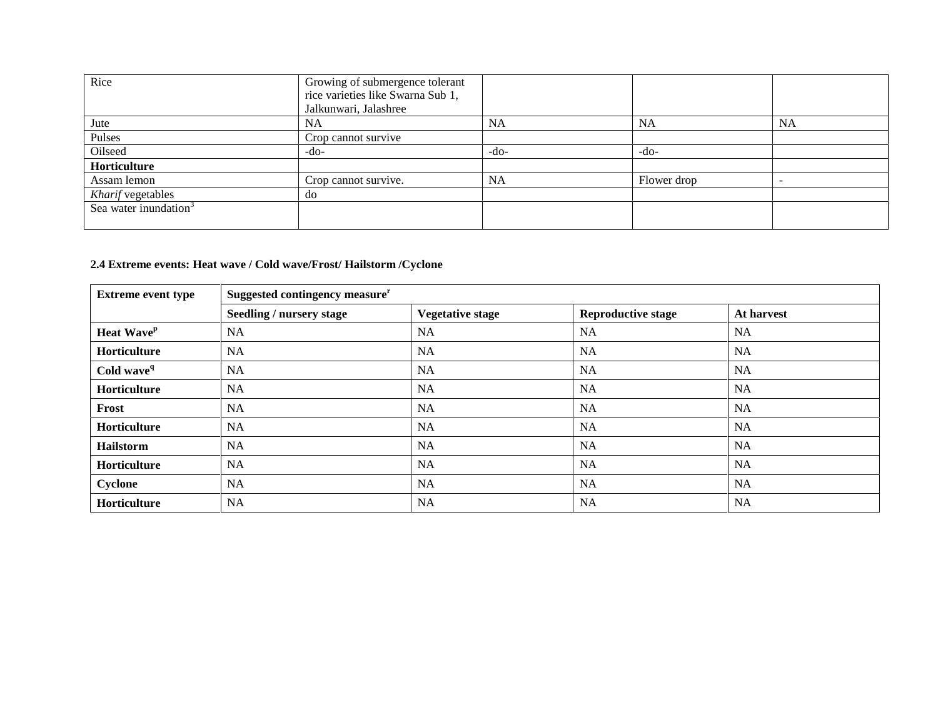| Rice                              | Growing of submergence tolerant   |           |             |           |
|-----------------------------------|-----------------------------------|-----------|-------------|-----------|
|                                   | rice varieties like Swarna Sub 1, |           |             |           |
|                                   | Jalkunwari, Jalashree             |           |             |           |
| Jute                              | <b>NA</b>                         | <b>NA</b> | <b>NA</b>   | <b>NA</b> |
| Pulses                            | Crop cannot survive               |           |             |           |
| Oilseed                           | -do-                              | $-do-$    | $-do-$      |           |
| Horticulture                      |                                   |           |             |           |
| Assam lemon                       | Crop cannot survive.              | <b>NA</b> | Flower drop |           |
| Kharif vegetables                 | do                                |           |             |           |
| Sea water inundation <sup>3</sup> |                                   |           |             |           |
|                                   |                                   |           |             |           |

## **2.4 Extreme events: Heat wave / Cold wave/Frost/ Hailstorm /Cyclone**

| <b>Extreme event type</b> | Suggested contingency measure <sup>r</sup> |                         |                           |            |  |
|---------------------------|--------------------------------------------|-------------------------|---------------------------|------------|--|
|                           | Seedling / nursery stage                   | <b>Vegetative stage</b> | <b>Reproductive stage</b> | At harvest |  |
| Heat Wave <sup>p</sup>    | NA                                         | <b>NA</b>               | <b>NA</b>                 | <b>NA</b>  |  |
| Horticulture              | <b>NA</b>                                  | <b>NA</b>               | NA                        | <b>NA</b>  |  |
| Cold wave <sup>q</sup>    | <b>NA</b>                                  | <b>NA</b>               | NA                        | <b>NA</b>  |  |
| Horticulture              | NA                                         | <b>NA</b>               | NA                        | <b>NA</b>  |  |
| Frost                     | <b>NA</b>                                  | <b>NA</b>               | NA                        | <b>NA</b>  |  |
| Horticulture              | NA                                         | <b>NA</b>               | NA                        | <b>NA</b>  |  |
| Hailstorm                 | <b>NA</b>                                  | <b>NA</b>               | NA                        | <b>NA</b>  |  |
| Horticulture              | <b>NA</b>                                  | <b>NA</b>               | NA                        | <b>NA</b>  |  |
| Cyclone                   | <b>NA</b>                                  | <b>NA</b>               | NA                        | <b>NA</b>  |  |
| Horticulture              | <b>NA</b>                                  | <b>NA</b>               | NA                        | <b>NA</b>  |  |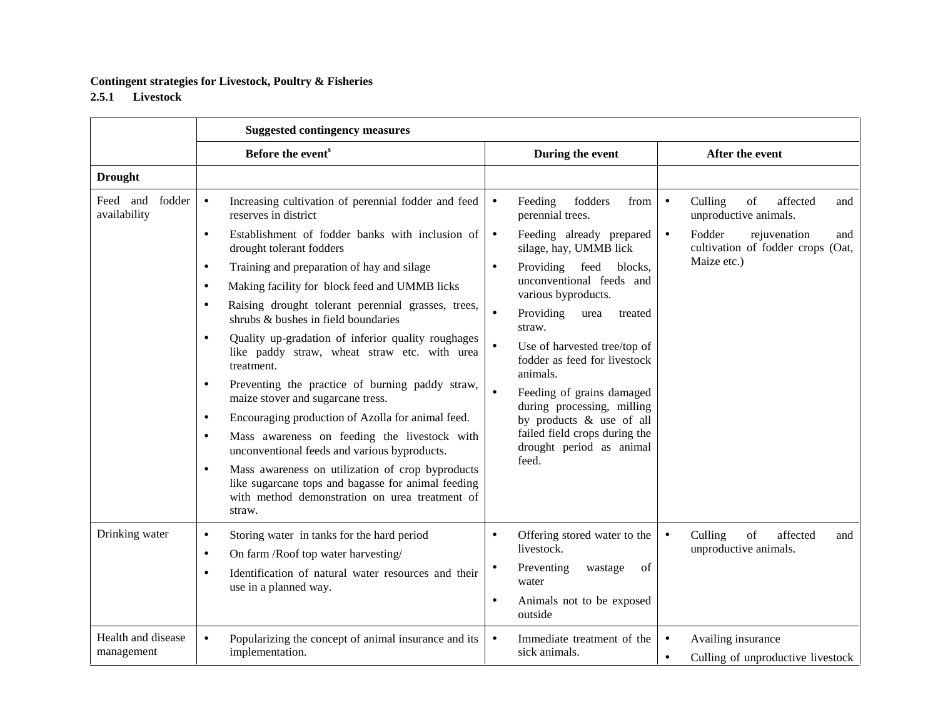### **Contingent strategies for Livestock, Poultry & Fisheries**

### **2.5.1 Livestock**

|                                    | <b>Suggested contingency measures</b>                                                                                                                                           |                                                                          |                                                                                   |  |  |
|------------------------------------|---------------------------------------------------------------------------------------------------------------------------------------------------------------------------------|--------------------------------------------------------------------------|-----------------------------------------------------------------------------------|--|--|
|                                    | Before the event <sup>s</sup>                                                                                                                                                   | During the event                                                         | After the event                                                                   |  |  |
| <b>Drought</b>                     |                                                                                                                                                                                 |                                                                          |                                                                                   |  |  |
| fodder<br>Feed and<br>availability | Increasing cultivation of perennial fodder and feed<br>$\bullet$<br>reserves in district                                                                                        | Feeding<br>fodders<br>from<br>$\bullet$<br>perennial trees.              | Culling<br>of<br>affected<br>$\bullet$<br>and<br>unproductive animals.            |  |  |
|                                    | Establishment of fodder banks with inclusion of<br>$\bullet$<br>drought tolerant fodders                                                                                        | Feeding already prepared<br>$\bullet$<br>silage, hay, UMMB lick          | Fodder<br>rejuvenation<br>$\bullet$<br>and<br>cultivation of fodder crops (Oat,   |  |  |
|                                    | Training and preparation of hay and silage<br>$\bullet$                                                                                                                         | Providing<br>feed<br>blocks,<br>$\bullet$                                | Maize etc.)                                                                       |  |  |
|                                    | Making facility for block feed and UMMB licks<br>$\bullet$                                                                                                                      | unconventional feeds and<br>various byproducts.                          |                                                                                   |  |  |
|                                    | Raising drought tolerant perennial grasses, trees,<br>$\bullet$<br>shrubs & bushes in field boundaries                                                                          | Providing<br>$\bullet$<br>urea<br>treated<br>straw.                      |                                                                                   |  |  |
|                                    | Quality up-gradation of inferior quality roughages<br>$\bullet$<br>like paddy straw, wheat straw etc. with urea<br>treatment.                                                   | Use of harvested tree/top of<br>fodder as feed for livestock<br>animals. |                                                                                   |  |  |
|                                    | Preventing the practice of burning paddy straw,<br>$\bullet$<br>maize stover and sugarcane tress.                                                                               | $\bullet$<br>Feeding of grains damaged<br>during processing, milling     |                                                                                   |  |  |
|                                    | Encouraging production of Azolla for animal feed.<br>$\bullet$                                                                                                                  | by products & use of all                                                 |                                                                                   |  |  |
|                                    | Mass awareness on feeding the livestock with<br>$\bullet$<br>unconventional feeds and various byproducts.                                                                       | failed field crops during the<br>drought period as animal                |                                                                                   |  |  |
|                                    | Mass awareness on utilization of crop byproducts<br>$\bullet$<br>like sugarcane tops and bagasse for animal feeding<br>with method demonstration on urea treatment of<br>straw. | feed.                                                                    |                                                                                   |  |  |
| Drinking water                     | Storing water in tanks for the hard period<br>$\bullet$                                                                                                                         | Offering stored water to the<br>$\bullet$<br>livestock.                  | Culling<br>of<br>affected<br>$\bullet$<br>and<br>unproductive animals.            |  |  |
|                                    | On farm /Roof top water harvesting/<br>$\bullet$                                                                                                                                | Preventing<br>wastage<br>of<br>$\bullet$                                 |                                                                                   |  |  |
|                                    | Identification of natural water resources and their<br>$\bullet$<br>use in a planned way.                                                                                       | water                                                                    |                                                                                   |  |  |
|                                    |                                                                                                                                                                                 | Animals not to be exposed<br>$\bullet$<br>outside                        |                                                                                   |  |  |
| Health and disease<br>management   | Popularizing the concept of animal insurance and its<br>$\bullet$<br>implementation.                                                                                            | Immediate treatment of the<br>$\bullet$<br>sick animals.                 | Availing insurance<br>$\bullet$<br>Culling of unproductive livestock<br>$\bullet$ |  |  |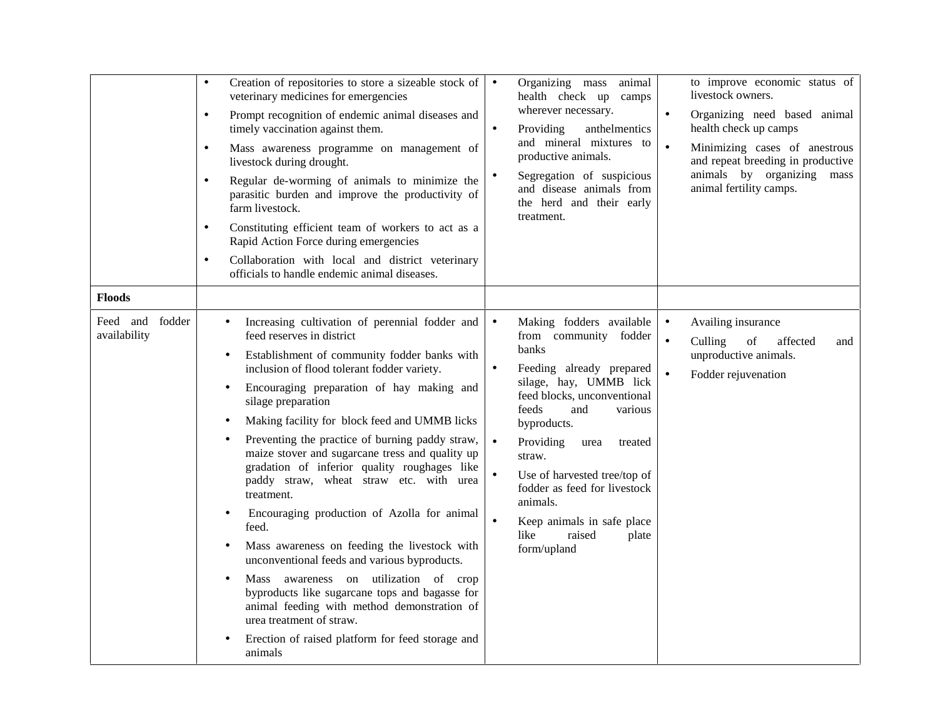|                                                     | Creation of repositories to store a sizeable stock of<br>$\bullet$<br>veterinary medicines for emergencies<br>Prompt recognition of endemic animal diseases and<br>$\bullet$<br>timely vaccination against them.<br>Mass awareness programme on management of<br>$\bullet$<br>livestock during drought.<br>Regular de-worming of animals to minimize the<br>$\bullet$<br>parasitic burden and improve the productivity of<br>farm livestock.<br>Constituting efficient team of workers to act as a<br>$\bullet$<br>Rapid Action Force during emergencies<br>Collaboration with local and district veterinary<br>$\bullet$<br>officials to handle endemic animal diseases.                                                                                                                                                                                                                                                                                                                          | Organizing mass animal<br>$\bullet$<br>health check up camps<br>wherever necessary.<br>Providing<br>anthelmentics<br>$\bullet$<br>and mineral mixtures to<br>productive animals.<br>Segregation of suspicious<br>and disease animals from<br>the herd and their early<br>treatment.                                                                                                                                                                      | to improve economic status of<br>livestock owners.<br>Organizing need based animal<br>$\bullet$<br>health check up camps<br>$\bullet$<br>Minimizing cases of anestrous<br>and repeat breeding in productive<br>animals by organizing<br>mass<br>animal fertility camps. |
|-----------------------------------------------------|----------------------------------------------------------------------------------------------------------------------------------------------------------------------------------------------------------------------------------------------------------------------------------------------------------------------------------------------------------------------------------------------------------------------------------------------------------------------------------------------------------------------------------------------------------------------------------------------------------------------------------------------------------------------------------------------------------------------------------------------------------------------------------------------------------------------------------------------------------------------------------------------------------------------------------------------------------------------------------------------------|----------------------------------------------------------------------------------------------------------------------------------------------------------------------------------------------------------------------------------------------------------------------------------------------------------------------------------------------------------------------------------------------------------------------------------------------------------|-------------------------------------------------------------------------------------------------------------------------------------------------------------------------------------------------------------------------------------------------------------------------|
| <b>Floods</b><br>Feed and<br>fodder<br>availability | Increasing cultivation of perennial fodder and<br>$\bullet$<br>feed reserves in district<br>Establishment of community fodder banks with<br>$\bullet$<br>inclusion of flood tolerant fodder variety.<br>Encouraging preparation of hay making and<br>$\bullet$<br>silage preparation<br>Making facility for block feed and UMMB licks<br>$\bullet$<br>Preventing the practice of burning paddy straw,<br>٠<br>maize stover and sugarcane tress and quality up<br>gradation of inferior quality roughages like<br>paddy straw, wheat straw etc. with urea<br>treatment.<br>Encouraging production of Azolla for animal<br>$\bullet$<br>feed.<br>Mass awareness on feeding the livestock with<br>$\bullet$<br>unconventional feeds and various byproducts.<br>Mass awareness on utilization of crop<br>٠<br>byproducts like sugarcane tops and bagasse for<br>animal feeding with method demonstration of<br>urea treatment of straw.<br>Erection of raised platform for feed storage and<br>animals | Making fodders available<br>$\bullet$<br>from community fodder<br>banks<br>Feeding already prepared<br>$\bullet$<br>silage, hay, UMMB lick<br>feed blocks, unconventional<br>feeds<br>and<br>various<br>byproducts.<br>Providing<br>$\bullet$<br>urea<br>treated<br>straw.<br>Use of harvested tree/top of<br>$\bullet$<br>fodder as feed for livestock<br>animals.<br>Keep animals in safe place<br>$\bullet$<br>like<br>raised<br>plate<br>form/upland | Availing insurance<br>$\bullet$<br>of<br>affected<br>$\bullet$<br>Culling<br>and<br>unproductive animals.<br>Fodder rejuvenation                                                                                                                                        |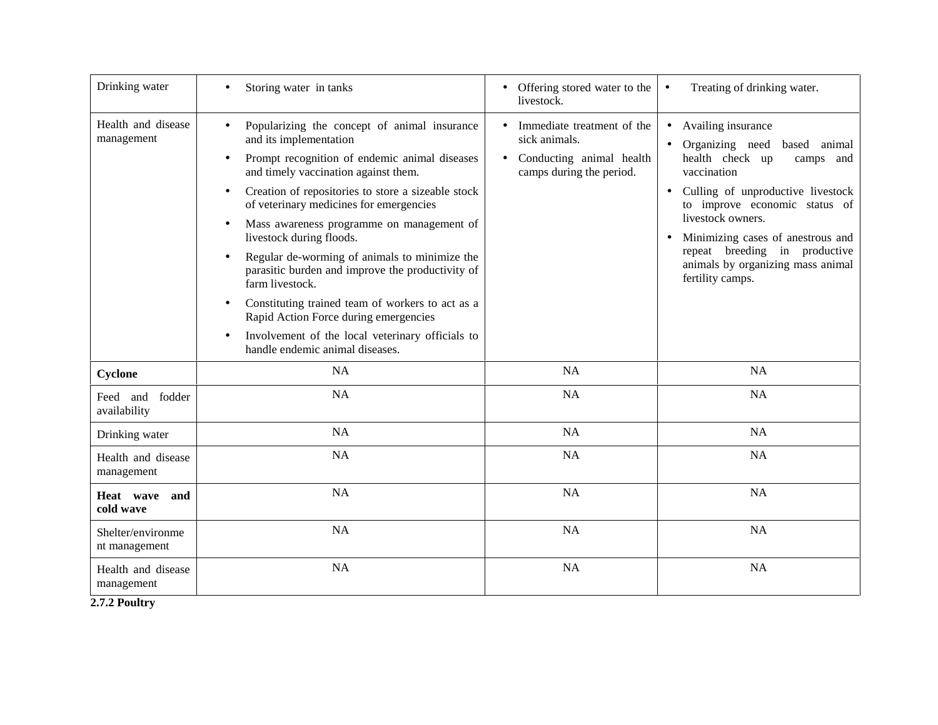| Drinking water                     | Storing water in tanks                                                                                                                                                                                                                                                                                                                                                                                                                                                                                                                                                                                                                                                                                                              | Offering stored water to the<br>$\bullet$<br>livestock.                                                                       | Treating of drinking water.<br>$\bullet$                                                                                                                                                                                                                                                                                                                 |
|------------------------------------|-------------------------------------------------------------------------------------------------------------------------------------------------------------------------------------------------------------------------------------------------------------------------------------------------------------------------------------------------------------------------------------------------------------------------------------------------------------------------------------------------------------------------------------------------------------------------------------------------------------------------------------------------------------------------------------------------------------------------------------|-------------------------------------------------------------------------------------------------------------------------------|----------------------------------------------------------------------------------------------------------------------------------------------------------------------------------------------------------------------------------------------------------------------------------------------------------------------------------------------------------|
| Health and disease<br>management   | Popularizing the concept of animal insurance<br>$\bullet$<br>and its implementation<br>Prompt recognition of endemic animal diseases<br>$\bullet$<br>and timely vaccination against them.<br>Creation of repositories to store a sizeable stock<br>$\bullet$<br>of veterinary medicines for emergencies<br>Mass awareness programme on management of<br>$\bullet$<br>livestock during floods.<br>Regular de-worming of animals to minimize the<br>parasitic burden and improve the productivity of<br>farm livestock.<br>Constituting trained team of workers to act as a<br>$\bullet$<br>Rapid Action Force during emergencies<br>Involvement of the local veterinary officials to<br>$\bullet$<br>handle endemic animal diseases. | Immediate treatment of the<br>$\bullet$<br>sick animals.<br>Conducting animal health<br>$\bullet$<br>camps during the period. | Availing insurance<br>$\bullet$<br>Organizing need based<br>animal<br>health check up<br>camps and<br>vaccination<br>Culling of unproductive livestock<br>$\bullet$<br>to improve economic status of<br>livestock owners.<br>Minimizing cases of anestrous and<br>repeat breeding in productive<br>animals by organizing mass animal<br>fertility camps. |
| Cyclone                            | NA                                                                                                                                                                                                                                                                                                                                                                                                                                                                                                                                                                                                                                                                                                                                  | NA                                                                                                                            | NA                                                                                                                                                                                                                                                                                                                                                       |
| Feed and<br>fodder<br>availability | <b>NA</b>                                                                                                                                                                                                                                                                                                                                                                                                                                                                                                                                                                                                                                                                                                                           | <b>NA</b>                                                                                                                     | NA                                                                                                                                                                                                                                                                                                                                                       |
| Drinking water                     | NA                                                                                                                                                                                                                                                                                                                                                                                                                                                                                                                                                                                                                                                                                                                                  | <b>NA</b>                                                                                                                     | NA                                                                                                                                                                                                                                                                                                                                                       |
| Health and disease<br>management   | <b>NA</b>                                                                                                                                                                                                                                                                                                                                                                                                                                                                                                                                                                                                                                                                                                                           | NA                                                                                                                            | NA                                                                                                                                                                                                                                                                                                                                                       |
| Heat wave<br>and<br>cold wave      | NA                                                                                                                                                                                                                                                                                                                                                                                                                                                                                                                                                                                                                                                                                                                                  | NA                                                                                                                            | <b>NA</b>                                                                                                                                                                                                                                                                                                                                                |
| Shelter/environme<br>nt management | NA                                                                                                                                                                                                                                                                                                                                                                                                                                                                                                                                                                                                                                                                                                                                  | NA                                                                                                                            | NA                                                                                                                                                                                                                                                                                                                                                       |
| Health and disease<br>management   | NA                                                                                                                                                                                                                                                                                                                                                                                                                                                                                                                                                                                                                                                                                                                                  | NA                                                                                                                            | <b>NA</b>                                                                                                                                                                                                                                                                                                                                                |

**2.7.2 Poultry**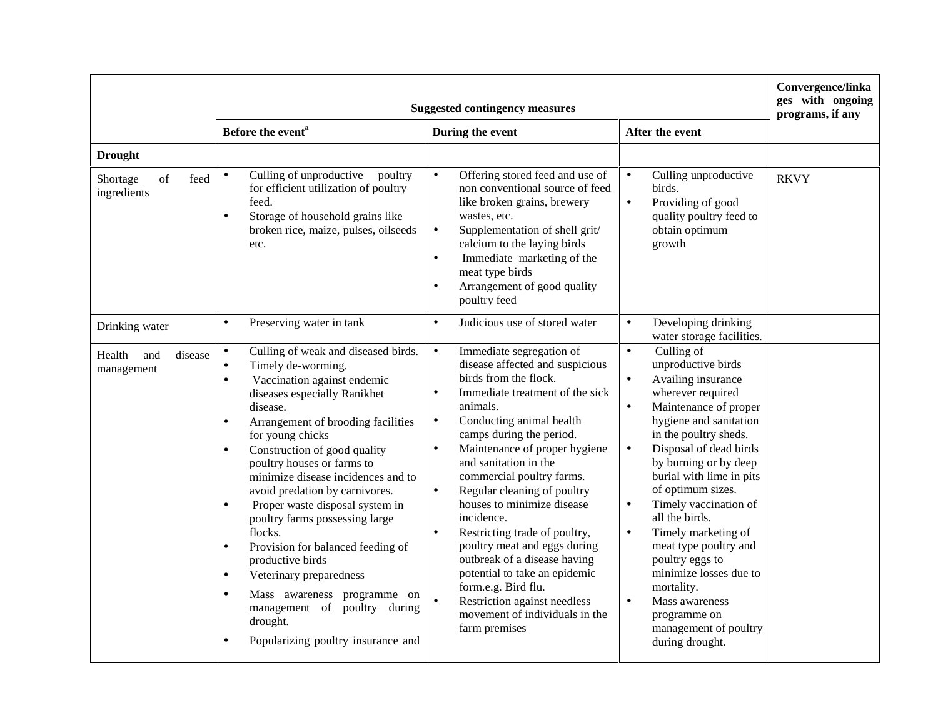|                                                         | <b>Suggested contingency measures</b>                                                                                                                                                                                                                                                                                                                                                                                                                                                                                                                                                                                                                                                                                                                       |                                                                                                                                                                                                                                                                                                                                                                                                                                                                                                                                                                                                                                                                                                      |                                                                                                                                                                                                                                                                                                                                                                                                                                                                                                                                                                               | Convergence/linka<br>ges with ongoing<br>programs, if any |
|---------------------------------------------------------|-------------------------------------------------------------------------------------------------------------------------------------------------------------------------------------------------------------------------------------------------------------------------------------------------------------------------------------------------------------------------------------------------------------------------------------------------------------------------------------------------------------------------------------------------------------------------------------------------------------------------------------------------------------------------------------------------------------------------------------------------------------|------------------------------------------------------------------------------------------------------------------------------------------------------------------------------------------------------------------------------------------------------------------------------------------------------------------------------------------------------------------------------------------------------------------------------------------------------------------------------------------------------------------------------------------------------------------------------------------------------------------------------------------------------------------------------------------------------|-------------------------------------------------------------------------------------------------------------------------------------------------------------------------------------------------------------------------------------------------------------------------------------------------------------------------------------------------------------------------------------------------------------------------------------------------------------------------------------------------------------------------------------------------------------------------------|-----------------------------------------------------------|
|                                                         | Before the event <sup>a</sup>                                                                                                                                                                                                                                                                                                                                                                                                                                                                                                                                                                                                                                                                                                                               | During the event                                                                                                                                                                                                                                                                                                                                                                                                                                                                                                                                                                                                                                                                                     | After the event                                                                                                                                                                                                                                                                                                                                                                                                                                                                                                                                                               |                                                           |
| <b>Drought</b><br>feed<br>of<br>Shortage<br>ingredients | Culling of unproductive<br>poultry<br>$\bullet$<br>for efficient utilization of poultry<br>feed.<br>Storage of household grains like<br>$\bullet$<br>broken rice, maize, pulses, oilseeds                                                                                                                                                                                                                                                                                                                                                                                                                                                                                                                                                                   | Offering stored feed and use of<br>$\bullet$<br>non conventional source of feed<br>like broken grains, brewery<br>wastes, etc.<br>Supplementation of shell grit/<br>$\bullet$                                                                                                                                                                                                                                                                                                                                                                                                                                                                                                                        | Culling unproductive<br>$\bullet$<br>birds.<br>Providing of good<br>$\bullet$<br>quality poultry feed to<br>obtain optimum                                                                                                                                                                                                                                                                                                                                                                                                                                                    | <b>RKVY</b>                                               |
|                                                         | etc.                                                                                                                                                                                                                                                                                                                                                                                                                                                                                                                                                                                                                                                                                                                                                        | calcium to the laying birds<br>Immediate marketing of the<br>$\bullet$<br>meat type birds<br>Arrangement of good quality<br>$\bullet$<br>poultry feed                                                                                                                                                                                                                                                                                                                                                                                                                                                                                                                                                | growth                                                                                                                                                                                                                                                                                                                                                                                                                                                                                                                                                                        |                                                           |
| Drinking water                                          | Preserving water in tank<br>$\bullet$                                                                                                                                                                                                                                                                                                                                                                                                                                                                                                                                                                                                                                                                                                                       | Judicious use of stored water<br>$\bullet$                                                                                                                                                                                                                                                                                                                                                                                                                                                                                                                                                                                                                                                           | Developing drinking<br>$\bullet$<br>water storage facilities.                                                                                                                                                                                                                                                                                                                                                                                                                                                                                                                 |                                                           |
| Health<br>and<br>disease<br>management                  | Culling of weak and diseased birds.<br>$\bullet$<br>Timely de-worming.<br>$\bullet$<br>Vaccination against endemic<br>$\bullet$<br>diseases especially Ranikhet<br>disease.<br>Arrangement of brooding facilities<br>$\bullet$<br>for young chicks<br>Construction of good quality<br>$\bullet$<br>poultry houses or farms to<br>minimize disease incidences and to<br>avoid predation by carnivores.<br>Proper waste disposal system in<br>$\bullet$<br>poultry farms possessing large<br>flocks.<br>Provision for balanced feeding of<br>$\bullet$<br>productive birds<br>Veterinary preparedness<br>$\bullet$<br>Mass awareness programme on<br>$\bullet$<br>management of poultry during<br>drought.<br>Popularizing poultry insurance and<br>$\bullet$ | Immediate segregation of<br>$\bullet$<br>disease affected and suspicious<br>birds from the flock.<br>Immediate treatment of the sick<br>$\bullet$<br>animals.<br>Conducting animal health<br>$\bullet$<br>camps during the period.<br>Maintenance of proper hygiene<br>$\bullet$<br>and sanitation in the<br>commercial poultry farms.<br>Regular cleaning of poultry<br>$\bullet$<br>houses to minimize disease<br>incidence.<br>Restricting trade of poultry,<br>$\bullet$<br>poultry meat and eggs during<br>outbreak of a disease having<br>potential to take an epidemic<br>form.e.g. Bird flu.<br>$\bullet$<br>Restriction against needless<br>movement of individuals in the<br>farm premises | Culling of<br>$\bullet$<br>unproductive birds<br>Availing insurance<br>wherever required<br>Maintenance of proper<br>$\bullet$<br>hygiene and sanitation<br>in the poultry sheds.<br>Disposal of dead birds<br>$\bullet$<br>by burning or by deep<br>burial with lime in pits<br>of optimum sizes.<br>Timely vaccination of<br>$\bullet$<br>all the birds.<br>Timely marketing of<br>$\bullet$<br>meat type poultry and<br>poultry eggs to<br>minimize losses due to<br>mortality.<br>$\bullet$<br>Mass awareness<br>programme on<br>management of poultry<br>during drought. |                                                           |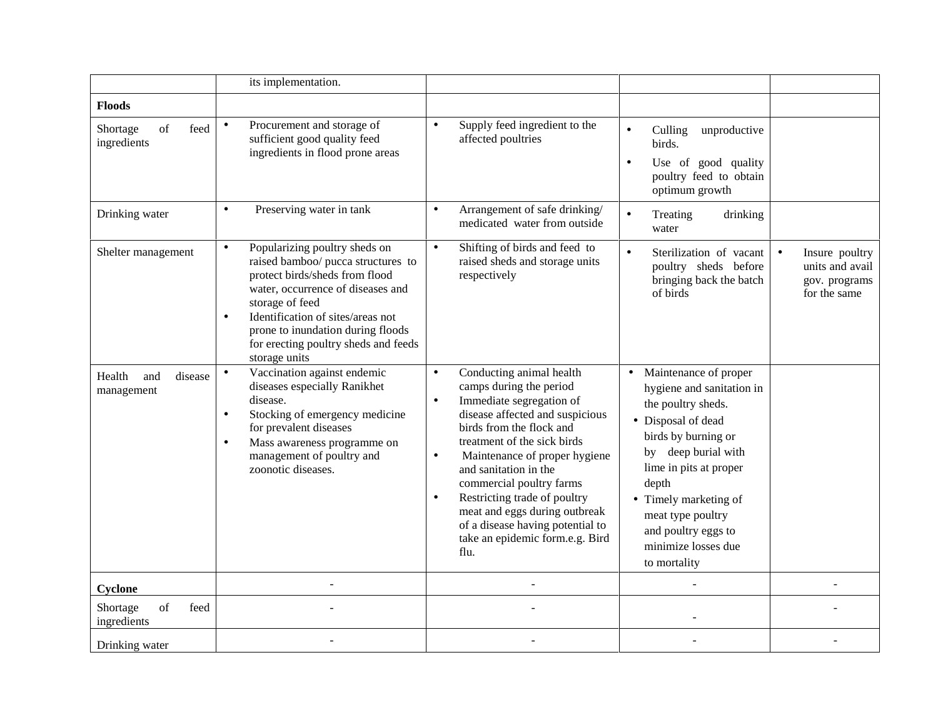|                                                                                                                                       | its implementation.                                                                                                                                                                                                                                                                                                        |                                                                                                                                                                                                                                                                                                                                                                                                                                                                         |                                                                                                                                                                                                                                                                                                          |                                                                    |
|---------------------------------------------------------------------------------------------------------------------------------------|----------------------------------------------------------------------------------------------------------------------------------------------------------------------------------------------------------------------------------------------------------------------------------------------------------------------------|-------------------------------------------------------------------------------------------------------------------------------------------------------------------------------------------------------------------------------------------------------------------------------------------------------------------------------------------------------------------------------------------------------------------------------------------------------------------------|----------------------------------------------------------------------------------------------------------------------------------------------------------------------------------------------------------------------------------------------------------------------------------------------------------|--------------------------------------------------------------------|
| <b>Floods</b>                                                                                                                         |                                                                                                                                                                                                                                                                                                                            |                                                                                                                                                                                                                                                                                                                                                                                                                                                                         |                                                                                                                                                                                                                                                                                                          |                                                                    |
| $% \left( \left( \mathcal{A},\mathcal{A}\right) \right) =\left( \mathcal{A},\mathcal{A}\right)$ of<br>feed<br>Shortage<br>ingredients | Procurement and storage of<br>$\bullet$<br>sufficient good quality feed<br>ingredients in flood prone areas                                                                                                                                                                                                                | Supply feed ingredient to the<br>$\bullet$<br>affected poultries                                                                                                                                                                                                                                                                                                                                                                                                        | Culling unproductive<br>$\bullet$<br>birds.<br>Use of good quality<br>$\bullet$<br>poultry feed to obtain<br>optimum growth                                                                                                                                                                              |                                                                    |
| Drinking water                                                                                                                        | Preserving water in tank<br>$\bullet$                                                                                                                                                                                                                                                                                      | Arrangement of safe drinking/<br>$\bullet$<br>medicated water from outside                                                                                                                                                                                                                                                                                                                                                                                              | $\bullet$<br>drinking<br>Treating<br>water                                                                                                                                                                                                                                                               |                                                                    |
| Shelter management                                                                                                                    | Popularizing poultry sheds on<br>$\bullet$<br>raised bamboo/ pucca structures to<br>protect birds/sheds from flood<br>water, occurrence of diseases and<br>storage of feed<br>Identification of sites/areas not<br>$\bullet$<br>prone to inundation during floods<br>for erecting poultry sheds and feeds<br>storage units | Shifting of birds and feed to<br>$\bullet$<br>raised sheds and storage units<br>respectively                                                                                                                                                                                                                                                                                                                                                                            | $\bullet$<br>Sterilization of vacant<br>poultry sheds before<br>bringing back the batch<br>of birds                                                                                                                                                                                                      | Insure poultry<br>units and avail<br>gov. programs<br>for the same |
| Health<br>disease<br>and<br>management                                                                                                | Vaccination against endemic<br>$\bullet$<br>diseases especially Ranikhet<br>disease.<br>Stocking of emergency medicine<br>$\bullet$<br>for prevalent diseases<br>Mass awareness programme on<br>$\bullet$<br>management of poultry and<br>zoonotic diseases.                                                               | Conducting animal health<br>$\bullet$<br>camps during the period<br>Immediate segregation of<br>$\bullet$<br>disease affected and suspicious<br>birds from the flock and<br>treatment of the sick birds<br>Maintenance of proper hygiene<br>$\bullet$<br>and sanitation in the<br>commercial poultry farms<br>Restricting trade of poultry<br>$\bullet$<br>meat and eggs during outbreak<br>of a disease having potential to<br>take an epidemic form.e.g. Bird<br>flu. | Maintenance of proper<br>$\bullet$<br>hygiene and sanitation in<br>the poultry sheds.<br>• Disposal of dead<br>birds by burning or<br>by deep burial with<br>lime in pits at proper<br>depth<br>• Timely marketing of<br>meat type poultry<br>and poultry eggs to<br>minimize losses due<br>to mortality |                                                                    |
| Cyclone                                                                                                                               |                                                                                                                                                                                                                                                                                                                            |                                                                                                                                                                                                                                                                                                                                                                                                                                                                         |                                                                                                                                                                                                                                                                                                          |                                                                    |
| of<br>feed<br>Shortage<br>ingredients                                                                                                 |                                                                                                                                                                                                                                                                                                                            |                                                                                                                                                                                                                                                                                                                                                                                                                                                                         |                                                                                                                                                                                                                                                                                                          |                                                                    |
| Drinking water                                                                                                                        |                                                                                                                                                                                                                                                                                                                            |                                                                                                                                                                                                                                                                                                                                                                                                                                                                         |                                                                                                                                                                                                                                                                                                          |                                                                    |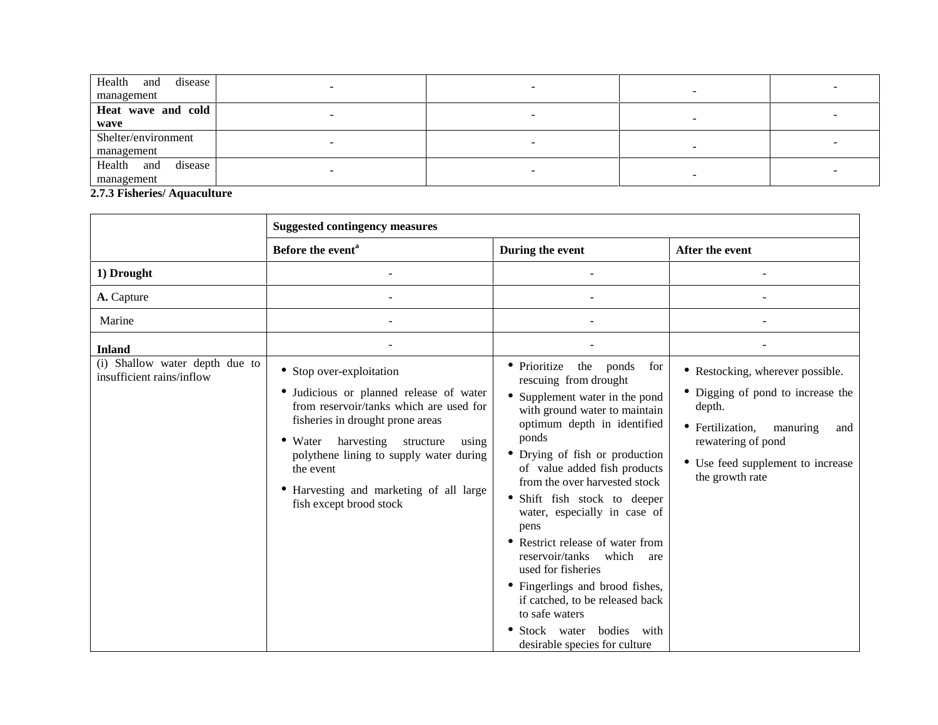| disease<br>Health<br>and |  |   |  |
|--------------------------|--|---|--|
| management               |  |   |  |
| Heat wave and cold       |  |   |  |
| wave                     |  |   |  |
| Shelter/environment      |  |   |  |
| management               |  | - |  |
| disease<br>Health<br>and |  |   |  |
| management               |  |   |  |

**2.7.3 Fisheries/ Aquaculture**

|                                                             | <b>Suggested contingency measures</b>                                                                                                                                                                                                                                                                                                |                                                                                                                                                                                                                                                                                                                                                                                                                                                                                                                                                                                                 |                                                                                                                                                                                                      |
|-------------------------------------------------------------|--------------------------------------------------------------------------------------------------------------------------------------------------------------------------------------------------------------------------------------------------------------------------------------------------------------------------------------|-------------------------------------------------------------------------------------------------------------------------------------------------------------------------------------------------------------------------------------------------------------------------------------------------------------------------------------------------------------------------------------------------------------------------------------------------------------------------------------------------------------------------------------------------------------------------------------------------|------------------------------------------------------------------------------------------------------------------------------------------------------------------------------------------------------|
|                                                             | Before the event <sup>a</sup>                                                                                                                                                                                                                                                                                                        | During the event                                                                                                                                                                                                                                                                                                                                                                                                                                                                                                                                                                                | After the event                                                                                                                                                                                      |
| 1) Drought                                                  |                                                                                                                                                                                                                                                                                                                                      | $\overline{\phantom{a}}$                                                                                                                                                                                                                                                                                                                                                                                                                                                                                                                                                                        | $\blacksquare$                                                                                                                                                                                       |
| A. Capture                                                  |                                                                                                                                                                                                                                                                                                                                      |                                                                                                                                                                                                                                                                                                                                                                                                                                                                                                                                                                                                 |                                                                                                                                                                                                      |
| Marine                                                      |                                                                                                                                                                                                                                                                                                                                      |                                                                                                                                                                                                                                                                                                                                                                                                                                                                                                                                                                                                 |                                                                                                                                                                                                      |
| <b>Inland</b>                                               |                                                                                                                                                                                                                                                                                                                                      |                                                                                                                                                                                                                                                                                                                                                                                                                                                                                                                                                                                                 |                                                                                                                                                                                                      |
| (i) Shallow water depth due to<br>insufficient rains/inflow | • Stop over-exploitation<br>• Judicious or planned release of water<br>from reservoir/tanks which are used for<br>fisheries in drought prone areas<br>harvesting structure<br>using<br>$\bullet$ Water<br>polythene lining to supply water during<br>the event<br>• Harvesting and marketing of all large<br>fish except brood stock | • Prioritize<br>the ponds<br>for<br>rescuing from drought<br>• Supplement water in the pond<br>with ground water to maintain<br>optimum depth in identified<br>ponds<br>• Drying of fish or production<br>of value added fish products<br>from the over harvested stock<br>• Shift fish stock to deeper<br>water, especially in case of<br>pens<br>• Restrict release of water from<br>reservoir/tanks which<br>are<br>used for fisheries<br>• Fingerlings and brood fishes,<br>if catched, to be released back<br>to safe waters<br>• Stock water bodies with<br>desirable species for culture | • Restocking, wherever possible.<br>• Digging of pond to increase the<br>depth.<br>• Fertilization,<br>manuring<br>and<br>rewatering of pond<br>• Use feed supplement to increase<br>the growth rate |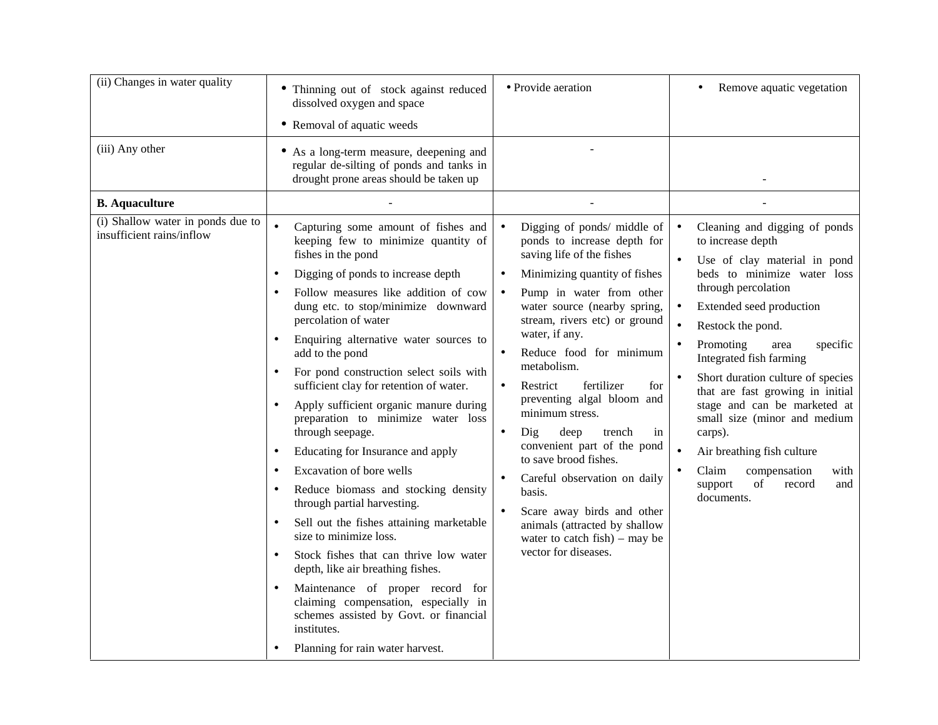| (iii) Any other<br>• As a long-term measure, deepening and<br>regular de-silting of ponds and tanks in<br>drought prone areas should be taken up<br><b>B.</b> Aquaculture<br>(i) Shallow water in ponds due to<br>$\bullet$<br>Capturing some amount of fishes and<br>Digging of ponds/ middle of<br>Cleaning and digging of ponds<br>$\bullet$<br>$\bullet$<br>insufficient rains/inflow<br>keeping few to minimize quantity of<br>ponds to increase depth for<br>to increase depth<br>fishes in the pond<br>saving life of the fishes<br>Use of clay material in pond<br>beds to minimize water loss<br>Digging of ponds to increase depth<br>Minimizing quantity of fishes<br>$\bullet$<br>through percolation<br>Follow measures like addition of cow<br>Pump in water from other<br>$\bullet$<br>dung etc. to stop/minimize downward<br>water source (nearby spring,<br>Extended seed production<br>percolation of water<br>stream, rivers etc) or ground<br>Restock the pond.<br>water, if any.<br>Enquiring alternative water sources to<br>Promoting<br>specific<br>area<br>$\bullet$<br>Reduce food for minimum<br>add to the pond<br>Integrated fish farming<br>metabolism.<br>For pond construction select soils with<br>Short duration culture of species<br>sufficient clay for retention of water.<br>Restrict<br>fertilizer<br>for<br>that are fast growing in initial<br>preventing algal bloom and<br>stage and can be marketed at<br>Apply sufficient organic manure during<br>minimum stress.<br>small size (minor and medium<br>preparation to minimize water loss<br>through seepage.<br>Dig<br>deep<br>trench<br>carps).<br>in<br>$\bullet$<br>convenient part of the pond<br>Educating for Insurance and apply<br>Air breathing fish culture<br>$\bullet$<br>to save brood fishes.<br>Excavation of bore wells<br>Claim<br>compensation<br>with<br>$\bullet$<br>Careful observation on daily<br>$\bullet$<br>support<br>of<br>record<br>and<br>Reduce biomass and stocking density<br>basis.<br>documents. | (ii) Changes in water quality | • Thinning out of stock against reduced<br>dissolved oxygen and space<br>• Removal of aquatic weeds | · Provide aeration | Remove aquatic vegetation<br>٠ |
|-----------------------------------------------------------------------------------------------------------------------------------------------------------------------------------------------------------------------------------------------------------------------------------------------------------------------------------------------------------------------------------------------------------------------------------------------------------------------------------------------------------------------------------------------------------------------------------------------------------------------------------------------------------------------------------------------------------------------------------------------------------------------------------------------------------------------------------------------------------------------------------------------------------------------------------------------------------------------------------------------------------------------------------------------------------------------------------------------------------------------------------------------------------------------------------------------------------------------------------------------------------------------------------------------------------------------------------------------------------------------------------------------------------------------------------------------------------------------------------------------------------------------------------------------------------------------------------------------------------------------------------------------------------------------------------------------------------------------------------------------------------------------------------------------------------------------------------------------------------------------------------------------------------------------------------------------------------------------------------------------------------------------------------|-------------------------------|-----------------------------------------------------------------------------------------------------|--------------------|--------------------------------|
|                                                                                                                                                                                                                                                                                                                                                                                                                                                                                                                                                                                                                                                                                                                                                                                                                                                                                                                                                                                                                                                                                                                                                                                                                                                                                                                                                                                                                                                                                                                                                                                                                                                                                                                                                                                                                                                                                                                                                                                                                                   |                               |                                                                                                     |                    |                                |
|                                                                                                                                                                                                                                                                                                                                                                                                                                                                                                                                                                                                                                                                                                                                                                                                                                                                                                                                                                                                                                                                                                                                                                                                                                                                                                                                                                                                                                                                                                                                                                                                                                                                                                                                                                                                                                                                                                                                                                                                                                   |                               |                                                                                                     |                    |                                |
| Scare away birds and other<br>Sell out the fishes attaining marketable<br>animals (attracted by shallow<br>$\bullet$<br>size to minimize loss.<br>water to catch fish) – may be<br>vector for diseases.<br>Stock fishes that can thrive low water<br>$\bullet$<br>depth, like air breathing fishes.<br>Maintenance of proper record for<br>claiming compensation, especially in<br>schemes assisted by Govt. or financial<br>institutes.<br>Planning for rain water harvest.                                                                                                                                                                                                                                                                                                                                                                                                                                                                                                                                                                                                                                                                                                                                                                                                                                                                                                                                                                                                                                                                                                                                                                                                                                                                                                                                                                                                                                                                                                                                                      |                               | through partial harvesting.                                                                         |                    |                                |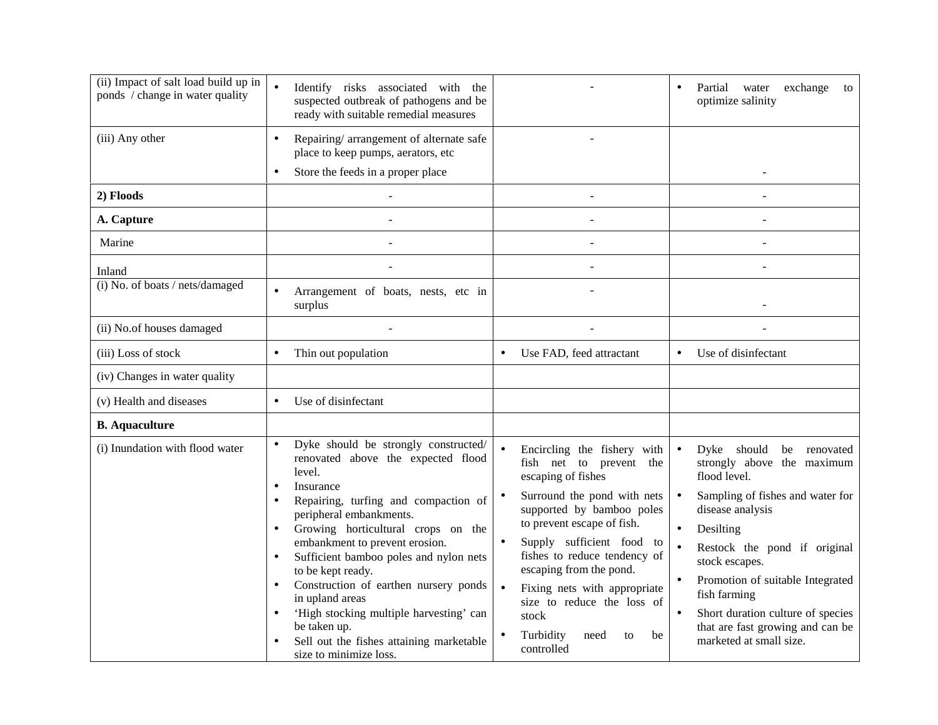| (ii) Impact of salt load build up in<br>ponds / change in water quality | Identify risks associated with the<br>suspected outbreak of pathogens and be<br>ready with suitable remedial measures                                                                                                                                                                                                                                                                                                                                                                                                 |                                                                                                                                                                                                                                                                                                                                                                                      | exchange to<br>Partial water<br>optimize salinity                                                                                                                                                                                                                                                                                                                               |
|-------------------------------------------------------------------------|-----------------------------------------------------------------------------------------------------------------------------------------------------------------------------------------------------------------------------------------------------------------------------------------------------------------------------------------------------------------------------------------------------------------------------------------------------------------------------------------------------------------------|--------------------------------------------------------------------------------------------------------------------------------------------------------------------------------------------------------------------------------------------------------------------------------------------------------------------------------------------------------------------------------------|---------------------------------------------------------------------------------------------------------------------------------------------------------------------------------------------------------------------------------------------------------------------------------------------------------------------------------------------------------------------------------|
| (iii) Any other                                                         | Repairing/arrangement of alternate safe<br>place to keep pumps, aerators, etc<br>Store the feeds in a proper place<br>$\bullet$                                                                                                                                                                                                                                                                                                                                                                                       |                                                                                                                                                                                                                                                                                                                                                                                      |                                                                                                                                                                                                                                                                                                                                                                                 |
| 2) Floods                                                               |                                                                                                                                                                                                                                                                                                                                                                                                                                                                                                                       |                                                                                                                                                                                                                                                                                                                                                                                      |                                                                                                                                                                                                                                                                                                                                                                                 |
| A. Capture                                                              |                                                                                                                                                                                                                                                                                                                                                                                                                                                                                                                       |                                                                                                                                                                                                                                                                                                                                                                                      |                                                                                                                                                                                                                                                                                                                                                                                 |
| Marine                                                                  |                                                                                                                                                                                                                                                                                                                                                                                                                                                                                                                       |                                                                                                                                                                                                                                                                                                                                                                                      |                                                                                                                                                                                                                                                                                                                                                                                 |
| Inland                                                                  |                                                                                                                                                                                                                                                                                                                                                                                                                                                                                                                       |                                                                                                                                                                                                                                                                                                                                                                                      |                                                                                                                                                                                                                                                                                                                                                                                 |
| (i) No. of boats / nets/damaged                                         | Arrangement of boats, nests, etc in<br>$\bullet$<br>surplus                                                                                                                                                                                                                                                                                                                                                                                                                                                           |                                                                                                                                                                                                                                                                                                                                                                                      |                                                                                                                                                                                                                                                                                                                                                                                 |
| (ii) No.of houses damaged                                               |                                                                                                                                                                                                                                                                                                                                                                                                                                                                                                                       |                                                                                                                                                                                                                                                                                                                                                                                      |                                                                                                                                                                                                                                                                                                                                                                                 |
| (iii) Loss of stock                                                     | Thin out population<br>$\bullet$                                                                                                                                                                                                                                                                                                                                                                                                                                                                                      | Use FAD, feed attractant                                                                                                                                                                                                                                                                                                                                                             | Use of disinfectant<br>$\bullet$                                                                                                                                                                                                                                                                                                                                                |
| (iv) Changes in water quality                                           |                                                                                                                                                                                                                                                                                                                                                                                                                                                                                                                       |                                                                                                                                                                                                                                                                                                                                                                                      |                                                                                                                                                                                                                                                                                                                                                                                 |
| (v) Health and diseases                                                 | Use of disinfectant<br>$\bullet$                                                                                                                                                                                                                                                                                                                                                                                                                                                                                      |                                                                                                                                                                                                                                                                                                                                                                                      |                                                                                                                                                                                                                                                                                                                                                                                 |
| <b>B.</b> Aquaculture                                                   |                                                                                                                                                                                                                                                                                                                                                                                                                                                                                                                       |                                                                                                                                                                                                                                                                                                                                                                                      |                                                                                                                                                                                                                                                                                                                                                                                 |
| (i) Inundation with flood water                                         | Dyke should be strongly constructed/<br>renovated above the expected flood<br>level.<br>Insurance<br>$\bullet$<br>Repairing, turfing and compaction of<br>peripheral embankments.<br>Growing horticultural crops on the<br>embankment to prevent erosion.<br>Sufficient bamboo poles and nylon nets<br>to be kept ready.<br>Construction of earthen nursery ponds<br>in upland areas<br>'High stocking multiple harvesting' can<br>be taken up.<br>Sell out the fishes attaining marketable<br>size to minimize loss. | Encircling the fishery with<br>fish net to prevent the<br>escaping of fishes<br>Surround the pond with nets<br>supported by bamboo poles<br>to prevent escape of fish.<br>Supply sufficient food to<br>fishes to reduce tendency of<br>escaping from the pond.<br>Fixing nets with appropriate<br>size to reduce the loss of<br>stock<br>Turbidity<br>need<br>to<br>be<br>controlled | $\bullet$<br>Dyke should be renovated<br>strongly above the maximum<br>flood level.<br>Sampling of fishes and water for<br>$\bullet$<br>disease analysis<br>Desilting<br>Restock the pond if original<br>stock escapes.<br>Promotion of suitable Integrated<br>fish farming<br>Short duration culture of species<br>that are fast growing and can be<br>marketed at small size. |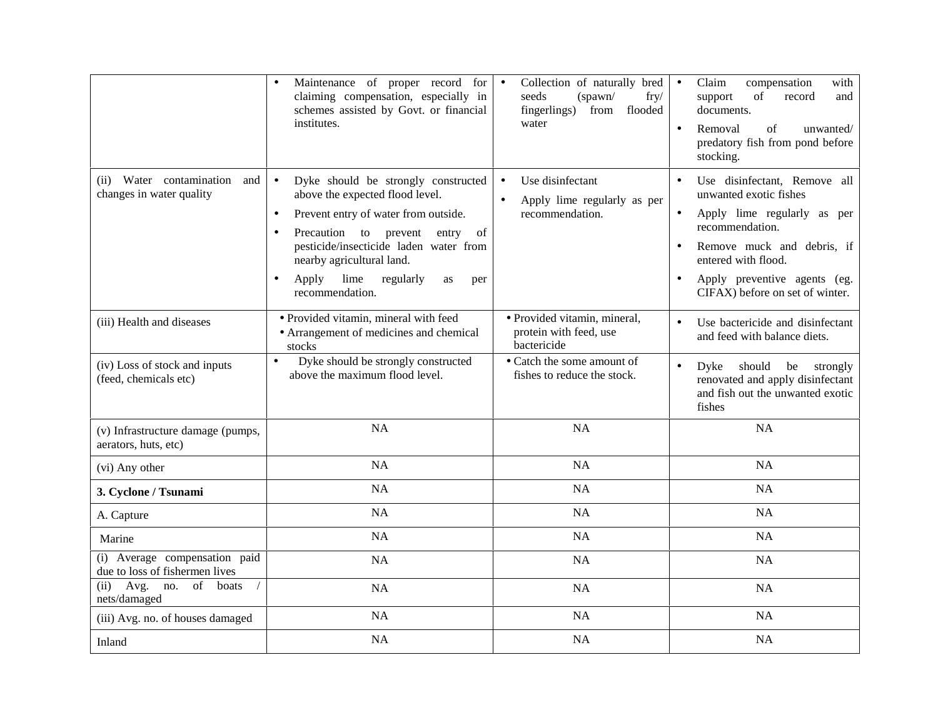|                                                                 | Maintenance of proper record for<br>claiming compensation, especially in<br>schemes assisted by Govt. or financial<br>institutes.                                                                                                                                                                                                               | Collection of naturally bred<br>$\bullet$<br>seeds<br>(spawn/<br>fry/<br>fingerlings) from<br>flooded<br>water | Claim<br>compensation<br>with<br>of<br>record<br>support<br>and<br>documents.<br>of<br>Removal<br>unwanted/<br>$\bullet$<br>predatory fish from pond before<br>stocking.                                                         |
|-----------------------------------------------------------------|-------------------------------------------------------------------------------------------------------------------------------------------------------------------------------------------------------------------------------------------------------------------------------------------------------------------------------------------------|----------------------------------------------------------------------------------------------------------------|----------------------------------------------------------------------------------------------------------------------------------------------------------------------------------------------------------------------------------|
| (ii) Water contamination and<br>changes in water quality        | Dyke should be strongly constructed<br>$\bullet$<br>above the expected flood level.<br>Prevent entry of water from outside.<br>$\bullet$<br>Precaution<br>to prevent<br>of<br>entry<br>$\bullet$<br>pesticide/insecticide laden water from<br>nearby agricultural land.<br>lime regularly<br>Apply<br>as<br>$\bullet$<br>per<br>recommendation. | Use disinfectant<br>$\bullet$<br>Apply lime regularly as per<br>$\bullet$<br>recommendation.                   | Use disinfectant, Remove all<br>unwanted exotic fishes<br>Apply lime regularly as per<br>recommendation.<br>Remove muck and debris, if<br>entered with flood.<br>Apply preventive agents (eg.<br>CIFAX) before on set of winter. |
| (iii) Health and diseases                                       | · Provided vitamin, mineral with feed<br>• Arrangement of medicines and chemical<br>stocks                                                                                                                                                                                                                                                      | · Provided vitamin, mineral,<br>protein with feed, use<br>bactericide                                          | Use bactericide and disinfectant<br>$\bullet$<br>and feed with balance diets.                                                                                                                                                    |
| (iv) Loss of stock and inputs<br>(feed, chemicals etc)          | Dyke should be strongly constructed<br>$\bullet$<br>above the maximum flood level.                                                                                                                                                                                                                                                              | • Catch the some amount of<br>fishes to reduce the stock.                                                      | Dyke should be strongly<br>$\bullet$<br>renovated and apply disinfectant<br>and fish out the unwanted exotic<br>fishes                                                                                                           |
| (v) Infrastructure damage (pumps,<br>aerators, huts, etc)       | <b>NA</b>                                                                                                                                                                                                                                                                                                                                       | NA                                                                                                             | <b>NA</b>                                                                                                                                                                                                                        |
| (vi) Any other                                                  | <b>NA</b>                                                                                                                                                                                                                                                                                                                                       | NA                                                                                                             | <b>NA</b>                                                                                                                                                                                                                        |
| 3. Cyclone / Tsunami                                            | <b>NA</b>                                                                                                                                                                                                                                                                                                                                       | NA                                                                                                             | NA                                                                                                                                                                                                                               |
| A. Capture                                                      | <b>NA</b>                                                                                                                                                                                                                                                                                                                                       | NA                                                                                                             | NA                                                                                                                                                                                                                               |
| Marine                                                          | <b>NA</b>                                                                                                                                                                                                                                                                                                                                       | NA                                                                                                             | NA                                                                                                                                                                                                                               |
| (i) Average compensation paid<br>due to loss of fishermen lives | NA                                                                                                                                                                                                                                                                                                                                              | NA                                                                                                             | NA                                                                                                                                                                                                                               |
| Avg.<br>no.<br>of<br>boats<br>(ii)<br>nets/damaged              | NA                                                                                                                                                                                                                                                                                                                                              | NA                                                                                                             | <b>NA</b>                                                                                                                                                                                                                        |
| (iii) Avg. no. of houses damaged                                | <b>NA</b>                                                                                                                                                                                                                                                                                                                                       | NA                                                                                                             | NA                                                                                                                                                                                                                               |
| Inland                                                          | <b>NA</b>                                                                                                                                                                                                                                                                                                                                       | NA                                                                                                             | <b>NA</b>                                                                                                                                                                                                                        |